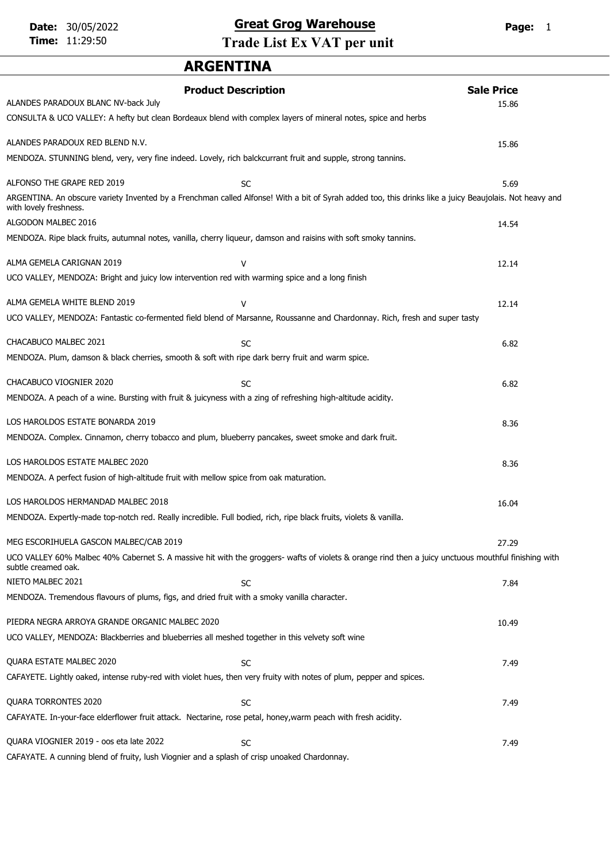# Date: 30/05/2022 **Great Grog Warehouse** Page: 1

Time: 11:29:50 Trade List Ex VAT per unit

# ARGENTINA

| <b>Product Description</b>                                                                                          |                                                                                                                                                         | <b>Sale Price</b> |  |
|---------------------------------------------------------------------------------------------------------------------|---------------------------------------------------------------------------------------------------------------------------------------------------------|-------------------|--|
| ALANDES PARADOUX BLANC NV-back July                                                                                 |                                                                                                                                                         | 15.86             |  |
| CONSULTA & UCO VALLEY: A hefty but clean Bordeaux blend with complex layers of mineral notes, spice and herbs       |                                                                                                                                                         |                   |  |
| ALANDES PARADOUX RED BLEND N.V.                                                                                     |                                                                                                                                                         | 15.86             |  |
| MENDOZA. STUNNING blend, very, very fine indeed. Lovely, rich balckcurrant fruit and supple, strong tannins.        |                                                                                                                                                         |                   |  |
| ALFONSO THE GRAPE RED 2019                                                                                          | SC                                                                                                                                                      | 5.69              |  |
| with lovely freshness.                                                                                              | ARGENTINA. An obscure variety Invented by a Frenchman called Alfonse! With a bit of Syrah added too, this drinks like a juicy Beaujolais. Not heavy and |                   |  |
| ALGODON MALBEC 2016                                                                                                 |                                                                                                                                                         | 14.54             |  |
| MENDOZA. Ripe black fruits, autumnal notes, vanilla, cherry liqueur, damson and raisins with soft smoky tannins.    |                                                                                                                                                         |                   |  |
| ALMA GEMELA CARIGNAN 2019                                                                                           | v                                                                                                                                                       | 12.14             |  |
| UCO VALLEY, MENDOZA: Bright and juicy low intervention red with warming spice and a long finish                     |                                                                                                                                                         |                   |  |
| ALMA GEMELA WHITE BLEND 2019                                                                                        | v                                                                                                                                                       | 12.14             |  |
|                                                                                                                     | UCO VALLEY, MENDOZA: Fantastic co-fermented field blend of Marsanne, Roussanne and Chardonnay. Rich, fresh and super tasty                              |                   |  |
| CHACABUCO MALBEC 2021                                                                                               | SC                                                                                                                                                      | 6.82              |  |
| MENDOZA. Plum, damson & black cherries, smooth & soft with ripe dark berry fruit and warm spice.                    |                                                                                                                                                         |                   |  |
| CHACABUCO VIOGNIER 2020                                                                                             | <b>SC</b>                                                                                                                                               | 6.82              |  |
| MENDOZA. A peach of a wine. Bursting with fruit & juicyness with a zing of refreshing high-altitude acidity.        |                                                                                                                                                         |                   |  |
| LOS HAROLDOS ESTATE BONARDA 2019                                                                                    |                                                                                                                                                         | 8.36              |  |
| MENDOZA. Complex. Cinnamon, cherry tobacco and plum, blueberry pancakes, sweet smoke and dark fruit.                |                                                                                                                                                         |                   |  |
| LOS HAROLDOS ESTATE MALBEC 2020                                                                                     |                                                                                                                                                         | 8.36              |  |
| MENDOZA. A perfect fusion of high-altitude fruit with mellow spice from oak maturation.                             |                                                                                                                                                         |                   |  |
| LOS HAROLDOS HERMANDAD MALBEC 2018                                                                                  |                                                                                                                                                         | 16.04             |  |
| MENDOZA. Expertly-made top-notch red. Really incredible. Full bodied, rich, ripe black fruits, violets & vanilla.   |                                                                                                                                                         |                   |  |
| MEG ESCORIHUELA GASCON MALBEC/CAB 2019                                                                              |                                                                                                                                                         | 27.29             |  |
| subtle creamed oak.                                                                                                 | UCO VALLEY 60% Malbec 40% Cabernet S. A massive hit with the groggers- wafts of violets & orange rind then a juicy unctuous mouthful finishing with     |                   |  |
| NIETO MALBEC 2021                                                                                                   | <b>SC</b>                                                                                                                                               | 7.84              |  |
| MENDOZA. Tremendous flavours of plums, figs, and dried fruit with a smoky vanilla character.                        |                                                                                                                                                         |                   |  |
| PIEDRA NEGRA ARROYA GRANDE ORGANIC MALBEC 2020                                                                      |                                                                                                                                                         | 10.49             |  |
| UCO VALLEY, MENDOZA: Blackberries and blueberries all meshed together in this velvety soft wine                     |                                                                                                                                                         |                   |  |
| QUARA ESTATE MALBEC 2020                                                                                            | SC                                                                                                                                                      | 7.49              |  |
| CAFAYETE. Lightly oaked, intense ruby-red with violet hues, then very fruity with notes of plum, pepper and spices. |                                                                                                                                                         |                   |  |
| QUARA TORRONTES 2020                                                                                                | SC                                                                                                                                                      | 7.49              |  |
| CAFAYATE. In-your-face elderflower fruit attack. Nectarine, rose petal, honey, warm peach with fresh acidity.       |                                                                                                                                                         |                   |  |
| QUARA VIOGNIER 2019 - oos eta late 2022                                                                             | SC                                                                                                                                                      | 7.49              |  |

CAFAYATE. A cunning blend of fruity, lush Viognier and a splash of crisp unoaked Chardonnay.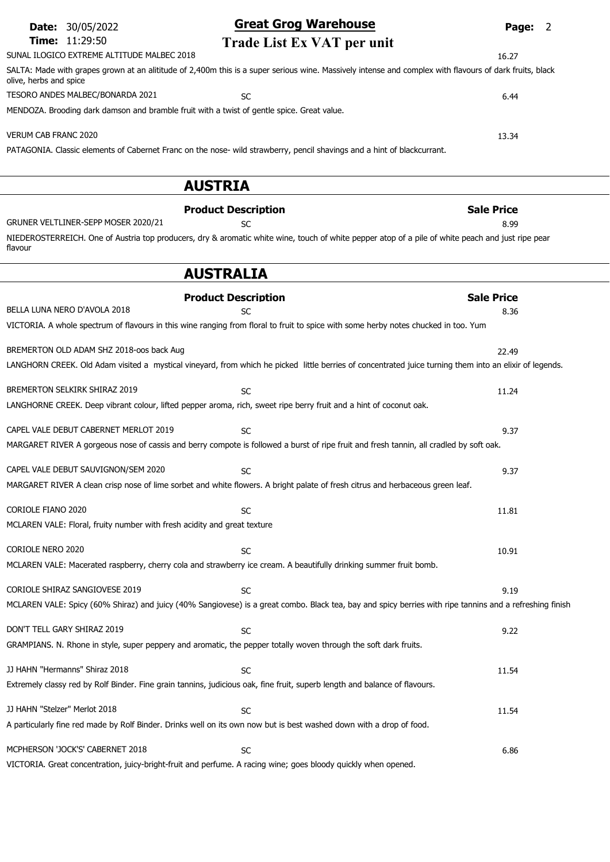| <b>Date: 30/05/2022</b>                                                                    | <b>Great Grog Warehouse</b>                                                                                                                             | Page: 2           |
|--------------------------------------------------------------------------------------------|---------------------------------------------------------------------------------------------------------------------------------------------------------|-------------------|
| Time: 11:29:50                                                                             | Trade List Ex VAT per unit                                                                                                                              |                   |
| SUNAL ILOGICO EXTREME ALTITUDE MALBEC 2018                                                 |                                                                                                                                                         | 16.27             |
| olive, herbs and spice                                                                     | SALTA: Made with grapes grown at an alititude of 2,400m this is a super serious wine. Massively intense and complex with flavours of dark fruits, black |                   |
| TESORO ANDES MALBEC/BONARDA 2021                                                           | <b>SC</b>                                                                                                                                               | 6.44              |
| MENDOZA. Brooding dark damson and bramble fruit with a twist of gentle spice. Great value. |                                                                                                                                                         |                   |
| <b>VERUM CAB FRANC 2020</b>                                                                |                                                                                                                                                         | 13.34             |
|                                                                                            | PATAGONIA. Classic elements of Cabernet Franc on the nose- wild strawberry, pencil shavings and a hint of blackcurrant.                                 |                   |
|                                                                                            | <b>AUSTRIA</b>                                                                                                                                          |                   |
|                                                                                            | <b>Product Description</b>                                                                                                                              | <b>Sale Price</b> |
| GRUNER VELTLINER-SEPP MOSER 2020/21                                                        | <b>SC</b>                                                                                                                                               | 8.99              |
| flavour                                                                                    | NIEDEROSTERREICH. One of Austria top producers, dry & aromatic white wine, touch of white pepper atop of a pile of white peach and just ripe pear       |                   |
|                                                                                            | <b>AUSTRALIA</b>                                                                                                                                        |                   |
|                                                                                            | <b>Product Description</b>                                                                                                                              | <b>Sale Price</b> |
| BELLA LUNA NERO D'AVOLA 2018                                                               | <b>SC</b>                                                                                                                                               | 8.36              |
|                                                                                            | VICTORIA. A whole spectrum of flavours in this wine ranging from floral to fruit to spice with some herby notes chucked in too. Yum                     |                   |
| BREMERTON OLD ADAM SHZ 2018-oos back Aug                                                   |                                                                                                                                                         | 22.49             |
|                                                                                            | LANGHORN CREEK. Old Adam visited a mystical vineyard, from which he picked little berries of concentrated juice turning them into an elixir of legends. |                   |
| BREMERTON SELKIRK SHIRAZ 2019                                                              | <b>SC</b>                                                                                                                                               | 11.24             |
|                                                                                            | LANGHORNE CREEK. Deep vibrant colour, lifted pepper aroma, rich, sweet ripe berry fruit and a hint of coconut oak.                                      |                   |
| CAPEL VALE DEBUT CABERNET MERLOT 2019                                                      | <b>SC</b>                                                                                                                                               | 9.37              |
|                                                                                            | MARGARET RIVER A gorgeous nose of cassis and berry compote is followed a burst of ripe fruit and fresh tannin, all cradled by soft oak.                 |                   |
| CAPEL VALE DEBUT SAUVIGNON/SEM 2020                                                        | <b>SC</b>                                                                                                                                               | 9.37              |
|                                                                                            | MARGARET RIVER A clean crisp nose of lime sorbet and white flowers. A bright palate of fresh citrus and herbaceous green leaf.                          |                   |
| <b>CORIOLE FIANO 2020</b>                                                                  | <b>SC</b>                                                                                                                                               | 11.81             |

MCLAREN VALE: Floral, fruity number with fresh acidity and great texture

| CORIOLE NERO 2020                                                                                                          | <b>SC</b>                                                                                                                                                | 10.91 |
|----------------------------------------------------------------------------------------------------------------------------|----------------------------------------------------------------------------------------------------------------------------------------------------------|-------|
| MCLAREN VALE: Macerated raspberry, cherry cola and strawberry ice cream. A beautifully drinking summer fruit bomb.         |                                                                                                                                                          |       |
|                                                                                                                            |                                                                                                                                                          |       |
| CORIOLE SHIRAZ SANGIOVESE 2019                                                                                             | SC.                                                                                                                                                      | 9.19  |
|                                                                                                                            | MCLAREN VALE: Spicy (60% Shiraz) and juicy (40% Sangiovese) is a great combo. Black tea, bay and spicy berries with ripe tannins and a refreshing finish |       |
|                                                                                                                            |                                                                                                                                                          |       |
| DON'T TELL GARY SHIRAZ 2019                                                                                                | <b>SC</b>                                                                                                                                                | 9.22  |
| GRAMPIANS. N. Rhone in style, super peppery and aromatic, the pepper totally woven through the soft dark fruits.           |                                                                                                                                                          |       |
|                                                                                                                            |                                                                                                                                                          |       |
| JJ HAHN "Hermanns" Shiraz 2018                                                                                             | SC.                                                                                                                                                      | 11.54 |
| Extremely classy red by Rolf Binder. Fine grain tannins, judicious oak, fine fruit, superb length and balance of flavours. |                                                                                                                                                          |       |
|                                                                                                                            |                                                                                                                                                          |       |
| JJ HAHN "Stelzer" Merlot 2018                                                                                              | <b>SC</b>                                                                                                                                                | 11.54 |
| A particularly fine red made by Rolf Binder. Drinks well on its own now but is best washed down with a drop of food.       |                                                                                                                                                          |       |
|                                                                                                                            |                                                                                                                                                          |       |

MCPHERSON 'JOCK'S' CABERNET 2018 SC 6.86 VICTORIA. Great concentration, juicy-bright-fruit and perfume. A racing wine; goes bloody quickly when opened.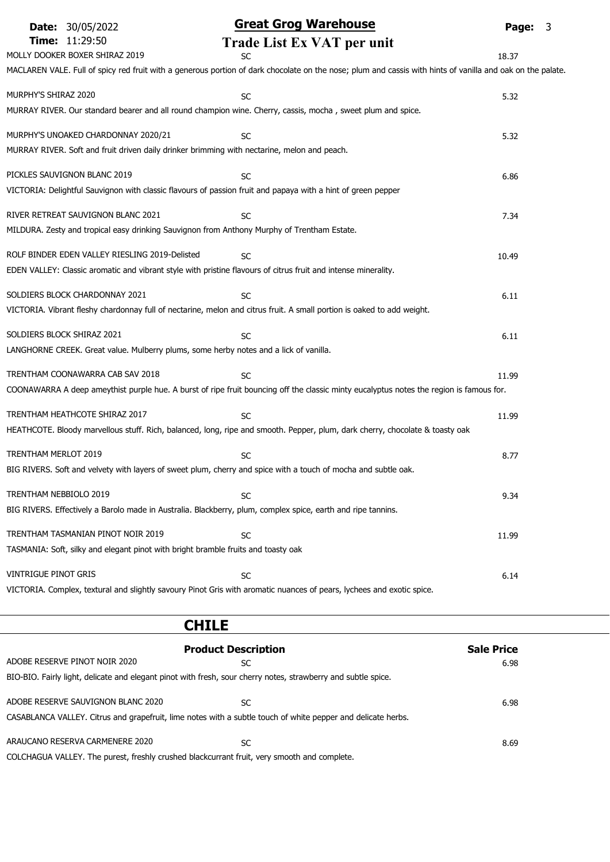| <b>Date: 30/05/2022</b>                                                                                        | <b>Great Grog Warehouse</b>                                                                                                                                | Page: 3 |
|----------------------------------------------------------------------------------------------------------------|------------------------------------------------------------------------------------------------------------------------------------------------------------|---------|
| Time: 11:29:50                                                                                                 | Trade List Ex VAT per unit                                                                                                                                 |         |
| MOLLY DOOKER BOXER SHIRAZ 2019                                                                                 | SC                                                                                                                                                         | 18.37   |
|                                                                                                                | MACLAREN VALE. Full of spicy red fruit with a generous portion of dark chocolate on the nose; plum and cassis with hints of vanilla and oak on the palate. |         |
| MURPHY'S SHIRAZ 2020                                                                                           |                                                                                                                                                            |         |
| MURRAY RIVER. Our standard bearer and all round champion wine. Cherry, cassis, mocha, sweet plum and spice.    | SC                                                                                                                                                         | 5.32    |
|                                                                                                                |                                                                                                                                                            |         |
| MURPHY'S UNOAKED CHARDONNAY 2020/21                                                                            | <b>SC</b>                                                                                                                                                  | 5.32    |
| MURRAY RIVER. Soft and fruit driven daily drinker brimming with nectarine, melon and peach.                    |                                                                                                                                                            |         |
|                                                                                                                |                                                                                                                                                            |         |
| PICKLES SAUVIGNON BLANC 2019                                                                                   | SC                                                                                                                                                         | 6.86    |
| VICTORIA: Delightful Sauvignon with classic flavours of passion fruit and papaya with a hint of green pepper   |                                                                                                                                                            |         |
| RIVER RETREAT SAUVIGNON BLANC 2021                                                                             | SC                                                                                                                                                         | 7.34    |
| MILDURA. Zesty and tropical easy drinking Sauvignon from Anthony Murphy of Trentham Estate.                    |                                                                                                                                                            |         |
|                                                                                                                |                                                                                                                                                            |         |
| ROLF BINDER EDEN VALLEY RIESLING 2019-Delisted                                                                 | SC                                                                                                                                                         | 10.49   |
| EDEN VALLEY: Classic aromatic and vibrant style with pristine flavours of citrus fruit and intense minerality. |                                                                                                                                                            |         |
| SOLDIERS BLOCK CHARDONNAY 2021                                                                                 | <b>SC</b>                                                                                                                                                  | 6.11    |
|                                                                                                                | VICTORIA. Vibrant fleshy chardonnay full of nectarine, melon and citrus fruit. A small portion is oaked to add weight.                                     |         |
|                                                                                                                |                                                                                                                                                            |         |
| SOLDIERS BLOCK SHIRAZ 2021                                                                                     | <b>SC</b>                                                                                                                                                  | 6.11    |
| LANGHORNE CREEK. Great value. Mulberry plums, some herby notes and a lick of vanilla.                          |                                                                                                                                                            |         |
| TRENTHAM COONAWARRA CAB SAV 2018                                                                               | SC                                                                                                                                                         | 11.99   |
|                                                                                                                | COONAWARRA A deep ameythist purple hue. A burst of ripe fruit bouncing off the classic minty eucalyptus notes the region is famous for.                    |         |
|                                                                                                                |                                                                                                                                                            |         |
| TRENTHAM HEATHCOTE SHIRAZ 2017                                                                                 | <b>SC</b>                                                                                                                                                  | 11.99   |
|                                                                                                                | HEATHCOTE. Bloody marvellous stuff. Rich, balanced, long, ripe and smooth. Pepper, plum, dark cherry, chocolate & toasty oak                               |         |
| TRENTHAM MERLOT 2019                                                                                           |                                                                                                                                                            |         |
| BIG RIVERS. Soft and velvety with layers of sweet plum, cherry and spice with a touch of mocha and subtle oak. | <b>SC</b>                                                                                                                                                  | 8.77    |
|                                                                                                                |                                                                                                                                                            |         |
| TRENTHAM NEBBIOLO 2019                                                                                         | SC                                                                                                                                                         | 9.34    |
| BIG RIVERS. Effectively a Barolo made in Australia. Blackberry, plum, complex spice, earth and ripe tannins.   |                                                                                                                                                            |         |
|                                                                                                                |                                                                                                                                                            |         |
| TRENTHAM TASMANIAN PINOT NOIR 2019                                                                             | SC                                                                                                                                                         | 11.99   |
| TASMANIA: Soft, silky and elegant pinot with bright bramble fruits and toasty oak                              |                                                                                                                                                            |         |
| VINTRIGUE PINOT GRIS                                                                                           | SC                                                                                                                                                         | 6.14    |
|                                                                                                                | VICTORIA. Complex, textural and slightly savoury Pinot Gris with aromatic nuances of pears, lychees and exotic spice.                                      |         |
|                                                                                                                |                                                                                                                                                            |         |

|                                                                                             | <b>CHILE</b>                                                                                                  |                   |
|---------------------------------------------------------------------------------------------|---------------------------------------------------------------------------------------------------------------|-------------------|
|                                                                                             | <b>Product Description</b>                                                                                    | <b>Sale Price</b> |
| ADOBE RESERVE PINOT NOIR 2020                                                               | SC                                                                                                            | 6.98              |
|                                                                                             | BIO-BIO. Fairly light, delicate and elegant pinot with fresh, sour cherry notes, strawberry and subtle spice. |                   |
| ADOBE RESERVE SAUVIGNON BLANC 2020                                                          | SC                                                                                                            | 6.98              |
|                                                                                             | CASABLANCA VALLEY. Citrus and grapefruit, lime notes with a subtle touch of white pepper and delicate herbs.  |                   |
| ARAUCANO RESERVA CARMENERE 2020                                                             | SC                                                                                                            | 8.69              |
| COLCHAGUA VALLEY. The purest, freshly crushed blackcurrant fruit, very smooth and complete. |                                                                                                               |                   |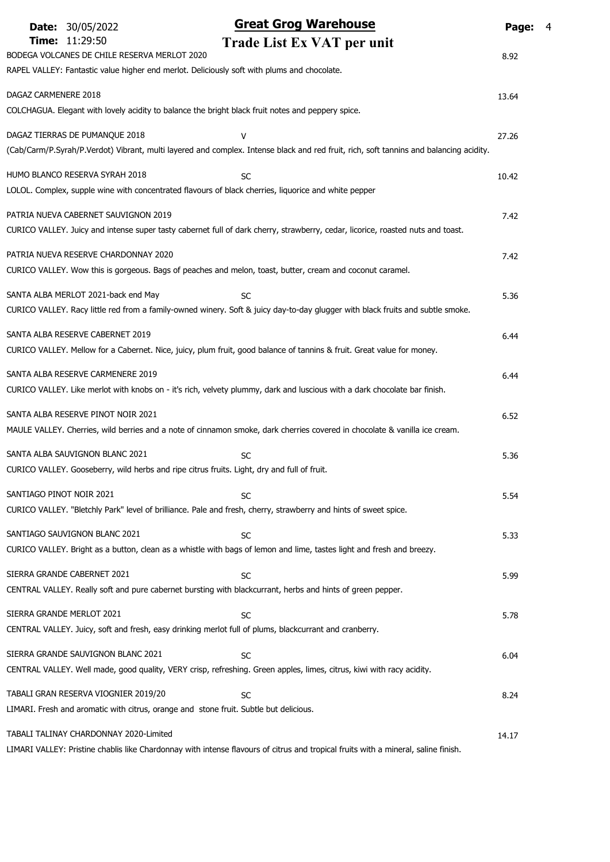|                          | <b>Date: 30/05/2022</b>                      | <b>Great Grog Warehouse</b>                                                                                                            | Page: 4 |  |
|--------------------------|----------------------------------------------|----------------------------------------------------------------------------------------------------------------------------------------|---------|--|
|                          | Time: 11:29:50                               | Trade List Ex VAT per unit                                                                                                             |         |  |
|                          | BODEGA VOLCANES DE CHILE RESERVA MERLOT 2020 |                                                                                                                                        | 8.92    |  |
|                          |                                              | RAPEL VALLEY: Fantastic value higher end merlot. Deliciously soft with plums and chocolate.                                            |         |  |
| DAGAZ CARMENERE 2018     |                                              |                                                                                                                                        | 13.64   |  |
|                          |                                              | COLCHAGUA. Elegant with lovely acidity to balance the bright black fruit notes and peppery spice.                                      |         |  |
|                          | DAGAZ TIERRAS DE PUMANQUE 2018               | v                                                                                                                                      | 27.26   |  |
|                          |                                              | (Cab/Carm/P.Syrah/P.Verdot) Vibrant, multi layered and complex. Intense black and red fruit, rich, soft tannins and balancing acidity. |         |  |
|                          | HUMO BLANCO RESERVA SYRAH 2018               | SC                                                                                                                                     | 10.42   |  |
|                          |                                              | LOLOL. Complex, supple wine with concentrated flavours of black cherries, liquorice and white pepper                                   |         |  |
|                          | PATRIA NUEVA CABERNET SAUVIGNON 2019         |                                                                                                                                        | 7.42    |  |
|                          |                                              | CURICO VALLEY. Juicy and intense super tasty cabernet full of dark cherry, strawberry, cedar, licorice, roasted nuts and toast.        |         |  |
|                          | PATRIA NUEVA RESERVE CHARDONNAY 2020         |                                                                                                                                        | 7.42    |  |
|                          |                                              | CURICO VALLEY. Wow this is gorgeous. Bags of peaches and melon, toast, butter, cream and coconut caramel.                              |         |  |
|                          | SANTA ALBA MERLOT 2021-back end May          | SC                                                                                                                                     | 5.36    |  |
|                          |                                              | CURICO VALLEY. Racy little red from a family-owned winery. Soft & juicy day-to-day glugger with black fruits and subtle smoke.         |         |  |
|                          | SANTA ALBA RESERVE CABERNET 2019             |                                                                                                                                        | 6.44    |  |
|                          |                                              | CURICO VALLEY. Mellow for a Cabernet. Nice, juicy, plum fruit, good balance of tannins & fruit. Great value for money.                 |         |  |
|                          | SANTA ALBA RESERVE CARMENERE 2019            |                                                                                                                                        | 6.44    |  |
|                          |                                              | CURICO VALLEY. Like merlot with knobs on - it's rich, velvety plummy, dark and luscious with a dark chocolate bar finish.              |         |  |
|                          | SANTA ALBA RESERVE PINOT NOIR 2021           |                                                                                                                                        | 6.52    |  |
|                          |                                              | MAULE VALLEY. Cherries, wild berries and a note of cinnamon smoke, dark cherries covered in chocolate & vanilla ice cream.             |         |  |
|                          | SANTA ALBA SAUVIGNON BLANC 2021              | SC                                                                                                                                     | 5.36    |  |
|                          |                                              | CURICO VALLEY. Gooseberry, wild herbs and ripe citrus fruits. Light, dry and full of fruit.                                            |         |  |
| SANTIAGO PINOT NOIR 2021 |                                              | SC                                                                                                                                     | 5.54    |  |
|                          |                                              | CURICO VALLEY. "Bletchly Park" level of brilliance. Pale and fresh, cherry, strawberry and hints of sweet spice.                       |         |  |
|                          | SANTIAGO SAUVIGNON BLANC 2021                | SC                                                                                                                                     | 5.33    |  |
|                          |                                              | CURICO VALLEY. Bright as a button, clean as a whistle with bags of lemon and lime, tastes light and fresh and breezy.                  |         |  |
|                          | SIERRA GRANDE CABERNET 2021                  | <b>SC</b>                                                                                                                              | 5.99    |  |
|                          |                                              | CENTRAL VALLEY. Really soft and pure cabernet bursting with blackcurrant, herbs and hints of green pepper.                             |         |  |
|                          | SIERRA GRANDE MERLOT 2021                    | SC                                                                                                                                     | 5.78    |  |
|                          |                                              | CENTRAL VALLEY. Juicy, soft and fresh, easy drinking merlot full of plums, blackcurrant and cranberry.                                 |         |  |
|                          | SIERRA GRANDE SAUVIGNON BLANC 2021           | SC                                                                                                                                     | 6.04    |  |
|                          |                                              | CENTRAL VALLEY. Well made, good quality, VERY crisp, refreshing. Green apples, limes, citrus, kiwi with racy acidity.                  |         |  |
|                          | TABALI GRAN RESERVA VIOGNIER 2019/20         | SC                                                                                                                                     | 8.24    |  |
|                          |                                              | LIMARI. Fresh and aromatic with citrus, orange and stone fruit. Subtle but delicious.                                                  |         |  |
|                          | TABALI TALINAY CHARDONNAY 2020-Limited       |                                                                                                                                        | 14.17   |  |
|                          |                                              | LIMARI VALLEY: Pristine chablis like Chardonnay with intense flavours of citrus and tropical fruits with a mineral, saline finish.     |         |  |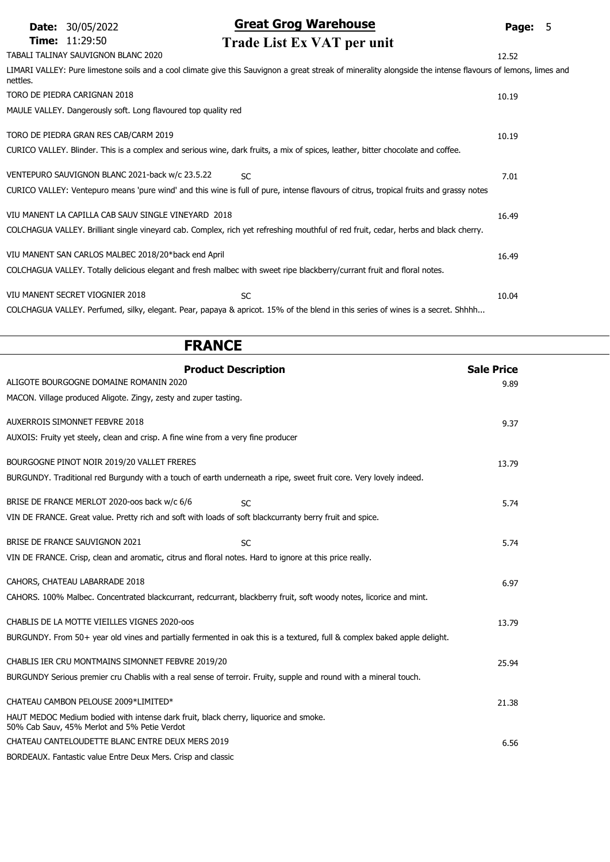| <b>Date: 30/05/2022</b>      |                                                                | <b>Great Grog Warehouse</b>                                                                                                                                 | Page: 5 |  |
|------------------------------|----------------------------------------------------------------|-------------------------------------------------------------------------------------------------------------------------------------------------------------|---------|--|
| <b>Time: 11:29:50</b>        |                                                                | Trade List Ex VAT per unit                                                                                                                                  |         |  |
|                              | TABALI TALINAY SAUVIGNON BLANC 2020                            |                                                                                                                                                             | 12.52   |  |
| nettles.                     |                                                                | LIMARI VALLEY: Pure limestone soils and a cool climate give this Sauvignon a great streak of minerality alongside the intense flavours of lemons, limes and |         |  |
| TORO DE PIEDRA CARIGNAN 2018 |                                                                |                                                                                                                                                             | 10.19   |  |
|                              | MAULE VALLEY. Dangerously soft. Long flavoured top quality red |                                                                                                                                                             |         |  |
|                              | TORO DE PIEDRA GRAN RES CAB/CARM 2019                          |                                                                                                                                                             | 10.19   |  |
|                              |                                                                | CURICO VALLEY. Blinder. This is a complex and serious wine, dark fruits, a mix of spices, leather, bitter chocolate and coffee.                             |         |  |
|                              | VENTEPURO SAUVIGNON BLANC 2021-back w/c 23.5.22                | <b>SC</b>                                                                                                                                                   | 7.01    |  |
|                              |                                                                | CURICO VALLEY: Ventepuro means 'pure wind' and this wine is full of pure, intense flavours of citrus, tropical fruits and grassy notes                      |         |  |
|                              | VIU MANENT LA CAPILLA CAB SAUV SINGLE VINEYARD 2018            |                                                                                                                                                             | 16.49   |  |
|                              |                                                                | COLCHAGUA VALLEY. Brilliant single vineyard cab. Complex, rich yet refreshing mouthful of red fruit, cedar, herbs and black cherry.                         |         |  |
|                              | VIU MANENT SAN CARLOS MALBEC 2018/20*back end April            |                                                                                                                                                             | 16.49   |  |
|                              |                                                                | COLCHAGUA VALLEY. Totally delicious elegant and fresh malbec with sweet ripe blackberry/currant fruit and floral notes.                                     |         |  |
|                              | VIU MANENT SECRET VIOGNIER 2018                                | <b>SC</b>                                                                                                                                                   | 10.04   |  |
|                              |                                                                | COLCHAGUA VALLEY. Perfumed, silky, elegant. Pear, papaya & apricot. 15% of the blend in this series of wines is a secret. Shhhh                             |         |  |

| <b>FRANCE</b>                                                                                                                        |                   |
|--------------------------------------------------------------------------------------------------------------------------------------|-------------------|
| <b>Product Description</b>                                                                                                           | <b>Sale Price</b> |
| ALIGOTE BOURGOGNE DOMAINE ROMANIN 2020                                                                                               | 9.89              |
| MACON. Village produced Aligote. Zingy, zesty and zuper tasting.                                                                     |                   |
| <b>AUXERROIS SIMONNET FEBVRE 2018</b>                                                                                                | 9.37              |
| AUXOIS: Fruity yet steely, clean and crisp. A fine wine from a very fine producer                                                    |                   |
| BOURGOGNE PINOT NOIR 2019/20 VALLET FRERES                                                                                           | 13.79             |
| BURGUNDY. Traditional red Burgundy with a touch of earth underneath a ripe, sweet fruit core. Very lovely indeed.                    |                   |
| BRISE DE FRANCE MERLOT 2020-oos back w/c 6/6<br><b>SC</b>                                                                            | 5.74              |
| VIN DE FRANCE. Great value. Pretty rich and soft with loads of soft blackcurranty berry fruit and spice.                             |                   |
| BRISE DE FRANCE SAUVIGNON 2021<br><b>SC</b>                                                                                          | 5.74              |
| VIN DE FRANCE. Crisp, clean and aromatic, citrus and floral notes. Hard to ignore at this price really.                              |                   |
| CAHORS, CHATEAU LABARRADE 2018                                                                                                       | 6.97              |
| CAHORS. 100% Malbec. Concentrated blackcurrant, redcurrant, blackberry fruit, soft woody notes, licorice and mint.                   |                   |
| CHABLIS DE LA MOTTE VIEILLES VIGNES 2020-00S                                                                                         | 13.79             |
| BURGUNDY. From 50+ year old vines and partially fermented in oak this is a textured, full & complex baked apple delight.             |                   |
| CHABLIS IER CRU MONTMAINS SIMONNET FEBVRE 2019/20                                                                                    | 25.94             |
| BURGUNDY Serious premier cru Chablis with a real sense of terroir. Fruity, supple and round with a mineral touch.                    |                   |
| CHATEAU CAMBON PELOUSE 2009*LIMITED*                                                                                                 | 21.38             |
| HAUT MEDOC Medium bodied with intense dark fruit, black cherry, liquorice and smoke.<br>50% Cab Sauv, 45% Merlot and 5% Petie Verdot |                   |
| CHATEAU CANTELOUDETTE BLANC ENTRE DEUX MERS 2019                                                                                     | 6.56              |
| BORDEAUX. Fantastic value Entre Deux Mers. Crisp and classic                                                                         |                   |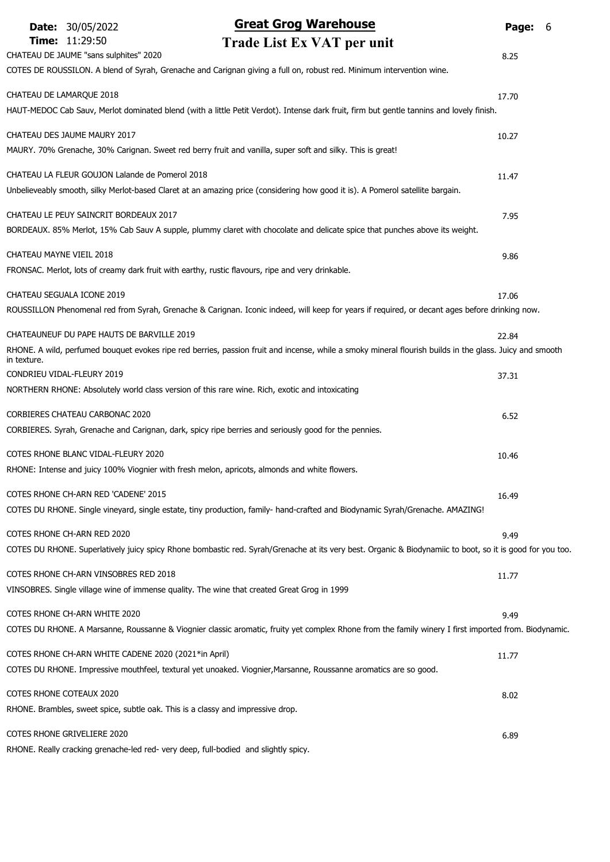|                          | <b>Date: 30/05/2022</b>                                         | <b>Great Grog Warehouse</b>                                                                                                                               | Page:<br>6 |
|--------------------------|-----------------------------------------------------------------|-----------------------------------------------------------------------------------------------------------------------------------------------------------|------------|
|                          | <b>Time: 11:29:50</b><br>CHATEAU DE JAUME "sans sulphites" 2020 | Trade List Ex VAT per unit                                                                                                                                | 8.25       |
|                          |                                                                 | COTES DE ROUSSILON. A blend of Syrah, Grenache and Carignan giving a full on, robust red. Minimum intervention wine.                                      |            |
|                          | CHATEAU DE LAMARQUE 2018                                        | HAUT-MEDOC Cab Sauv, Merlot dominated blend (with a little Petit Verdot). Intense dark fruit, firm but gentle tannins and lovely finish.                  | 17.70      |
|                          | CHATEAU DES JAUME MAURY 2017                                    |                                                                                                                                                           | 10.27      |
|                          |                                                                 | MAURY. 70% Grenache, 30% Carignan. Sweet red berry fruit and vanilla, super soft and silky. This is great!                                                |            |
|                          | CHATEAU LA FLEUR GOUJON Lalande de Pomerol 2018                 |                                                                                                                                                           | 11.47      |
|                          |                                                                 | Unbelieveably smooth, silky Merlot-based Claret at an amazing price (considering how good it is). A Pomerol satellite bargain.                            |            |
|                          | CHATEAU LE PEUY SAINCRIT BORDEAUX 2017                          |                                                                                                                                                           | 7.95       |
|                          |                                                                 | BORDEAUX. 85% Merlot, 15% Cab Sauv A supple, plummy claret with chocolate and delicate spice that punches above its weight.                               |            |
| CHATEAU MAYNE VIEIL 2018 |                                                                 |                                                                                                                                                           | 9.86       |
|                          |                                                                 | FRONSAC. Merlot, lots of creamy dark fruit with earthy, rustic flavours, ripe and very drinkable.                                                         |            |
|                          | CHATEAU SEGUALA ICONE 2019                                      |                                                                                                                                                           | 17.06      |
|                          |                                                                 | ROUSSILLON Phenomenal red from Syrah, Grenache & Carignan. Iconic indeed, will keep for years if required, or decant ages before drinking now.            |            |
|                          | CHATEAUNEUF DU PAPE HAUTS DE BARVILLE 2019                      |                                                                                                                                                           | 22.84      |
| in texture.              |                                                                 | RHONE. A wild, perfumed bouquet evokes ripe red berries, passion fruit and incense, while a smoky mineral flourish builds in the glass. Juicy and smooth  |            |
|                          | CONDRIEU VIDAL-FLEURY 2019                                      |                                                                                                                                                           | 37.31      |
|                          |                                                                 | NORTHERN RHONE: Absolutely world class version of this rare wine. Rich, exotic and intoxicating                                                           |            |
|                          | CORBIERES CHATEAU CARBONAC 2020                                 |                                                                                                                                                           | 6.52       |
|                          |                                                                 | CORBIERES. Syrah, Grenache and Carignan, dark, spicy ripe berries and seriously good for the pennies.                                                     |            |
|                          | COTES RHONE BLANC VIDAL-FLEURY 2020                             |                                                                                                                                                           | 10.46      |
|                          |                                                                 | RHONE: Intense and juicy 100% Viognier with fresh melon, apricots, almonds and white flowers.                                                             |            |
|                          | COTES RHONE CH-ARN RED 'CADENE' 2015                            |                                                                                                                                                           | 16.49      |
|                          |                                                                 | COTES DU RHONE. Single vineyard, single estate, tiny production, family- hand-crafted and Biodynamic Syrah/Grenache. AMAZING!                             |            |
|                          | COTES RHONE CH-ARN RED 2020                                     |                                                                                                                                                           | 9.49       |
|                          |                                                                 | COTES DU RHONE. Superlatively juicy spicy Rhone bombastic red. Syrah/Grenache at its very best. Organic & Biodynamiic to boot, so it is good for you too. |            |
|                          | COTES RHONE CH-ARN VINSOBRES RED 2018                           |                                                                                                                                                           | 11.77      |
|                          |                                                                 | VINSOBRES. Single village wine of immense quality. The wine that created Great Grog in 1999                                                               |            |
|                          | COTES RHONE CH-ARN WHITE 2020                                   |                                                                                                                                                           | 9.49       |
|                          |                                                                 | COTES DU RHONE. A Marsanne, Roussanne & Viognier classic aromatic, fruity yet complex Rhone from the family winery I first imported from. Biodynamic.     |            |
|                          | COTES RHONE CH-ARN WHITE CADENE 2020 (2021*in April)            |                                                                                                                                                           | 11.77      |
|                          |                                                                 | COTES DU RHONE. Impressive mouthfeel, textural yet unoaked. Viognier, Marsanne, Roussanne aromatics are so good.                                          |            |
|                          | COTES RHONE COTEAUX 2020                                        |                                                                                                                                                           | 8.02       |
|                          |                                                                 | RHONE. Brambles, sweet spice, subtle oak. This is a classy and impressive drop.                                                                           |            |
|                          | COTES RHONE GRIVELIERE 2020                                     |                                                                                                                                                           | 6.89       |
|                          |                                                                 | RHONE. Really cracking grenache-led red- very deep, full-bodied and slightly spicy.                                                                       |            |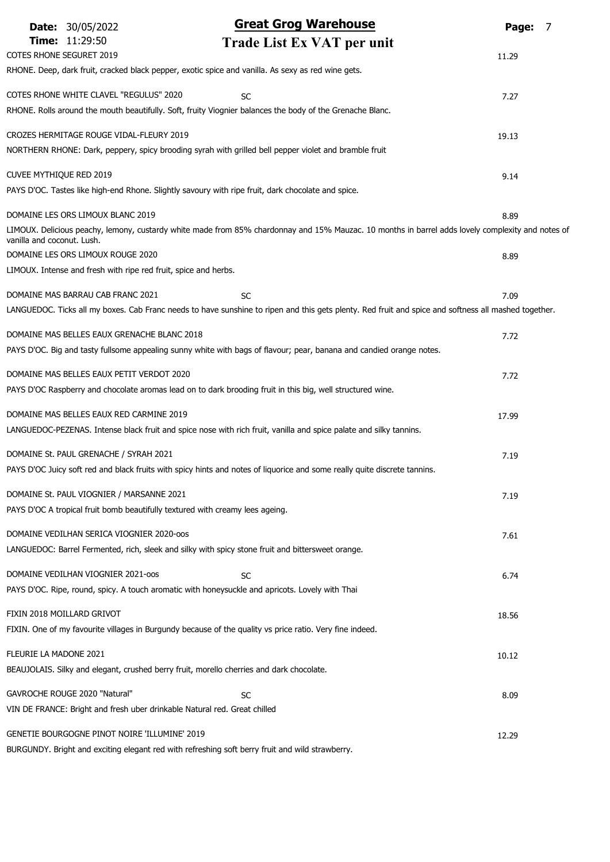|                            | <b>Date: 30/05/2022</b>                                                                                    | <b>Great Grog Warehouse</b>                                                                                                                          | Page: | 7 |
|----------------------------|------------------------------------------------------------------------------------------------------------|------------------------------------------------------------------------------------------------------------------------------------------------------|-------|---|
|                            | <b>Time: 11:29:50</b>                                                                                      | Trade List Ex VAT per unit                                                                                                                           |       |   |
|                            | <b>COTES RHONE SEGURET 2019</b>                                                                            |                                                                                                                                                      | 11.29 |   |
|                            | RHONE. Deep, dark fruit, cracked black pepper, exotic spice and vanilla. As sexy as red wine gets.         |                                                                                                                                                      |       |   |
|                            | COTES RHONE WHITE CLAVEL "REGULUS" 2020                                                                    | <b>SC</b>                                                                                                                                            | 7.27  |   |
|                            |                                                                                                            | RHONE. Rolls around the mouth beautifully. Soft, fruity Viognier balances the body of the Grenache Blanc.                                            |       |   |
|                            | CROZES HERMITAGE ROUGE VIDAL-FLEURY 2019                                                                   |                                                                                                                                                      | 19.13 |   |
|                            |                                                                                                            | NORTHERN RHONE: Dark, peppery, spicy brooding syrah with grilled bell pepper violet and bramble fruit                                                |       |   |
| CUVEE MYTHIQUE RED 2019    |                                                                                                            |                                                                                                                                                      | 9.14  |   |
|                            | PAYS D'OC. Tastes like high-end Rhone. Slightly savoury with ripe fruit, dark chocolate and spice.         |                                                                                                                                                      |       |   |
|                            | DOMAINE LES ORS LIMOUX BLANC 2019                                                                          |                                                                                                                                                      |       |   |
|                            |                                                                                                            | LIMOUX. Delicious peachy, lemony, custardy white made from 85% chardonnay and 15% Mauzac. 10 months in barrel adds lovely complexity and notes of    | 8.89  |   |
| vanilla and coconut. Lush. |                                                                                                            |                                                                                                                                                      |       |   |
|                            | DOMAINE LES ORS LIMOUX ROUGE 2020                                                                          |                                                                                                                                                      | 8.89  |   |
|                            | LIMOUX. Intense and fresh with ripe red fruit, spice and herbs.                                            |                                                                                                                                                      |       |   |
|                            | DOMAINE MAS BARRAU CAB FRANC 2021                                                                          | <b>SC</b>                                                                                                                                            | 7.09  |   |
|                            |                                                                                                            | LANGUEDOC. Ticks all my boxes. Cab Franc needs to have sunshine to ripen and this gets plenty. Red fruit and spice and softness all mashed together. |       |   |
|                            | DOMAINE MAS BELLES EAUX GRENACHE BLANC 2018                                                                |                                                                                                                                                      | 7.72  |   |
|                            |                                                                                                            | PAYS D'OC. Big and tasty fullsome appealing sunny white with bags of flavour; pear, banana and candied orange notes.                                 |       |   |
|                            | DOMAINE MAS BELLES EAUX PETIT VERDOT 2020                                                                  |                                                                                                                                                      | 7.72  |   |
|                            |                                                                                                            | PAYS D'OC Raspberry and chocolate aromas lead on to dark brooding fruit in this big, well structured wine.                                           |       |   |
|                            | DOMAINE MAS BELLES EAUX RED CARMINE 2019                                                                   |                                                                                                                                                      | 17.99 |   |
|                            |                                                                                                            | LANGUEDOC-PEZENAS. Intense black fruit and spice nose with rich fruit, vanilla and spice palate and silky tannins.                                   |       |   |
|                            |                                                                                                            |                                                                                                                                                      |       |   |
|                            | DOMAINE St. PAUL GRENACHE / SYRAH 2021                                                                     | PAYS D'OC Juicy soft red and black fruits with spicy hints and notes of liquorice and some really quite discrete tannins.                            | 7.19  |   |
|                            |                                                                                                            |                                                                                                                                                      |       |   |
|                            | DOMAINE St. PAUL VIOGNIER / MARSANNE 2021                                                                  |                                                                                                                                                      | 7.19  |   |
|                            | PAYS D'OC A tropical fruit bomb beautifully textured with creamy lees ageing.                              |                                                                                                                                                      |       |   |
|                            | DOMAINE VEDILHAN SERICA VIOGNIER 2020-00S                                                                  |                                                                                                                                                      | 7.61  |   |
|                            | LANGUEDOC: Barrel Fermented, rich, sleek and silky with spicy stone fruit and bittersweet orange.          |                                                                                                                                                      |       |   |
|                            | DOMAINE VEDILHAN VIOGNIER 2021-00S                                                                         | SC                                                                                                                                                   | 6.74  |   |
|                            | PAYS D'OC. Ripe, round, spicy. A touch aromatic with honeysuckle and apricots. Lovely with Thai            |                                                                                                                                                      |       |   |
|                            | FIXIN 2018 MOILLARD GRIVOT                                                                                 |                                                                                                                                                      | 18.56 |   |
|                            |                                                                                                            | FIXIN. One of my favourite villages in Burgundy because of the quality vs price ratio. Very fine indeed.                                             |       |   |
| FLEURIE LA MADONE 2021     |                                                                                                            |                                                                                                                                                      | 10.12 |   |
|                            | BEAUJOLAIS. Silky and elegant, crushed berry fruit, morello cherries and dark chocolate.                   |                                                                                                                                                      |       |   |
|                            |                                                                                                            |                                                                                                                                                      |       |   |
|                            | GAVROCHE ROUGE 2020 "Natural"<br>VIN DE FRANCE: Bright and fresh uber drinkable Natural red. Great chilled | SC                                                                                                                                                   | 8.09  |   |
|                            |                                                                                                            |                                                                                                                                                      |       |   |
|                            | GENETIE BOURGOGNE PINOT NOIRE 'ILLUMINE' 2019                                                              |                                                                                                                                                      | 12.29 |   |
|                            | BURGUNDY. Bright and exciting elegant red with refreshing soft berry fruit and wild strawberry.            |                                                                                                                                                      |       |   |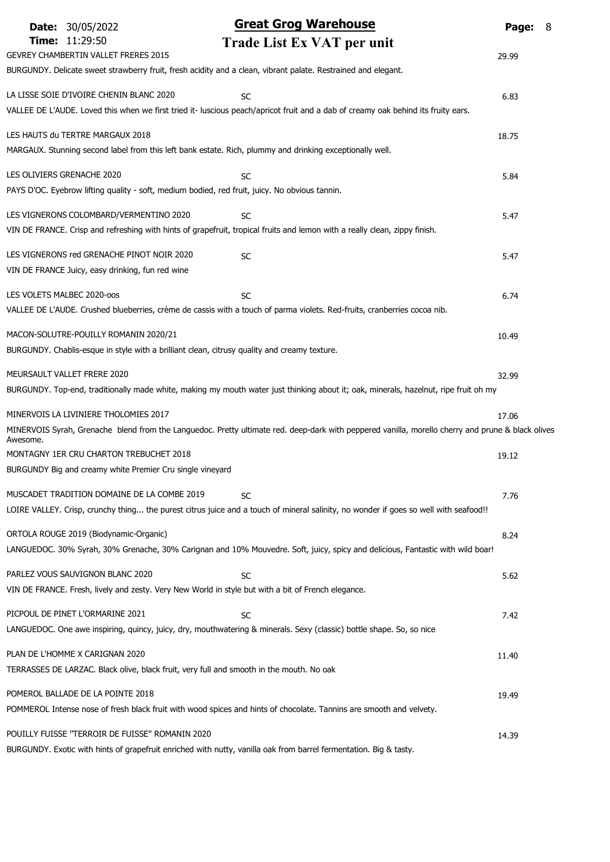|                            | <b>Date: 30/05/2022</b>                                                                        | <b>Great Grog Warehouse</b>                                                                                                                       | Page: | - 8 |
|----------------------------|------------------------------------------------------------------------------------------------|---------------------------------------------------------------------------------------------------------------------------------------------------|-------|-----|
|                            | Time: 11:29:50                                                                                 | Trade List Ex VAT per unit                                                                                                                        |       |     |
|                            | <b>GEVREY CHAMBERTIN VALLET FRERES 2015</b>                                                    |                                                                                                                                                   | 29.99 |     |
|                            |                                                                                                | BURGUNDY. Delicate sweet strawberry fruit, fresh acidity and a clean, vibrant palate. Restrained and elegant.                                     |       |     |
|                            | LA LISSE SOIE D'IVOIRE CHENIN BLANC 2020                                                       | <b>SC</b>                                                                                                                                         | 6.83  |     |
|                            |                                                                                                | VALLEE DE L'AUDE. Loved this when we first tried it- luscious peach/apricot fruit and a dab of creamy oak behind its fruity ears.                 |       |     |
|                            | LES HAUTS du TERTRE MARGAUX 2018                                                               |                                                                                                                                                   |       |     |
|                            |                                                                                                | MARGAUX. Stunning second label from this left bank estate. Rich, plummy and drinking exceptionally well.                                          | 18.75 |     |
|                            |                                                                                                |                                                                                                                                                   |       |     |
| LES OLIVIERS GRENACHE 2020 |                                                                                                | <b>SC</b>                                                                                                                                         | 5.84  |     |
|                            | PAYS D'OC. Eyebrow lifting quality - soft, medium bodied, red fruit, juicy. No obvious tannin. |                                                                                                                                                   |       |     |
|                            | LES VIGNERONS COLOMBARD/VERMENTINO 2020                                                        | <b>SC</b>                                                                                                                                         | 5.47  |     |
|                            |                                                                                                | VIN DE FRANCE. Crisp and refreshing with hints of grapefruit, tropical fruits and lemon with a really clean, zippy finish.                        |       |     |
|                            | LES VIGNERONS red GRENACHE PINOT NOIR 2020                                                     |                                                                                                                                                   |       |     |
|                            | VIN DE FRANCE Juicy, easy drinking, fun red wine                                               | <b>SC</b>                                                                                                                                         | 5.47  |     |
|                            |                                                                                                |                                                                                                                                                   |       |     |
| LES VOLETS MALBEC 2020-00S |                                                                                                | <b>SC</b>                                                                                                                                         | 6.74  |     |
|                            |                                                                                                | VALLEE DE L'AUDE. Crushed blueberries, crème de cassis with a touch of parma violets. Red-fruits, cranberries cocoa nib.                          |       |     |
|                            | MACON-SOLUTRE-POUILLY ROMANIN 2020/21                                                          |                                                                                                                                                   | 10.49 |     |
|                            | BURGUNDY. Chablis-esque in style with a brilliant clean, citrusy quality and creamy texture.   |                                                                                                                                                   |       |     |
|                            | MEURSAULT VALLET FRERE 2020                                                                    |                                                                                                                                                   |       |     |
|                            |                                                                                                | BURGUNDY. Top-end, traditionally made white, making my mouth water just thinking about it; oak, minerals, hazelnut, ripe fruit oh my              | 32.99 |     |
|                            |                                                                                                |                                                                                                                                                   |       |     |
|                            | MINERVOIS LA LIVINIERE THOLOMIES 2017                                                          |                                                                                                                                                   | 17.06 |     |
| Awesome.                   |                                                                                                | MINERVOIS Syrah, Grenache blend from the Languedoc. Pretty ultimate red. deep-dark with peppered vanilla, morello cherry and prune & black olives |       |     |
|                            | MONTAGNY 1ER CRU CHARTON TREBUCHET 2018                                                        |                                                                                                                                                   | 19.12 |     |
|                            | BURGUNDY Big and creamy white Premier Cru single vineyard                                      |                                                                                                                                                   |       |     |
|                            | MUSCADET TRADITION DOMAINE DE LA COMBE 2019                                                    | SC                                                                                                                                                | 7.76  |     |
|                            |                                                                                                | LOIRE VALLEY. Crisp, crunchy thing the purest citrus juice and a touch of mineral salinity, no wonder if goes so well with seafood!!              |       |     |
|                            |                                                                                                |                                                                                                                                                   |       |     |
|                            | ORTOLA ROUGE 2019 (Biodynamic-Organic)                                                         |                                                                                                                                                   | 8.24  |     |
|                            |                                                                                                | LANGUEDOC. 30% Syrah, 30% Grenache, 30% Carignan and 10% Mouvedre. Soft, juicy, spicy and delicious, Fantastic with wild boar!                    |       |     |
|                            | PARLEZ VOUS SAUVIGNON BLANC 2020                                                               | <b>SC</b>                                                                                                                                         | 5.62  |     |
|                            |                                                                                                | VIN DE FRANCE. Fresh, lively and zesty. Very New World in style but with a bit of French elegance.                                                |       |     |
|                            | PICPOUL DE PINET L'ORMARINE 2021                                                               | <b>SC</b>                                                                                                                                         | 7.42  |     |
|                            |                                                                                                | LANGUEDOC. One awe inspiring, quincy, juicy, dry, mouthwatering & minerals. Sexy (classic) bottle shape. So, so nice                              |       |     |
|                            |                                                                                                |                                                                                                                                                   |       |     |
|                            | PLAN DE L'HOMME X CARIGNAN 2020                                                                |                                                                                                                                                   | 11.40 |     |
|                            | TERRASSES DE LARZAC. Black olive, black fruit, very full and smooth in the mouth. No oak       |                                                                                                                                                   |       |     |
|                            | POMEROL BALLADE DE LA POINTE 2018                                                              |                                                                                                                                                   | 19.49 |     |
|                            |                                                                                                | POMMEROL Intense nose of fresh black fruit with wood spices and hints of chocolate. Tannins are smooth and velvety.                               |       |     |
|                            | POUILLY FUISSE "TERROIR DE FUISSE" ROMANIN 2020                                                |                                                                                                                                                   | 14.39 |     |
|                            |                                                                                                | BURGUNDY. Exotic with hints of grapefruit enriched with nutty, vanilla oak from barrel fermentation. Big & tasty.                                 |       |     |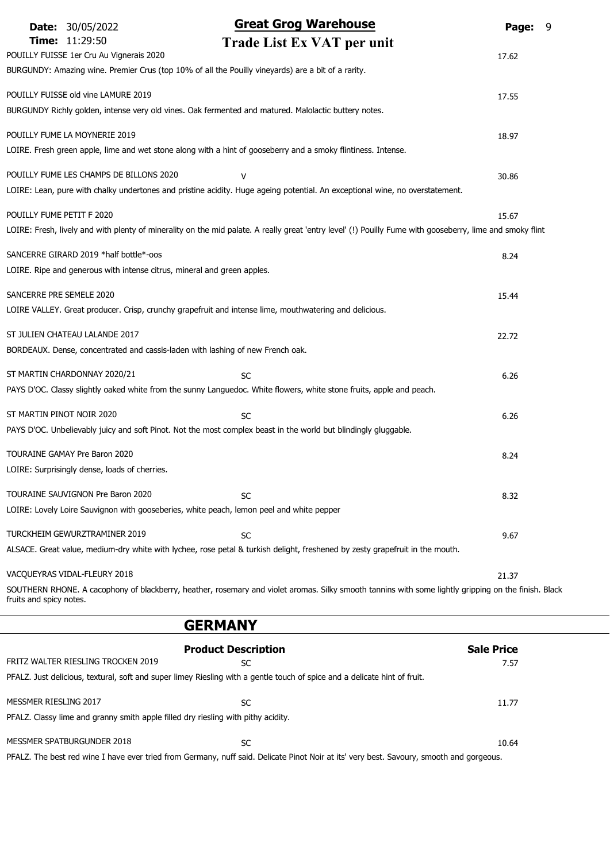| <b>Date: 30/05/2022</b><br>Time: 11:29:50<br>POUILLY FUISSE 1er Cru Au Vignerais 2020<br>BURGUNDY: Amazing wine. Premier Crus (top 10% of all the Pouilly vineyards) are a bit of a rarity. | <b>Great Grog Warehouse</b><br>Trade List Ex VAT per unit                                                                                                            | Page:<br>9<br>17.62       |
|---------------------------------------------------------------------------------------------------------------------------------------------------------------------------------------------|----------------------------------------------------------------------------------------------------------------------------------------------------------------------|---------------------------|
| POUILLY FUISSE old vine LAMURE 2019                                                                                                                                                         | BURGUNDY Richly golden, intense very old vines. Oak fermented and matured. Malolactic buttery notes.                                                                 | 17.55                     |
| POUILLY FUME LA MOYNERIE 2019                                                                                                                                                               | LOIRE. Fresh green apple, lime and wet stone along with a hint of gooseberry and a smoky flintiness. Intense.                                                        | 18.97                     |
| POUILLY FUME LES CHAMPS DE BILLONS 2020                                                                                                                                                     | v<br>LOIRE: Lean, pure with chalky undertones and pristine acidity. Huge ageing potential. An exceptional wine, no overstatement.                                    | 30.86                     |
| POUILLY FUME PETIT F 2020                                                                                                                                                                   | LOIRE: Fresh, lively and with plenty of minerality on the mid palate. A really great 'entry level' (!) Pouilly Fume with gooseberry, lime and smoky flint            | 15.67                     |
| SANCERRE GIRARD 2019 *half bottle*-oos<br>LOIRE. Ripe and generous with intense citrus, mineral and green apples.                                                                           |                                                                                                                                                                      | 8.24                      |
| SANCERRE PRE SEMELE 2020                                                                                                                                                                    | LOIRE VALLEY. Great producer. Crisp, crunchy grapefruit and intense lime, mouthwatering and delicious.                                                               | 15.44                     |
| ST JULIEN CHATEAU LALANDE 2017<br>BORDEAUX. Dense, concentrated and cassis-laden with lashing of new French oak.                                                                            |                                                                                                                                                                      | 22.72                     |
| ST MARTIN CHARDONNAY 2020/21                                                                                                                                                                | <b>SC</b><br>PAYS D'OC. Classy slightly oaked white from the sunny Languedoc. White flowers, white stone fruits, apple and peach.                                    | 6.26                      |
| ST MARTIN PINOT NOIR 2020                                                                                                                                                                   | <b>SC</b><br>PAYS D'OC. Unbelievably juicy and soft Pinot. Not the most complex beast in the world but blindingly gluggable.                                         | 6.26                      |
| TOURAINE GAMAY Pre Baron 2020<br>LOIRE: Surprisingly dense, loads of cherries.                                                                                                              |                                                                                                                                                                      | 8.24                      |
| TOURAINE SAUVIGNON Pre Baron 2020<br>LOIRE: Lovely Loire Sauvignon with gooseberies, white peach, lemon peel and white pepper                                                               | <b>SC</b>                                                                                                                                                            | 8.32                      |
| TURCKHEIM GEWURZTRAMINER 2019                                                                                                                                                               | <b>SC</b><br>ALSACE. Great value, medium-dry white with lychee, rose petal & turkish delight, freshened by zesty grapefruit in the mouth.                            | 9.67                      |
| VACQUEYRAS VIDAL-FLEURY 2018                                                                                                                                                                |                                                                                                                                                                      | 21.37                     |
| fruits and spicy notes.                                                                                                                                                                     | SOUTHERN RHONE. A cacophony of blackberry, heather, rosemary and violet aromas. Silky smooth tannins with some lightly gripping on the finish. Black                 |                           |
|                                                                                                                                                                                             | <b>GERMANY</b>                                                                                                                                                       |                           |
| FRITZ WALTER RIESLING TROCKEN 2019                                                                                                                                                          | <b>Product Description</b><br><b>SC</b><br>PFALZ. Just delicious, textural, soft and super limey Riesling with a gentle touch of spice and a delicate hint of fruit. | <b>Sale Price</b><br>7.57 |
| MESSMER RIESLING 2017<br>PFALZ. Classy lime and granny smith apple filled dry riesling with pithy acidity.                                                                                  | <b>SC</b>                                                                                                                                                            | 11.77                     |

| MESSMER SPATBURGUNDER 2018 | SC | 10.64                                                                                                                                    |
|----------------------------|----|------------------------------------------------------------------------------------------------------------------------------------------|
|                            |    | PFALZ. The best red wine I have ever tried from Germany, nuff said. Delicate Pinot Noir at its' very best. Savoury, smooth and gorgeous. |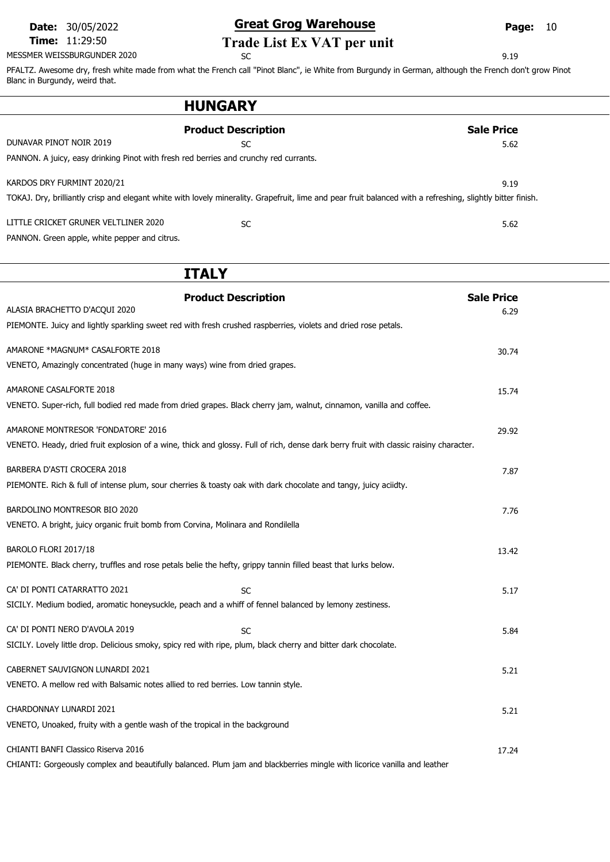MESSMER WEISSBURGUNDER 2020 SC SC 3.19

# Date: 30/05/2022 **Great Grog Warehouse** Page: 10

# Time: 11:29:50<br>MER WEISSBURGUNDER 2020<br>SC<br>SC

PFALTZ. Awesome dry, fresh white made from what the French call "Pinot Blanc", ie White from Burgundy in German, although the French don't grow Pinot Blanc in Burgundy, weird that.

| <b>HUNGARY</b>                                                                                                                                                                            |                           |
|-------------------------------------------------------------------------------------------------------------------------------------------------------------------------------------------|---------------------------|
| <b>Product Description</b><br>DUNAVAR PINOT NOIR 2019<br><b>SC</b><br>PANNON. A juicy, easy drinking Pinot with fresh red berries and crunchy red currants.                               | <b>Sale Price</b><br>5.62 |
| KARDOS DRY FURMINT 2020/21<br>TOKAJ. Dry, brilliantly crisp and elegant white with lovely minerality. Grapefruit, lime and pear fruit balanced with a refreshing, slightly bitter finish. | 9.19                      |
| LITTLE CRICKET GRUNER VELTLINER 2020<br>SC<br>PANNON. Green apple, white pepper and citrus.                                                                                               | 5.62                      |
| <b>ITALY</b>                                                                                                                                                                              |                           |
| <b>Product Description</b><br>ALASIA BRACHETTO D'ACQUI 2020<br>PIEMONTE. Juicy and lightly sparkling sweet red with fresh crushed raspberries, violets and dried rose petals.             | <b>Sale Price</b><br>6.29 |
| AMARONE *MAGNUM* CASALFORTE 2018<br>VENETO, Amazingly concentrated (huge in many ways) wine from dried grapes.                                                                            | 30.74                     |
| AMARONE CASALFORTE 2018<br>VENETO. Super-rich, full bodied red made from dried grapes. Black cherry jam, walnut, cinnamon, vanilla and coffee.                                            | 15.74                     |
| AMARONE MONTRESOR 'FONDATORE' 2016<br>VENETO. Heady, dried fruit explosion of a wine, thick and glossy. Full of rich, dense dark berry fruit with classic raisiny character.              | 29.92                     |
| BARBERA D'ASTI CROCERA 2018<br>PIEMONTE. Rich & full of intense plum, sour cherries & toasty oak with dark chocolate and tangy, juicy aciidty.                                            | 7.87                      |
| BARDOLINO MONTRESOR BIO 2020<br>VENETO. A bright, juicy organic fruit bomb from Corvina, Molinara and Rondilella                                                                          | 7.76                      |
| BAROLO FLORI 2017/18<br>PIEMONTE. Black cherry, truffles and rose petals belie the hefty, grippy tannin filled beast that lurks below.                                                    | 13.42                     |
| CA' DI PONTI CATARRATTO 2021<br><b>SC</b><br>SICILY. Medium bodied, aromatic honeysuckle, peach and a whiff of fennel balanced by lemony zestiness.                                       | 5.17                      |
| CA' DI PONTI NERO D'AVOLA 2019<br>SC<br>SICILY. Lovely little drop. Delicious smoky, spicy red with ripe, plum, black cherry and bitter dark chocolate.                                   | 5.84                      |
| CABERNET SAUVIGNON LUNARDI 2021<br>VENETO. A mellow red with Balsamic notes allied to red berries. Low tannin style.                                                                      | 5.21                      |
| CHARDONNAY LUNARDI 2021<br>VENETO, Unoaked, fruity with a gentle wash of the tropical in the background                                                                                   | 5.21                      |
| CHIANTI BANFI Classico Riserva 2016<br>CHIANTI: Gorgeously complex and beautifully balanced. Plum jam and blackberries mingle with licorice vanilla and leather                           | 17.24                     |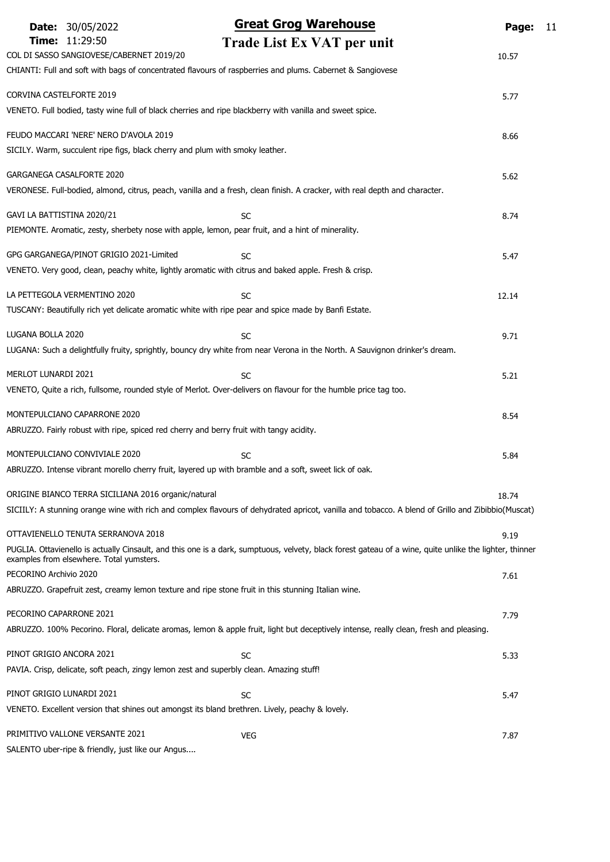|                            | <b>Date: 30/05/2022</b>                                                      | <b>Great Grog Warehouse</b>                                                                                                                             | Page: | 11 |
|----------------------------|------------------------------------------------------------------------------|---------------------------------------------------------------------------------------------------------------------------------------------------------|-------|----|
|                            | Time: 11:29:50<br>COL DI SASSO SANGIOVESE/CABERNET 2019/20                   | Trade List Ex VAT per unit                                                                                                                              | 10.57 |    |
|                            |                                                                              | CHIANTI: Full and soft with bags of concentrated flavours of raspberries and plums. Cabernet & Sangiovese                                               |       |    |
| CORVINA CASTELFORTE 2019   |                                                                              |                                                                                                                                                         | 5.77  |    |
|                            |                                                                              | VENETO. Full bodied, tasty wine full of black cherries and ripe blackberry with vanilla and sweet spice.                                                |       |    |
|                            | FEUDO MACCARI 'NERE' NERO D'AVOLA 2019                                       |                                                                                                                                                         | 8.66  |    |
|                            | SICILY. Warm, succulent ripe figs, black cherry and plum with smoky leather. |                                                                                                                                                         |       |    |
|                            | <b>GARGANEGA CASALFORTE 2020</b>                                             |                                                                                                                                                         | 5.62  |    |
|                            |                                                                              | VERONESE. Full-bodied, almond, citrus, peach, vanilla and a fresh, clean finish. A cracker, with real depth and character.                              |       |    |
| GAVI LA BATTISTINA 2020/21 |                                                                              | <b>SC</b>                                                                                                                                               | 8.74  |    |
|                            |                                                                              | PIEMONTE. Aromatic, zesty, sherbety nose with apple, lemon, pear fruit, and a hint of minerality.                                                       |       |    |
|                            | GPG GARGANEGA/PINOT GRIGIO 2021-Limited                                      | <b>SC</b>                                                                                                                                               | 5.47  |    |
|                            |                                                                              | VENETO. Very good, clean, peachy white, lightly aromatic with citrus and baked apple. Fresh & crisp.                                                    |       |    |
|                            | LA PETTEGOLA VERMENTINO 2020                                                 | <b>SC</b>                                                                                                                                               | 12.14 |    |
|                            |                                                                              | TUSCANY: Beautifully rich yet delicate aromatic white with ripe pear and spice made by Banfi Estate.                                                    |       |    |
| LUGANA BOLLA 2020          |                                                                              | <b>SC</b>                                                                                                                                               | 9.71  |    |
|                            |                                                                              | LUGANA: Such a delightfully fruity, sprightly, bouncy dry white from near Verona in the North. A Sauvignon drinker's dream.                             |       |    |
| MERLOT LUNARDI 2021        |                                                                              | <b>SC</b>                                                                                                                                               | 5.21  |    |
|                            |                                                                              | VENETO, Quite a rich, fullsome, rounded style of Merlot. Over-delivers on flavour for the humble price tag too.                                         |       |    |
|                            | MONTEPULCIANO CAPARRONE 2020                                                 |                                                                                                                                                         | 8.54  |    |
|                            |                                                                              | ABRUZZO. Fairly robust with ripe, spiced red cherry and berry fruit with tangy acidity.                                                                 |       |    |
|                            | MONTEPULCIANO CONVIVIALE 2020                                                | <b>SC</b>                                                                                                                                               | 5.84  |    |
|                            |                                                                              | ABRUZZO. Intense vibrant morello cherry fruit, layered up with bramble and a soft, sweet lick of oak.                                                   |       |    |
|                            | ORIGINE BIANCO TERRA SICILIANA 2016 organic/natural                          |                                                                                                                                                         | 18.74 |    |
|                            |                                                                              | SICIILY: A stunning orange wine with rich and complex flavours of dehydrated apricot, vanilla and tobacco. A blend of Grillo and Zibibbio(Muscat)       |       |    |
|                            | OTTAVIENELLO TENUTA SERRANOVA 2018                                           |                                                                                                                                                         | 9.19  |    |
|                            | examples from elsewhere. Total yumsters.                                     | PUGLIA. Ottavienello is actually Cinsault, and this one is a dark, sumptuous, velvety, black forest gateau of a wine, quite unlike the lighter, thinner |       |    |
| PECORINO Archivio 2020     |                                                                              |                                                                                                                                                         | 7.61  |    |
|                            |                                                                              | ABRUZZO. Grapefruit zest, creamy lemon texture and ripe stone fruit in this stunning Italian wine.                                                      |       |    |
| PECORINO CAPARRONE 2021    |                                                                              |                                                                                                                                                         | 7.79  |    |
|                            |                                                                              | ABRUZZO. 100% Pecorino. Floral, delicate aromas, lemon & apple fruit, light but deceptively intense, really clean, fresh and pleasing.                  |       |    |
| PINOT GRIGIO ANCORA 2021   |                                                                              | <b>SC</b>                                                                                                                                               | 5.33  |    |
|                            |                                                                              | PAVIA. Crisp, delicate, soft peach, zingy lemon zest and superbly clean. Amazing stuff!                                                                 |       |    |
|                            | PINOT GRIGIO LUNARDI 2021                                                    | <b>SC</b>                                                                                                                                               | 5.47  |    |
|                            |                                                                              | VENETO. Excellent version that shines out amongst its bland brethren. Lively, peachy & lovely.                                                          |       |    |
|                            | PRIMITIVO VALLONE VERSANTE 2021                                              | <b>VEG</b>                                                                                                                                              | 7.87  |    |
|                            | SALENTO uber-ripe & friendly, just like our Angus                            |                                                                                                                                                         |       |    |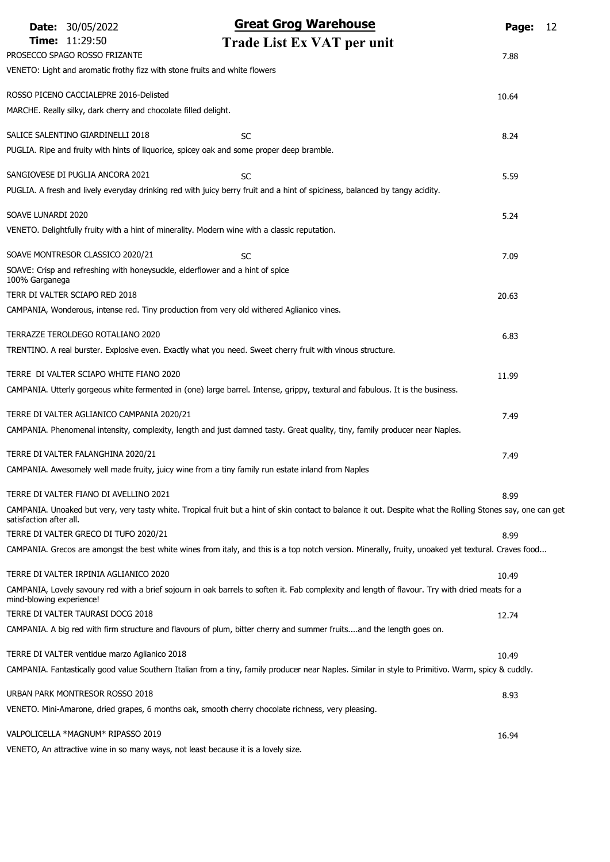|                          | <b>Date: 30/05/2022</b>                                                                           | <b>Great Grog Warehouse</b>                                                                                                                                 | Page: | 12 |
|--------------------------|---------------------------------------------------------------------------------------------------|-------------------------------------------------------------------------------------------------------------------------------------------------------------|-------|----|
|                          | Time: 11:29:50                                                                                    | Trade List Ex VAT per unit                                                                                                                                  |       |    |
|                          | PROSECCO SPAGO ROSSO FRIZANTE                                                                     |                                                                                                                                                             | 7.88  |    |
|                          | VENETO: Light and aromatic frothy fizz with stone fruits and white flowers                        |                                                                                                                                                             |       |    |
|                          | ROSSO PICENO CACCIALEPRE 2016-Delisted                                                            |                                                                                                                                                             | 10.64 |    |
|                          | MARCHE. Really silky, dark cherry and chocolate filled delight.                                   |                                                                                                                                                             |       |    |
|                          | SALICE SALENTINO GIARDINELLI 2018                                                                 | <b>SC</b>                                                                                                                                                   | 8.24  |    |
|                          | PUGLIA. Ripe and fruity with hints of liquorice, spicey oak and some proper deep bramble.         |                                                                                                                                                             |       |    |
|                          |                                                                                                   |                                                                                                                                                             |       |    |
|                          | SANGIOVESE DI PUGLIA ANCORA 2021                                                                  | SC<br>PUGLIA. A fresh and lively everyday drinking red with juicy berry fruit and a hint of spiciness, balanced by tangy acidity.                           | 5.59  |    |
|                          |                                                                                                   |                                                                                                                                                             |       |    |
| SOAVE LUNARDI 2020       |                                                                                                   |                                                                                                                                                             | 5.24  |    |
|                          | VENETO. Delightfully fruity with a hint of minerality. Modern wine with a classic reputation.     |                                                                                                                                                             |       |    |
|                          | SOAVE MONTRESOR CLASSICO 2020/21                                                                  | SC                                                                                                                                                          | 7.09  |    |
|                          | SOAVE: Crisp and refreshing with honeysuckle, elderflower and a hint of spice                     |                                                                                                                                                             |       |    |
| 100% Garganega           | TERR DI VALTER SCIAPO RED 2018                                                                    |                                                                                                                                                             | 20.63 |    |
|                          | CAMPANIA, Wonderous, intense red. Tiny production from very old withered Aglianico vines.         |                                                                                                                                                             |       |    |
|                          |                                                                                                   |                                                                                                                                                             |       |    |
|                          | TERRAZZE TEROLDEGO ROTALIANO 2020                                                                 |                                                                                                                                                             | 6.83  |    |
|                          |                                                                                                   | TRENTINO. A real burster. Explosive even. Exactly what you need. Sweet cherry fruit with vinous structure.                                                  |       |    |
|                          | TERRE DI VALTER SCIAPO WHITE FIANO 2020                                                           |                                                                                                                                                             | 11.99 |    |
|                          |                                                                                                   | CAMPANIA. Utterly gorgeous white fermented in (one) large barrel. Intense, grippy, textural and fabulous. It is the business.                               |       |    |
|                          | TERRE DI VALTER AGLIANICO CAMPANIA 2020/21                                                        |                                                                                                                                                             | 7.49  |    |
|                          |                                                                                                   | CAMPANIA. Phenomenal intensity, complexity, length and just damned tasty. Great quality, tiny, family producer near Naples.                                 |       |    |
|                          | TERRE DI VALTER FALANGHINA 2020/21                                                                |                                                                                                                                                             |       |    |
|                          | CAMPANIA. Awesomely well made fruity, juicy wine from a tiny family run estate inland from Naples |                                                                                                                                                             | 7.49  |    |
|                          |                                                                                                   |                                                                                                                                                             |       |    |
|                          | TERRE DI VALTER FIANO DI AVELLINO 2021                                                            |                                                                                                                                                             | 8.99  |    |
| satisfaction after all.  |                                                                                                   | CAMPANIA. Unoaked but very, very tasty white. Tropical fruit but a hint of skin contact to balance it out. Despite what the Rolling Stones say, one can get |       |    |
|                          | TERRE DI VALTER GRECO DI TUFO 2020/21                                                             |                                                                                                                                                             | 8.99  |    |
|                          |                                                                                                   | CAMPANIA. Grecos are amongst the best white wines from italy, and this is a top notch version. Minerally, fruity, unoaked yet textural. Craves food         |       |    |
|                          | TERRE DI VALTER IRPINIA AGLIANICO 2020                                                            |                                                                                                                                                             | 10.49 |    |
| mind-blowing experience! |                                                                                                   | CAMPANIA, Lovely savoury red with a brief sojourn in oak barrels to soften it. Fab complexity and length of flavour. Try with dried meats for a             |       |    |
|                          | TERRE DI VALTER TAURASI DOCG 2018                                                                 |                                                                                                                                                             | 12.74 |    |
|                          |                                                                                                   | CAMPANIA. A big red with firm structure and flavours of plum, bitter cherry and summer fruitsand the length goes on.                                        |       |    |
|                          | TERRE DI VALTER ventidue marzo Aglianico 2018                                                     |                                                                                                                                                             | 10.49 |    |
|                          |                                                                                                   | CAMPANIA. Fantastically good value Southern Italian from a tiny, family producer near Naples. Similar in style to Primitivo. Warm, spicy & cuddly.          |       |    |
|                          |                                                                                                   |                                                                                                                                                             |       |    |
|                          | URBAN PARK MONTRESOR ROSSO 2018                                                                   |                                                                                                                                                             | 8.93  |    |
|                          |                                                                                                   | VENETO. Mini-Amarone, dried grapes, 6 months oak, smooth cherry chocolate richness, very pleasing.                                                          |       |    |
|                          | VALPOLICELLA *MAGNUM* RIPASSO 2019                                                                |                                                                                                                                                             | 16.94 |    |
|                          | VENETO, An attractive wine in so many ways, not least because it is a lovely size.                |                                                                                                                                                             |       |    |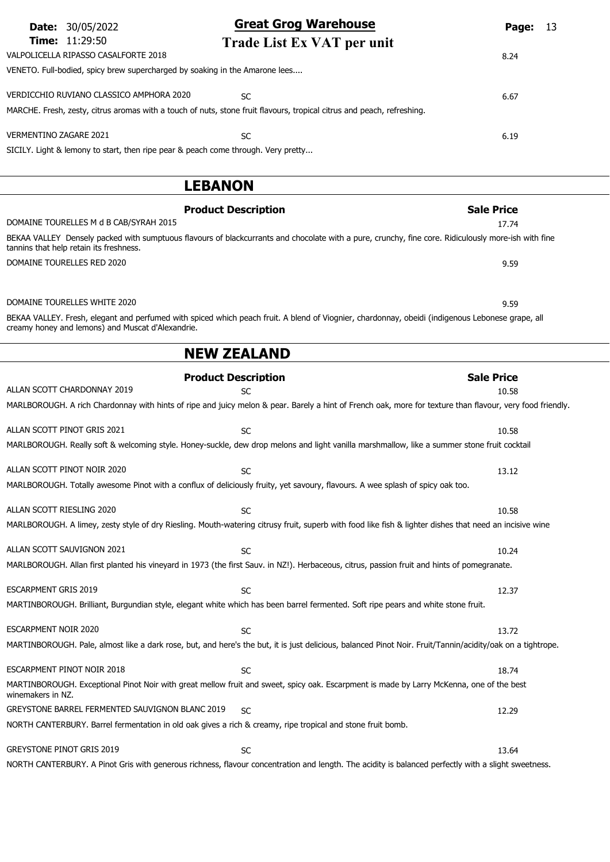| <b>Date:</b> 30/05/2022<br><b>Time: 11:29:50</b>                                  | <b>Great Grog Warehouse</b>                                                                                                                         | 13<br>Page:       |
|-----------------------------------------------------------------------------------|-----------------------------------------------------------------------------------------------------------------------------------------------------|-------------------|
| VALPOLICELLA RIPASSO CASALFORTE 2018                                              | Trade List Ex VAT per unit                                                                                                                          | 8.24              |
| VENETO. Full-bodied, spicy brew supercharged by soaking in the Amarone lees       |                                                                                                                                                     |                   |
| VERDICCHIO RUVIANO CLASSICO AMPHORA 2020                                          | <b>SC</b>                                                                                                                                           | 6.67              |
|                                                                                   | MARCHE. Fresh, zesty, citrus aromas with a touch of nuts, stone fruit flavours, tropical citrus and peach, refreshing.                              |                   |
| <b>VERMENTINO ZAGARE 2021</b>                                                     | <b>SC</b>                                                                                                                                           | 6.19              |
| SICILY. Light & lemony to start, then ripe pear & peach come through. Very pretty |                                                                                                                                                     |                   |
|                                                                                   |                                                                                                                                                     |                   |
|                                                                                   | <b>LEBANON</b>                                                                                                                                      |                   |
|                                                                                   | <b>Product Description</b>                                                                                                                          | <b>Sale Price</b> |
| DOMAINE TOURELLES M d B CAB/SYRAH 2015                                            |                                                                                                                                                     | 17.74             |
|                                                                                   |                                                                                                                                                     |                   |
| tannins that help retain its freshness.                                           | BEKAA VALLEY Densely packed with sumptuous flavours of blackcurrants and chocolate with a pure, crunchy, fine core. Ridiculously more-ish with fine |                   |
| DOMAINE TOURELLES RED 2020                                                        |                                                                                                                                                     | 9.59              |
|                                                                                   |                                                                                                                                                     |                   |
| DOMAINE TOURELLES WHITE 2020                                                      |                                                                                                                                                     | 9.59              |
| creamy honey and lemons) and Muscat d'Alexandrie.                                 | BEKAA VALLEY. Fresh, elegant and perfumed with spiced which peach fruit. A blend of Viognier, chardonnay, obeidi (indigenous Lebonese grape, all    |                   |
|                                                                                   | <b>NEW ZEALAND</b>                                                                                                                                  |                   |

| ALLAN SCOTT CHARDONNAY 2019                                                                                 | <b>SC</b>                                                                                                                                                  | 10.58 |
|-------------------------------------------------------------------------------------------------------------|------------------------------------------------------------------------------------------------------------------------------------------------------------|-------|
|                                                                                                             | MARLBOROUGH. A rich Chardonnay with hints of ripe and juicy melon & pear. Barely a hint of French oak, more for texture than flavour, very food friendly.  |       |
|                                                                                                             |                                                                                                                                                            |       |
| ALLAN SCOTT PINOT GRIS 2021                                                                                 | <b>SC</b>                                                                                                                                                  | 10.58 |
|                                                                                                             | MARLBOROUGH. Really soft & welcoming style. Honey-suckle, dew drop melons and light vanilla marshmallow, like a summer stone fruit cocktail                |       |
| ALLAN SCOTT PINOT NOIR 2020                                                                                 | <b>SC</b>                                                                                                                                                  | 13.12 |
|                                                                                                             | MARLBOROUGH. Totally awesome Pinot with a conflux of deliciously fruity, yet savoury, flavours. A wee splash of spicy oak too.                             |       |
|                                                                                                             |                                                                                                                                                            |       |
| ALLAN SCOTT RIESLING 2020                                                                                   | <b>SC</b>                                                                                                                                                  | 10.58 |
|                                                                                                             | MARLBOROUGH. A limey, zesty style of dry Riesling. Mouth-watering citrusy fruit, superb with food like fish & lighter dishes that need an incisive wine    |       |
|                                                                                                             |                                                                                                                                                            |       |
| ALLAN SCOTT SAUVIGNON 2021                                                                                  | <b>SC</b>                                                                                                                                                  | 10.24 |
|                                                                                                             | MARLBOROUGH. Allan first planted his vineyard in 1973 (the first Sauv. in NZ!). Herbaceous, citrus, passion fruit and hints of pomegranate.                |       |
| <b>ESCARPMENT GRIS 2019</b>                                                                                 | <b>SC</b>                                                                                                                                                  | 12.37 |
|                                                                                                             | MARTINBOROUGH. Brilliant, Burgundian style, elegant white which has been barrel fermented. Soft ripe pears and white stone fruit.                          |       |
|                                                                                                             |                                                                                                                                                            |       |
| <b>ESCARPMENT NOIR 2020</b>                                                                                 | <b>SC</b>                                                                                                                                                  | 13.72 |
|                                                                                                             | MARTINBOROUGH. Pale, almost like a dark rose, but, and here's the but, it is just delicious, balanced Pinot Noir. Fruit/Tannin/acidity/oak on a tightrope. |       |
|                                                                                                             |                                                                                                                                                            |       |
| ESCARPMENT PINOT NOIR 2018                                                                                  | <b>SC</b>                                                                                                                                                  | 18.74 |
| winemakers in NZ.                                                                                           | MARTINBOROUGH. Exceptional Pinot Noir with great mellow fruit and sweet, spicy oak. Escarpment is made by Larry McKenna, one of the best                   |       |
| GREYSTONE BARREL FERMENTED SAUVIGNON BLANC 2019                                                             | <b>SC</b>                                                                                                                                                  | 12.29 |
| NORTH CANTERBURY. Barrel fermentation in old oak gives a rich & creamy, ripe tropical and stone fruit bomb. |                                                                                                                                                            |       |
|                                                                                                             |                                                                                                                                                            |       |
| <b>GREYSTONE PINOT GRIS 2019</b>                                                                            | <b>SC</b>                                                                                                                                                  | 13.64 |
|                                                                                                             |                                                                                                                                                            |       |

NORTH CANTERBURY. A Pinot Gris with generous richness, flavour concentration and length. The acidity is balanced perfectly with a slight sweetness.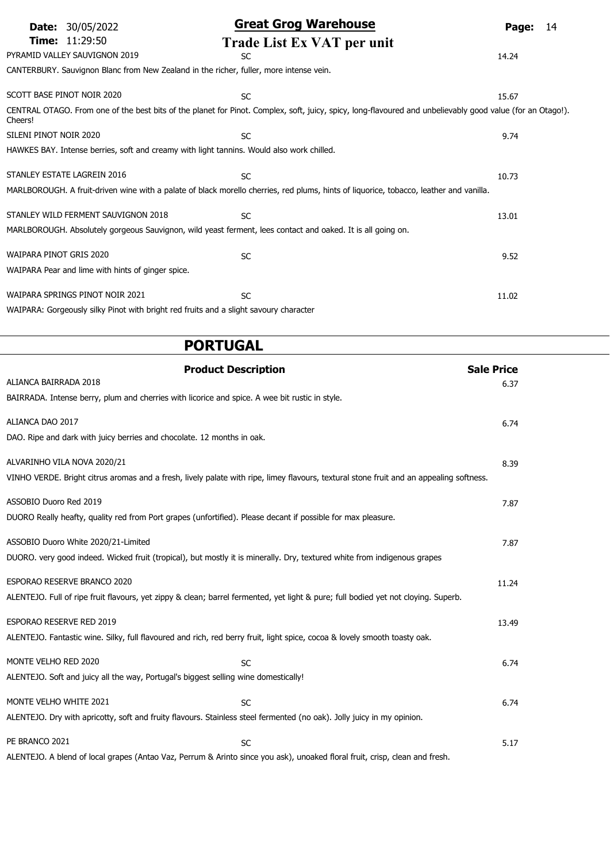| 30/05/2022<br>Date:                               | <b>Great Grog Warehouse</b>                                                                                                            | 14<br>Page:                                                                                                                                                |
|---------------------------------------------------|----------------------------------------------------------------------------------------------------------------------------------------|------------------------------------------------------------------------------------------------------------------------------------------------------------|
| <b>Time:</b> 11:29:50                             | Trade List Ex VAT per unit                                                                                                             |                                                                                                                                                            |
| PYRAMID VALLEY SAUVIGNON 2019                     | <b>SC</b>                                                                                                                              | 14.24                                                                                                                                                      |
|                                                   | CANTERBURY. Sauvignon Blanc from New Zealand in the richer, fuller, more intense vein.                                                 |                                                                                                                                                            |
| SCOTT BASE PINOT NOIR 2020                        |                                                                                                                                        |                                                                                                                                                            |
|                                                   | <b>SC</b>                                                                                                                              | 15.67                                                                                                                                                      |
| Cheers!                                           |                                                                                                                                        | CENTRAL OTAGO. From one of the best bits of the planet for Pinot. Complex, soft, juicy, spicy, long-flavoured and unbelievably good value (for an Otago!). |
| SILENI PINOT NOIR 2020                            | <b>SC</b>                                                                                                                              | 9.74                                                                                                                                                       |
|                                                   | HAWKES BAY. Intense berries, soft and creamy with light tannins. Would also work chilled.                                              |                                                                                                                                                            |
|                                                   |                                                                                                                                        |                                                                                                                                                            |
| STANLEY ESTATE LAGREIN 2016                       | <b>SC</b>                                                                                                                              | 10.73                                                                                                                                                      |
|                                                   | MARLBOROUGH. A fruit-driven wine with a palate of black morello cherries, red plums, hints of liquorice, tobacco, leather and vanilla. |                                                                                                                                                            |
|                                                   |                                                                                                                                        |                                                                                                                                                            |
| STANLEY WILD FERMENT SAUVIGNON 2018               | <b>SC</b>                                                                                                                              | 13.01                                                                                                                                                      |
|                                                   | MARLBOROUGH. Absolutely gorgeous Sauvignon, wild yeast ferment, lees contact and oaked. It is all going on.                            |                                                                                                                                                            |
|                                                   |                                                                                                                                        |                                                                                                                                                            |
| WAIPARA PINOT GRIS 2020                           | <b>SC</b>                                                                                                                              | 9.52                                                                                                                                                       |
| WAIPARA Pear and lime with hints of ginger spice. |                                                                                                                                        |                                                                                                                                                            |
|                                                   |                                                                                                                                        |                                                                                                                                                            |
| WAIPARA SPRINGS PINOT NOIR 2021                   | <b>SC</b>                                                                                                                              | 11.02                                                                                                                                                      |
|                                                   | WAIPARA: Gorgeously silky Pinot with bright red fruits and a slight savoury character                                                  |                                                                                                                                                            |

Product Description National Sale Price

ALENTEJO. A blend of local grapes (Antao Vaz, Perrum & Arinto since you ask), unoaked floral fruit, crisp, clean and fresh.

PORTUGAL

BAIRRADA. Intense berry, plum and cherries with licorice and spice. A wee bit rustic in style.

DUORO Really heafty, quality red from Port grapes (unfortified). Please decant if possible for max pleasure.

DUORO. very good indeed. Wicked fruit (tropical), but mostly it is minerally. Dry, textured white from indigenous grapes

ALENTEJO. Fantastic wine. Silky, full flavoured and rich, red berry fruit, light spice, cocoa & lovely smooth toasty oak.

ALENTEJO. Dry with apricotty, soft and fruity flavours. Stainless steel fermented (no oak). Jolly juicy in my opinion.

ALENTEJO. Full of ripe fruit flavours, yet zippy & clean; barrel fermented, yet light & pure; full bodied yet not cloying. Superb.

DAO. Ripe and dark with juicy berries and chocolate. 12 months in oak.

ALENTEJO. Soft and juicy all the way, Portugal's biggest selling wine domestically!

ALIANCA BAIRRADA 2018 6.37

ALIANCA DAO 2017 6.74

ALVARINHO VILA NOVA 2020/21 8.39

ASSOBIO Duoro Red 2019 **7.87** 

ASSOBIO Duoro White 2020/21-Limited 7.87

ESPORAO RESERVE BRANCO 2020 11.24

ESPORAO RESERVE RED 2019 13.49

MONTE VELHO RED 2020 6.74

MONTE VELHO WHITE 2021 6.74

PE BRANCO 2021 **SC** 5.17

VINHO VERDE. Bright citrus aromas and a fresh, lively palate with ripe, limey flavours, textural stone fruit and an appealing softness.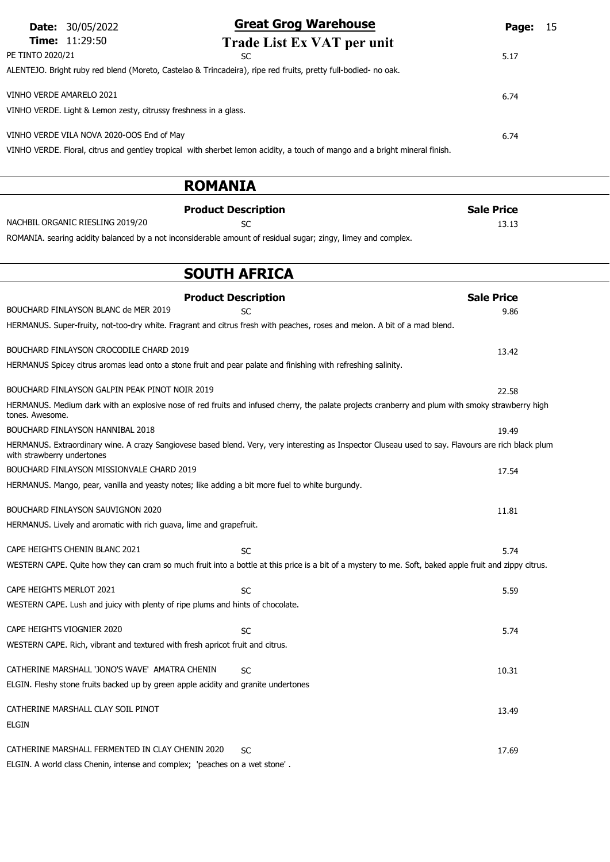|                                           | <b>Date:</b> 30/05/2022                                          | <b>Great Grog Warehouse</b>                                                                                                | Page:             | - 15 |
|-------------------------------------------|------------------------------------------------------------------|----------------------------------------------------------------------------------------------------------------------------|-------------------|------|
|                                           | <b>Time:</b> $11:29:50$                                          | Trade List Ex VAT per unit                                                                                                 |                   |      |
| PE TINTO 2020/21                          |                                                                  | SC.                                                                                                                        | 5.17              |      |
|                                           |                                                                  | ALENTEJO. Bright ruby red blend (Moreto, Castelao & Trincadeira), ripe red fruits, pretty full-bodied- no oak.             |                   |      |
| VINHO VERDE AMARELO 2021                  |                                                                  |                                                                                                                            | 6.74              |      |
|                                           | VINHO VERDE. Light & Lemon zesty, citrussy freshness in a glass. |                                                                                                                            |                   |      |
| VINHO VERDE VILA NOVA 2020-OOS End of May | 6.74                                                             |                                                                                                                            |                   |      |
|                                           |                                                                  | VINHO VERDE. Floral, citrus and gentley tropical with sherbet lemon acidity, a touch of mango and a bright mineral finish. |                   |      |
|                                           |                                                                  | <b>ROMANIA</b>                                                                                                             |                   |      |
|                                           |                                                                  | <b>Product Description</b>                                                                                                 | <b>Sale Price</b> |      |
|                                           | NACHBIL ORGANIC RIESLING 2019/20                                 | SC.                                                                                                                        | 13.13             |      |
|                                           |                                                                  | ROMANIA. searing acidity balanced by a not inconsiderable amount of residual sugar; zingy, limey and complex.              |                   |      |

# SOUTH AFRICA

| <b>Product Description</b>                                                                                                                                                        |           | <b>Sale Price</b> |
|-----------------------------------------------------------------------------------------------------------------------------------------------------------------------------------|-----------|-------------------|
| BOUCHARD FINLAYSON BLANC de MER 2019                                                                                                                                              | SC        | 9.86              |
| HERMANUS. Super-fruity, not-too-dry white. Fragrant and citrus fresh with peaches, roses and melon. A bit of a mad blend.                                                         |           |                   |
| BOUCHARD FINLAYSON CROCODILE CHARD 2019                                                                                                                                           |           |                   |
|                                                                                                                                                                                   |           | 13.42             |
| HERMANUS Spicey citrus aromas lead onto a stone fruit and pear palate and finishing with refreshing salinity.                                                                     |           |                   |
| BOUCHARD FINLAYSON GALPIN PEAK PINOT NOIR 2019                                                                                                                                    |           | 22.58             |
| HERMANUS. Medium dark with an explosive nose of red fruits and infused cherry, the palate projects cranberry and plum with smoky strawberry high<br>tones. Awesome.               |           |                   |
| <b>BOUCHARD FINLAYSON HANNIBAL 2018</b>                                                                                                                                           |           | 19.49             |
| HERMANUS. Extraordinary wine. A crazy Sangiovese based blend. Very, very interesting as Inspector Cluseau used to say. Flavours are rich black plum<br>with strawberry undertones |           |                   |
| BOUCHARD FINLAYSON MISSIONVALE CHARD 2019                                                                                                                                         |           | 17.54             |
| HERMANUS. Mango, pear, vanilla and yeasty notes; like adding a bit more fuel to white burgundy.                                                                                   |           |                   |
|                                                                                                                                                                                   |           |                   |
| BOUCHARD FINLAYSON SAUVIGNON 2020                                                                                                                                                 |           | 11.81             |
| HERMANUS. Lively and aromatic with rich guava, lime and grapefruit.                                                                                                               |           |                   |
| CAPE HEIGHTS CHENIN BLANC 2021                                                                                                                                                    | <b>SC</b> | 5.74              |
| WESTERN CAPE. Quite how they can cram so much fruit into a bottle at this price is a bit of a mystery to me. Soft, baked apple fruit and zippy citrus.                            |           |                   |
|                                                                                                                                                                                   |           |                   |
| CAPE HEIGHTS MERLOT 2021                                                                                                                                                          | SC        | 5.59              |
| WESTERN CAPE. Lush and juicy with plenty of ripe plums and hints of chocolate.                                                                                                    |           |                   |
|                                                                                                                                                                                   |           |                   |
| CAPE HEIGHTS VIOGNIER 2020                                                                                                                                                        | <b>SC</b> | 5.74              |
| WESTERN CAPE. Rich, vibrant and textured with fresh apricot fruit and citrus.                                                                                                     |           |                   |
| CATHERINE MARSHALL 'JONO'S WAVE' AMATRA CHENIN                                                                                                                                    |           |                   |
|                                                                                                                                                                                   | <b>SC</b> | 10.31             |
| ELGIN. Fleshy stone fruits backed up by green apple acidity and granite undertones                                                                                                |           |                   |
| CATHERINE MARSHALL CLAY SOIL PINOT                                                                                                                                                |           | 13.49             |
| <b>ELGIN</b>                                                                                                                                                                      |           |                   |
|                                                                                                                                                                                   |           |                   |
| CATHERINE MARSHALL FERMENTED IN CLAY CHENIN 2020                                                                                                                                  | <b>SC</b> | 17.69             |
| ELGIN. A world class Chenin, intense and complex; 'peaches on a wet stone'.                                                                                                       |           |                   |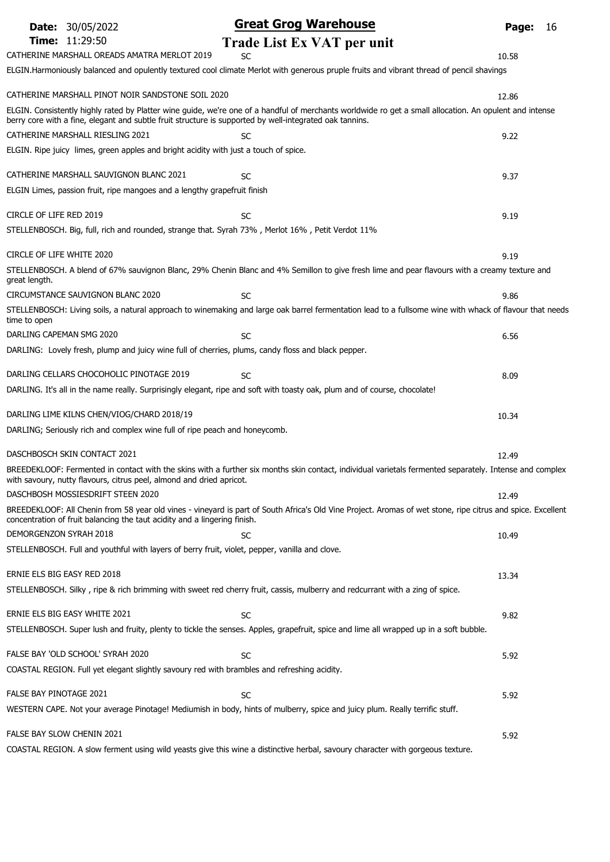|                           | <b>Date: 30/05/2022</b>                                                                                 | <b>Great Grog Warehouse</b>                                                                                                                                 | Page: | 16 |
|---------------------------|---------------------------------------------------------------------------------------------------------|-------------------------------------------------------------------------------------------------------------------------------------------------------------|-------|----|
|                           | <b>Time: 11:29:50</b>                                                                                   | Trade List Ex VAT per unit                                                                                                                                  |       |    |
|                           | CATHERINE MARSHALL OREADS AMATRA MERLOT 2019                                                            | SC                                                                                                                                                          | 10.58 |    |
|                           |                                                                                                         | ELGIN.Harmoniously balanced and opulently textured cool climate Merlot with generous pruple fruits and vibrant thread of pencil shavings                    |       |    |
|                           | CATHERINE MARSHALL PINOT NOIR SANDSTONE SOIL 2020                                                       |                                                                                                                                                             | 12.86 |    |
|                           | berry core with a fine, elegant and subtle fruit structure is supported by well-integrated oak tannins. | ELGIN. Consistently highly rated by Platter wine guide, we're one of a handful of merchants worldwide ro get a small allocation. An opulent and intense     |       |    |
|                           | CATHERINE MARSHALL RIESLING 2021                                                                        | <b>SC</b>                                                                                                                                                   | 9.22  |    |
|                           | ELGIN. Ripe juicy limes, green apples and bright acidity with just a touch of spice.                    |                                                                                                                                                             |       |    |
|                           | CATHERINE MARSHALL SAUVIGNON BLANC 2021                                                                 | SC                                                                                                                                                          | 9.37  |    |
|                           | ELGIN Limes, passion fruit, ripe mangoes and a lengthy grapefruit finish                                |                                                                                                                                                             |       |    |
| CIRCLE OF LIFE RED 2019   |                                                                                                         | SC                                                                                                                                                          | 9.19  |    |
|                           | STELLENBOSCH. Big, full, rich and rounded, strange that. Syrah 73%, Merlot 16%, Petit Verdot 11%        |                                                                                                                                                             |       |    |
| CIRCLE OF LIFE WHITE 2020 |                                                                                                         |                                                                                                                                                             | 9.19  |    |
| great length.             |                                                                                                         | STELLENBOSCH. A blend of 67% sauvignon Blanc, 29% Chenin Blanc and 4% Semillon to give fresh lime and pear flavours with a creamy texture and               |       |    |
|                           | CIRCUMSTANCE SAUVIGNON BLANC 2020                                                                       | <b>SC</b>                                                                                                                                                   | 9.86  |    |
| time to open              |                                                                                                         | STELLENBOSCH: Living soils, a natural approach to winemaking and large oak barrel fermentation lead to a fullsome wine with whack of flavour that needs     |       |    |
| DARLING CAPEMAN SMG 2020  |                                                                                                         | SC                                                                                                                                                          | 6.56  |    |
|                           | DARLING: Lovely fresh, plump and juicy wine full of cherries, plums, candy floss and black pepper.      |                                                                                                                                                             |       |    |
|                           | DARLING CELLARS CHOCOHOLIC PINOTAGE 2019                                                                | <b>SC</b>                                                                                                                                                   | 8.09  |    |
|                           |                                                                                                         | DARLING. It's all in the name really. Surprisingly elegant, ripe and soft with toasty oak, plum and of course, chocolate!                                   |       |    |
|                           | DARLING LIME KILNS CHEN/VIOG/CHARD 2018/19                                                              |                                                                                                                                                             | 10.34 |    |
|                           | DARLING; Seriously rich and complex wine full of ripe peach and honeycomb.                              |                                                                                                                                                             |       |    |
|                           | DASCHBOSCH SKIN CONTACT 2021                                                                            |                                                                                                                                                             | 12.49 |    |
|                           | with savoury, nutty flavours, citrus peel, almond and dried apricot.                                    | BREEDEKLOOF: Fermented in contact with the skins with a further six months skin contact, individual varietals fermented separately. Intense and complex     |       |    |
|                           | DASCHBOSH MOSSIESDRIFT STEEN 2020                                                                       |                                                                                                                                                             | 12.49 |    |
|                           | concentration of fruit balancing the taut acidity and a lingering finish.                               | BREEDEKLOOF: All Chenin from 58 year old vines - vineyard is part of South Africa's Old Vine Project. Aromas of wet stone, ripe citrus and spice. Excellent |       |    |
| DEMORGENZON SYRAH 2018    |                                                                                                         | SC                                                                                                                                                          | 10.49 |    |
|                           | STELLENBOSCH. Full and youthful with layers of berry fruit, violet, pepper, vanilla and clove.          |                                                                                                                                                             |       |    |
|                           | ERNIE ELS BIG EASY RED 2018                                                                             |                                                                                                                                                             | 13.34 |    |
|                           |                                                                                                         | STELLENBOSCH. Silky, ripe & rich brimming with sweet red cherry fruit, cassis, mulberry and redcurrant with a zing of spice.                                |       |    |
|                           | ERNIE ELS BIG EASY WHITE 2021                                                                           | <b>SC</b>                                                                                                                                                   | 9.82  |    |
|                           |                                                                                                         | STELLENBOSCH. Super lush and fruity, plenty to tickle the senses. Apples, grapefruit, spice and lime all wrapped up in a soft bubble.                       |       |    |
|                           | FALSE BAY 'OLD SCHOOL' SYRAH 2020                                                                       | <b>SC</b>                                                                                                                                                   | 5.92  |    |
|                           | COASTAL REGION. Full yet elegant slightly savoury red with brambles and refreshing acidity.             |                                                                                                                                                             |       |    |
| FALSE BAY PINOTAGE 2021   |                                                                                                         | SC                                                                                                                                                          | 5.92  |    |
|                           |                                                                                                         | WESTERN CAPE. Not your average Pinotage! Mediumish in body, hints of mulberry, spice and juicy plum. Really terrific stuff.                                 |       |    |
|                           | FALSE BAY SLOW CHENIN 2021                                                                              |                                                                                                                                                             | 5.92  |    |
|                           |                                                                                                         | COASTAL REGION. A slow ferment using wild yeasts give this wine a distinctive herbal, savoury character with gorgeous texture.                              |       |    |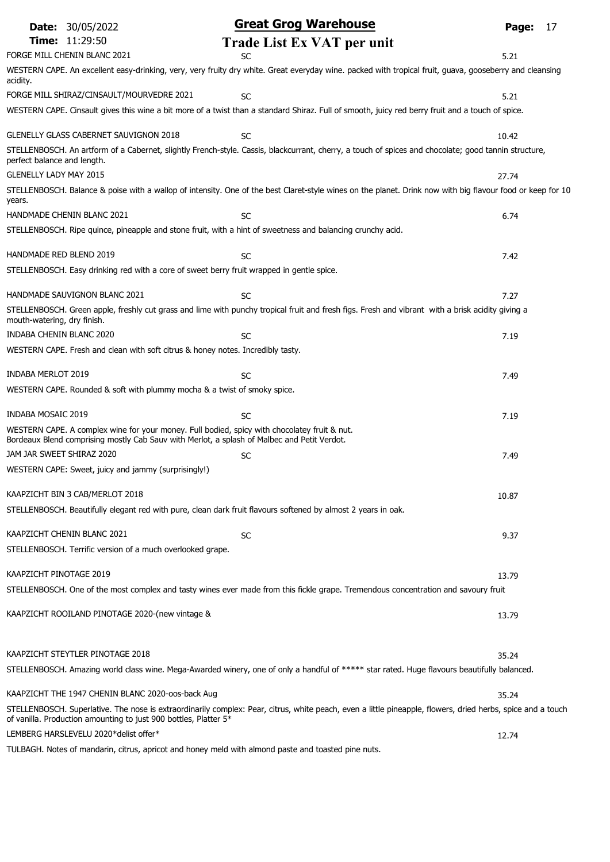| <b>Date: 30/05/2022</b>                                                                                                                                                                     | <b>Great Grog Warehouse</b>                                                                                                                                 | Page: | 17 |
|---------------------------------------------------------------------------------------------------------------------------------------------------------------------------------------------|-------------------------------------------------------------------------------------------------------------------------------------------------------------|-------|----|
| <b>Time: 11:29:50</b>                                                                                                                                                                       | Trade List Ex VAT per unit                                                                                                                                  |       |    |
| FORGE MILL CHENIN BLANC 2021                                                                                                                                                                | SC                                                                                                                                                          | 5.21  |    |
| acidity.                                                                                                                                                                                    | WESTERN CAPE. An excellent easy-drinking, very, very fruity dry white. Great everyday wine. packed with tropical fruit, guava, gooseberry and cleansing     |       |    |
| FORGE MILL SHIRAZ/CINSAULT/MOURVEDRE 2021                                                                                                                                                   | <b>SC</b>                                                                                                                                                   | 5.21  |    |
|                                                                                                                                                                                             | WESTERN CAPE. Cinsault gives this wine a bit more of a twist than a standard Shiraz. Full of smooth, juicy red berry fruit and a touch of spice.            |       |    |
| <b>GLENELLY GLASS CABERNET SAUVIGNON 2018</b>                                                                                                                                               | <b>SC</b>                                                                                                                                                   | 10.42 |    |
| perfect balance and length.                                                                                                                                                                 | STELLENBOSCH. An artform of a Cabernet, slightly French-style. Cassis, blackcurrant, cherry, a touch of spices and chocolate; good tannin structure,        |       |    |
| <b>GLENELLY LADY MAY 2015</b>                                                                                                                                                               |                                                                                                                                                             | 27.74 |    |
| years.                                                                                                                                                                                      | STELLENBOSCH. Balance & poise with a wallop of intensity. One of the best Claret-style wines on the planet. Drink now with big flavour food or keep for 10  |       |    |
| HANDMADE CHENIN BLANC 2021                                                                                                                                                                  | SC                                                                                                                                                          | 6.74  |    |
| STELLENBOSCH. Ripe quince, pineapple and stone fruit, with a hint of sweetness and balancing crunchy acid.                                                                                  |                                                                                                                                                             |       |    |
| HANDMADE RED BLEND 2019                                                                                                                                                                     | SC                                                                                                                                                          | 7.42  |    |
| STELLENBOSCH. Easy drinking red with a core of sweet berry fruit wrapped in gentle spice.                                                                                                   |                                                                                                                                                             |       |    |
| HANDMADE SAUVIGNON BLANC 2021                                                                                                                                                               | <b>SC</b>                                                                                                                                                   | 7.27  |    |
| mouth-watering, dry finish.                                                                                                                                                                 | STELLENBOSCH. Green apple, freshly cut grass and lime with punchy tropical fruit and fresh figs. Fresh and vibrant with a brisk acidity giving a            |       |    |
| INDABA CHENIN BLANC 2020                                                                                                                                                                    | SC                                                                                                                                                          | 7.19  |    |
| WESTERN CAPE. Fresh and clean with soft citrus & honey notes. Incredibly tasty.                                                                                                             |                                                                                                                                                             |       |    |
| <b>INDABA MERLOT 2019</b>                                                                                                                                                                   | <b>SC</b>                                                                                                                                                   | 7.49  |    |
| WESTERN CAPE. Rounded & soft with plummy mocha & a twist of smoky spice.                                                                                                                    |                                                                                                                                                             |       |    |
| INDABA MOSAIC 2019                                                                                                                                                                          | SC                                                                                                                                                          | 7.19  |    |
| WESTERN CAPE. A complex wine for your money. Full bodied, spicy with chocolatey fruit & nut.<br>Bordeaux Blend comprising mostly Cab Sauv with Merlot, a splash of Malbec and Petit Verdot. |                                                                                                                                                             |       |    |
| JAM JAR SWEET SHIRAZ 2020                                                                                                                                                                   | <b>SC</b>                                                                                                                                                   | 7.49  |    |
| WESTERN CAPE: Sweet, juicy and jammy (surprisingly!)                                                                                                                                        |                                                                                                                                                             |       |    |
| KAAPZICHT BIN 3 CAB/MERLOT 2018                                                                                                                                                             |                                                                                                                                                             | 10.87 |    |
| STELLENBOSCH. Beautifully elegant red with pure, clean dark fruit flavours softened by almost 2 years in oak.                                                                               |                                                                                                                                                             |       |    |
| KAAPZICHT CHENIN BLANC 2021                                                                                                                                                                 | <b>SC</b>                                                                                                                                                   | 9.37  |    |
| STELLENBOSCH. Terrific version of a much overlooked grape.                                                                                                                                  |                                                                                                                                                             |       |    |
| KAAPZICHT PINOTAGE 2019                                                                                                                                                                     |                                                                                                                                                             | 13.79 |    |
|                                                                                                                                                                                             | STELLENBOSCH. One of the most complex and tasty wines ever made from this fickle grape. Tremendous concentration and savoury fruit                          |       |    |
| KAAPZICHT ROOILAND PINOTAGE 2020-(new vintage &                                                                                                                                             |                                                                                                                                                             | 13.79 |    |
| KAAPZICHT STEYTLER PINOTAGE 2018                                                                                                                                                            |                                                                                                                                                             | 35.24 |    |
|                                                                                                                                                                                             | STELLENBOSCH. Amazing world class wine. Mega-Awarded winery, one of only a handful of ***** star rated. Huge flavours beautifully balanced.                 |       |    |
| KAAPZICHT THE 1947 CHENIN BLANC 2020-oos-back Aug                                                                                                                                           |                                                                                                                                                             | 35.24 |    |
|                                                                                                                                                                                             | STELLENBOSCH. Superlative. The nose is extraordinarily complex: Pear, citrus, white peach, even a little pineapple, flowers, dried herbs, spice and a touch |       |    |
| of vanilla. Production amounting to just 900 bottles, Platter 5*<br>LEMBERG HARSLEVELU 2020*delist offer*                                                                                   |                                                                                                                                                             | 12.74 |    |
| TULBAGH. Notes of mandarin, citrus, apricot and honey meld with almond paste and toasted pine nuts.                                                                                         |                                                                                                                                                             |       |    |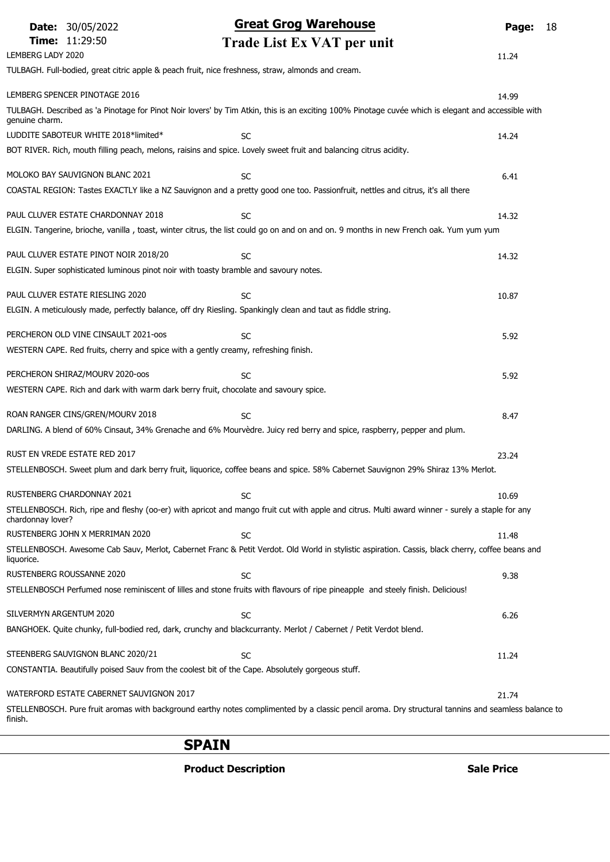|                         | <b>Date: 30/05/2022</b>                  | <b>Great Grog Warehouse</b>                                                                                                                         | Page: | 18 |
|-------------------------|------------------------------------------|-----------------------------------------------------------------------------------------------------------------------------------------------------|-------|----|
|                         | Time: 11:29:50                           | Trade List Ex VAT per unit                                                                                                                          |       |    |
| LEMBERG LADY 2020       |                                          |                                                                                                                                                     | 11.24 |    |
|                         |                                          | TULBAGH. Full-bodied, great citric apple & peach fruit, nice freshness, straw, almonds and cream.                                                   |       |    |
|                         | LEMBERG SPENCER PINOTAGE 2016            |                                                                                                                                                     | 14.99 |    |
| genuine charm.          |                                          | TULBAGH. Described as 'a Pinotage for Pinot Noir lovers' by Tim Atkin, this is an exciting 100% Pinotage cuvée which is elegant and accessible with |       |    |
|                         | LUDDITE SABOTEUR WHITE 2018*limited*     | <b>SC</b>                                                                                                                                           | 14.24 |    |
|                         |                                          | BOT RIVER. Rich, mouth filling peach, melons, raisins and spice. Lovely sweet fruit and balancing citrus acidity.                                   |       |    |
|                         | MOLOKO BAY SAUVIGNON BLANC 2021          | <b>SC</b>                                                                                                                                           | 6.41  |    |
|                         |                                          | COASTAL REGION: Tastes EXACTLY like a NZ Sauvignon and a pretty good one too. Passionfruit, nettles and citrus, it's all there                      |       |    |
|                         | PAUL CLUVER ESTATE CHARDONNAY 2018       | <b>SC</b>                                                                                                                                           | 14.32 |    |
|                         |                                          | ELGIN. Tangerine, brioche, vanilla, toast, winter citrus, the list could go on and on and on. 9 months in new French oak. Yum yum yum               |       |    |
|                         | PAUL CLUVER ESTATE PINOT NOIR 2018/20    | <b>SC</b>                                                                                                                                           | 14.32 |    |
|                         |                                          | ELGIN. Super sophisticated luminous pinot noir with toasty bramble and savoury notes.                                                               |       |    |
|                         | PAUL CLUVER ESTATE RIESLING 2020         | <b>SC</b>                                                                                                                                           | 10.87 |    |
|                         |                                          | ELGIN. A meticulously made, perfectly balance, off dry Riesling. Spankingly clean and taut as fiddle string.                                        |       |    |
|                         | PERCHERON OLD VINE CINSAULT 2021-00S     | <b>SC</b>                                                                                                                                           | 5.92  |    |
|                         |                                          | WESTERN CAPE. Red fruits, cherry and spice with a gently creamy, refreshing finish.                                                                 |       |    |
|                         | PERCHERON SHIRAZ/MOURV 2020-005          | <b>SC</b>                                                                                                                                           | 5.92  |    |
|                         |                                          | WESTERN CAPE. Rich and dark with warm dark berry fruit, chocolate and savoury spice.                                                                |       |    |
|                         | ROAN RANGER CINS/GREN/MOURV 2018         | <b>SC</b>                                                                                                                                           | 8.47  |    |
|                         |                                          | DARLING. A blend of 60% Cinsaut, 34% Grenache and 6% Mourvèdre. Juicy red berry and spice, raspberry, pepper and plum.                              |       |    |
|                         | RUST EN VREDE ESTATE RED 2017            |                                                                                                                                                     | 23.24 |    |
|                         |                                          | STELLENBOSCH. Sweet plum and dark berry fruit, liquorice, coffee beans and spice. 58% Cabernet Sauvignon 29% Shiraz 13% Merlot.                     |       |    |
|                         | RUSTENBERG CHARDONNAY 2021               | SC                                                                                                                                                  | 10.69 |    |
| chardonnay lover?       |                                          | STELLENBOSCH. Rich, ripe and fleshy (oo-er) with apricot and mango fruit cut with apple and citrus. Multi award winner - surely a staple for any    |       |    |
|                         | RUSTENBERG JOHN X MERRIMAN 2020          | <b>SC</b>                                                                                                                                           | 11.48 |    |
| liquorice.              |                                          | STELLENBOSCH. Awesome Cab Sauv, Merlot, Cabernet Franc & Petit Verdot. Old World in stylistic aspiration. Cassis, black cherry, coffee beans and    |       |    |
|                         | RUSTENBERG ROUSSANNE 2020                | <b>SC</b>                                                                                                                                           | 9.38  |    |
|                         |                                          | STELLENBOSCH Perfumed nose reminiscent of lilles and stone fruits with flavours of ripe pineapple and steely finish. Delicious!                     |       |    |
| SILVERMYN ARGENTUM 2020 |                                          | <b>SC</b>                                                                                                                                           | 6.26  |    |
|                         |                                          | BANGHOEK. Quite chunky, full-bodied red, dark, crunchy and blackcurranty. Merlot / Cabernet / Petit Verdot blend.                                   |       |    |
|                         | STEENBERG SAUVIGNON BLANC 2020/21        | <b>SC</b>                                                                                                                                           | 11.24 |    |
|                         |                                          | CONSTANTIA. Beautifully poised Sauv from the coolest bit of the Cape. Absolutely gorgeous stuff.                                                    |       |    |
|                         | WATERFORD ESTATE CABERNET SAUVIGNON 2017 |                                                                                                                                                     | 21.74 |    |
| finish.                 |                                          | STELLENBOSCH. Pure fruit aromas with background earthy notes complimented by a classic pencil aroma. Dry structural tannins and seamless balance to |       |    |

### SPAIN

Product Description and Sale Price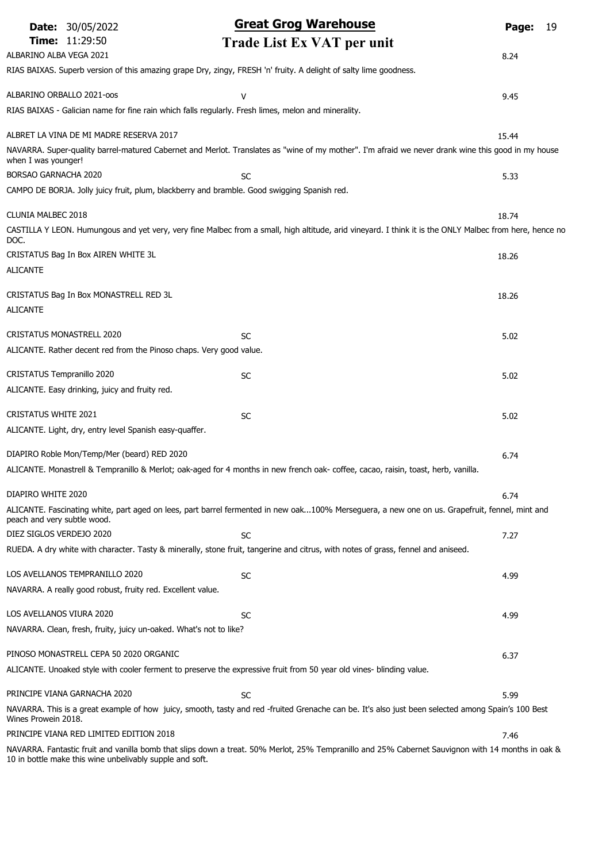| <b>Date: 30/05/2022</b>                                             | <b>Great Grog Warehouse</b>                                                                                                                                     | Page:<br>19 |
|---------------------------------------------------------------------|-----------------------------------------------------------------------------------------------------------------------------------------------------------------|-------------|
| <b>Time: 11:29:50</b>                                               | Trade List Ex VAT per unit                                                                                                                                      |             |
| ALBARINO ALBA VEGA 2021                                             |                                                                                                                                                                 | 8.24        |
|                                                                     | RIAS BAIXAS. Superb version of this amazing grape Dry, zingy, FRESH 'n' fruity. A delight of salty lime goodness.                                               |             |
| ALBARINO ORBALLO 2021-00S                                           | v                                                                                                                                                               | 9.45        |
|                                                                     | RIAS BAIXAS - Galician name for fine rain which falls regularly. Fresh limes, melon and minerality.                                                             |             |
| ALBRET LA VINA DE MI MADRE RESERVA 2017                             |                                                                                                                                                                 | 15.44       |
| when I was younger!                                                 | NAVARRA. Super-quality barrel-matured Cabernet and Merlot. Translates as "wine of my mother". I'm afraid we never drank wine this good in my house              |             |
| BORSAO GARNACHA 2020                                                | <b>SC</b>                                                                                                                                                       | 5.33        |
|                                                                     | CAMPO DE BORJA. Jolly juicy fruit, plum, blackberry and bramble. Good swigging Spanish red.                                                                     |             |
| CLUNIA MALBEC 2018                                                  |                                                                                                                                                                 | 18.74       |
| DOC.                                                                | CASTILLA Y LEON. Humungous and yet very, very fine Malbec from a small, high altitude, arid vineyard. I think it is the ONLY Malbec from here, hence no         |             |
| CRISTATUS Bag In Box AIREN WHITE 3L                                 |                                                                                                                                                                 | 18.26       |
| <b>ALICANTE</b>                                                     |                                                                                                                                                                 |             |
| CRISTATUS Bag In Box MONASTRELL RED 3L                              |                                                                                                                                                                 | 18.26       |
| <b>ALICANTE</b>                                                     |                                                                                                                                                                 |             |
| <b>CRISTATUS MONASTRELL 2020</b>                                    | SC                                                                                                                                                              | 5.02        |
| ALICANTE. Rather decent red from the Pinoso chaps. Very good value. |                                                                                                                                                                 |             |
| CRISTATUS Tempranillo 2020                                          | <b>SC</b>                                                                                                                                                       | 5.02        |
| ALICANTE. Easy drinking, juicy and fruity red.                      |                                                                                                                                                                 |             |
| <b>CRISTATUS WHITE 2021</b>                                         | SC                                                                                                                                                              | 5.02        |
| ALICANTE. Light, dry, entry level Spanish easy-quaffer.             |                                                                                                                                                                 |             |
| DIAPIRO Roble Mon/Temp/Mer (beard) RED 2020                         |                                                                                                                                                                 |             |
|                                                                     | ALICANTE. Monastrell & Tempranillo & Merlot; oak-aged for 4 months in new french oak-coffee, cacao, raisin, toast, herb, vanilla.                               | 6.74        |
|                                                                     |                                                                                                                                                                 |             |
| DIAPIRO WHITE 2020                                                  |                                                                                                                                                                 | 6.74        |
| peach and very subtle wood.                                         | ALICANTE. Fascinating white, part aged on lees, part barrel fermented in new oak100% Merseguera, a new one on us. Grapefruit, fennel, mint and                  |             |
| DIEZ SIGLOS VERDEJO 2020                                            | <b>SC</b>                                                                                                                                                       | 7.27        |
|                                                                     | RUEDA. A dry white with character. Tasty & minerally, stone fruit, tangerine and citrus, with notes of grass, fennel and aniseed.                               |             |
| LOS AVELLANOS TEMPRANILLO 2020                                      | <b>SC</b>                                                                                                                                                       | 4.99        |
| NAVARRA. A really good robust, fruity red. Excellent value.         |                                                                                                                                                                 |             |
| LOS AVELLANOS VIURA 2020                                            | SC                                                                                                                                                              | 4.99        |
| NAVARRA. Clean, fresh, fruity, juicy un-oaked. What's not to like?  |                                                                                                                                                                 |             |
| PINOSO MONASTRELL CEPA 50 2020 ORGANIC                              |                                                                                                                                                                 | 6.37        |
|                                                                     | ALICANTE. Unoaked style with cooler ferment to preserve the expressive fruit from 50 year old vines- blinding value.                                            |             |
| PRINCIPE VIANA GARNACHA 2020                                        |                                                                                                                                                                 |             |
|                                                                     | <b>SC</b><br>NAVARRA. This is a great example of how juicy, smooth, tasty and red -fruited Grenache can be. It's also just been selected among Spain's 100 Best | 5.99        |
| Wines Prowein 2018.                                                 |                                                                                                                                                                 |             |
| PRINCIPE VIANA RED LIMITED EDITION 2018                             | NAVARRA. Fantastic fruit and vanilla bomb that slips down a treat. 50% Merlot, 25% Tempranillo and 25% Cabernet Sauvignon with 14 months in oak &               | 7.46        |
| 10 in bottle make this wine unbelivably supple and soft.            |                                                                                                                                                                 |             |

10 in bottle make this wine unbelivably supple and soft.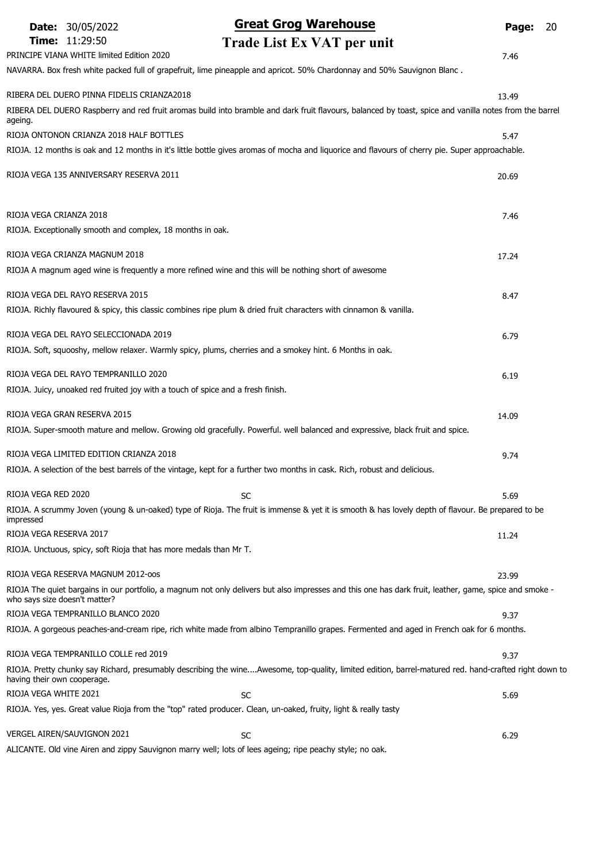|                               | <b>Date: 30/05/2022</b>                                    | <b>Great Grog Warehouse</b>                                                                                                                            | Page: | 20 |
|-------------------------------|------------------------------------------------------------|--------------------------------------------------------------------------------------------------------------------------------------------------------|-------|----|
|                               | <b>Time: 11:29:50</b>                                      | Trade List Ex VAT per unit                                                                                                                             |       |    |
|                               | PRINCIPE VIANA WHITE limited Edition 2020                  |                                                                                                                                                        | 7.46  |    |
|                               |                                                            | NAVARRA. Box fresh white packed full of grapefruit, lime pineapple and apricot. 50% Chardonnay and 50% Sauvignon Blanc.                                |       |    |
|                               | RIBERA DEL DUERO PINNA FIDELIS CRIANZA2018                 |                                                                                                                                                        | 13.49 |    |
|                               |                                                            | RIBERA DEL DUERO Raspberry and red fruit aromas build into bramble and dark fruit flavours, balanced by toast, spice and vanilla notes from the barrel |       |    |
| ageing.                       | RIOJA ONTONON CRIANZA 2018 HALF BOTTLES                    |                                                                                                                                                        |       |    |
|                               |                                                            | RIOJA. 12 months is oak and 12 months in it's little bottle gives aromas of mocha and liquorice and flavours of cherry pie. Super approachable.        | 5.47  |    |
|                               |                                                            |                                                                                                                                                        |       |    |
|                               | RIOJA VEGA 135 ANNIVERSARY RESERVA 2011                    |                                                                                                                                                        | 20.69 |    |
|                               |                                                            |                                                                                                                                                        |       |    |
| RIOJA VEGA CRIANZA 2018       |                                                            |                                                                                                                                                        | 7.46  |    |
|                               | RIOJA. Exceptionally smooth and complex, 18 months in oak. |                                                                                                                                                        |       |    |
|                               | RIOJA VEGA CRIANZA MAGNUM 2018                             |                                                                                                                                                        |       |    |
|                               |                                                            | RIOJA A magnum aged wine is frequently a more refined wine and this will be nothing short of awesome                                                   | 17.24 |    |
|                               |                                                            |                                                                                                                                                        |       |    |
|                               | RIOJA VEGA DEL RAYO RESERVA 2015                           |                                                                                                                                                        | 8.47  |    |
|                               |                                                            | RIOJA. Richly flavoured & spicy, this classic combines ripe plum & dried fruit characters with cinnamon & vanilla.                                     |       |    |
|                               | RIOJA VEGA DEL RAYO SELECCIONADA 2019                      |                                                                                                                                                        | 6.79  |    |
|                               |                                                            | RIOJA. Soft, squooshy, mellow relaxer. Warmly spicy, plums, cherries and a smokey hint. 6 Months in oak.                                               |       |    |
|                               | RIOJA VEGA DEL RAYO TEMPRANILLO 2020                       |                                                                                                                                                        |       |    |
|                               |                                                            | RIOJA. Juicy, unoaked red fruited joy with a touch of spice and a fresh finish.                                                                        | 6.19  |    |
|                               |                                                            |                                                                                                                                                        |       |    |
|                               | RIOJA VEGA GRAN RESERVA 2015                               |                                                                                                                                                        | 14.09 |    |
|                               |                                                            | RIOJA. Super-smooth mature and mellow. Growing old gracefully. Powerful. well balanced and expressive, black fruit and spice.                          |       |    |
|                               | RIOJA VEGA LIMITED EDITION CRIANZA 2018                    |                                                                                                                                                        | 9.74  |    |
|                               |                                                            | RIOJA. A selection of the best barrels of the vintage, kept for a further two months in cask. Rich, robust and delicious.                              |       |    |
| RIOJA VEGA RED 2020           |                                                            | <b>SC</b>                                                                                                                                              | 5.69  |    |
|                               |                                                            | RIOJA. A scrummy Joven (young & un-oaked) type of Rioja. The fruit is immense & yet it is smooth & has lovely depth of flavour. Be prepared to be      |       |    |
| impressed                     |                                                            |                                                                                                                                                        |       |    |
| RIOJA VEGA RESERVA 2017       |                                                            |                                                                                                                                                        | 11.24 |    |
|                               |                                                            | RIOJA. Unctuous, spicy, soft Rioja that has more medals than Mr T.                                                                                     |       |    |
|                               | RIOJA VEGA RESERVA MAGNUM 2012-005                         |                                                                                                                                                        | 23.99 |    |
| who says size doesn't matter? |                                                            | RIOJA The quiet bargains in our portfolio, a magnum not only delivers but also impresses and this one has dark fruit, leather, game, spice and smoke - |       |    |
|                               | RIOJA VEGA TEMPRANILLO BLANCO 2020                         |                                                                                                                                                        | 9.37  |    |
|                               |                                                            | RIOJA. A gorgeous peaches-and-cream ripe, rich white made from albino Tempranillo grapes. Fermented and aged in French oak for 6 months.               |       |    |
|                               | RIOJA VEGA TEMPRANILLO COLLE red 2019                      |                                                                                                                                                        | 9.37  |    |
| having their own cooperage.   |                                                            | RIOJA. Pretty chunky say Richard, presumably describing the wineAwesome, top-quality, limited edition, barrel-matured red. hand-crafted right down to  |       |    |
| RIOJA VEGA WHITE 2021         |                                                            | <b>SC</b>                                                                                                                                              | 5.69  |    |
|                               |                                                            | RIOJA. Yes, yes. Great value Rioja from the "top" rated producer. Clean, un-oaked, fruity, light & really tasty                                        |       |    |
|                               | VERGEL AIREN/SAUVIGNON 2021                                | <b>SC</b>                                                                                                                                              | 6.29  |    |
|                               |                                                            |                                                                                                                                                        |       |    |

ALICANTE. Old vine Airen and zippy Sauvignon marry well; lots of lees ageing; ripe peachy style; no oak.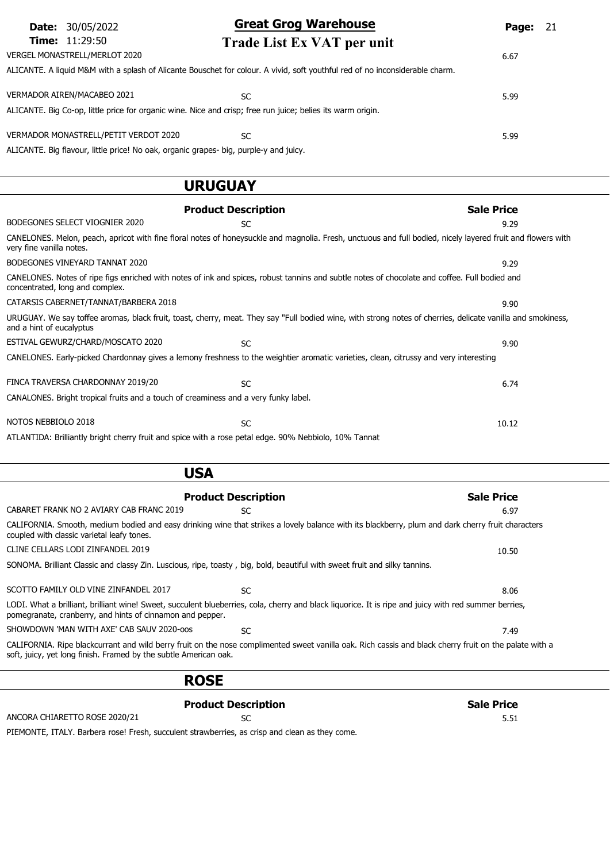| <b>Date:</b> 30/05/2022                                                                                     | <b>Great Grog Warehouse</b>                                                                                                  | <b>Page: 21</b> |
|-------------------------------------------------------------------------------------------------------------|------------------------------------------------------------------------------------------------------------------------------|-----------------|
| <b>Time:</b> 11:29:50                                                                                       | Trade List Ex VAT per unit                                                                                                   |                 |
| VERGEL MONASTRELL/MERLOT 2020                                                                               |                                                                                                                              | 6.67            |
|                                                                                                             | ALICANTE. A liquid M&M with a splash of Alicante Bouschet for colour. A vivid, soft youthful red of no inconsiderable charm. |                 |
| VERMADOR AIREN/MACABEO 2021                                                                                 | SC                                                                                                                           | 5.99            |
| ALICANTE. Big Co-op, little price for organic wine. Nice and crisp; free run juice; belies its warm origin. |                                                                                                                              |                 |
| VERMADOR MONASTRELL/PETIT VERDOT 2020                                                                       | SC                                                                                                                           | 5.99            |
| ALICANTE. Big flavour, little price! No oak, organic grapes- big, purple-y and juicy.                       |                                                                                                                              |                 |

### URUGUAY

|                                                                                                                                                                                  | <b>Product Description</b> | <b>Sale Price</b>                                                                                                                                           |
|----------------------------------------------------------------------------------------------------------------------------------------------------------------------------------|----------------------------|-------------------------------------------------------------------------------------------------------------------------------------------------------------|
| BODEGONES SELECT VIOGNIER 2020                                                                                                                                                   | SC.                        | 9.29                                                                                                                                                        |
| very fine vanilla notes.                                                                                                                                                         |                            | CANELONES. Melon, peach, apricot with fine floral notes of honeysuckle and magnolia. Fresh, unctuous and full bodied, nicely layered fruit and flowers with |
| BODEGONES VINEYARD TANNAT 2020                                                                                                                                                   |                            | 9.29                                                                                                                                                        |
| CANELONES. Notes of ripe figs enriched with notes of ink and spices, robust tannins and subtle notes of chocolate and coffee. Full bodied and<br>concentrated, long and complex. |                            |                                                                                                                                                             |
| CATARSIS CABERNET/TANNAT/BARBERA 2018                                                                                                                                            |                            | 9.90                                                                                                                                                        |
| and a hint of eucalyptus                                                                                                                                                         |                            | URUGUAY. We say toffee aromas, black fruit, toast, cherry, meat. They say "Full bodied wine, with strong notes of cherries, delicate vanilla and smokiness, |
| ESTIVAL GEWURZ/CHARD/MOSCATO 2020                                                                                                                                                | <b>SC</b>                  | 9.90                                                                                                                                                        |
| CANELONES. Early-picked Chardonnay gives a lemony freshness to the weightier aromatic varieties, clean, citrussy and very interesting                                            |                            |                                                                                                                                                             |
| FINCA TRAVERSA CHARDONNAY 2019/20                                                                                                                                                | <b>SC</b>                  | 6.74                                                                                                                                                        |
| CANALONES. Bright tropical fruits and a touch of creaminess and a very funky label.                                                                                              |                            |                                                                                                                                                             |
| NOTOS NEBBIOLO 2018                                                                                                                                                              | <b>SC</b>                  | 10.12                                                                                                                                                       |
| ATLANTIDA: Brilliantly bright cherry fruit and spice with a rose petal edge. 90% Nebbiolo, 10% Tannat                                                                            |                            |                                                                                                                                                             |

| <b>USA</b>                                                                                                                                                                                                                 |                            |                   |
|----------------------------------------------------------------------------------------------------------------------------------------------------------------------------------------------------------------------------|----------------------------|-------------------|
|                                                                                                                                                                                                                            | <b>Product Description</b> | <b>Sale Price</b> |
| CABARET FRANK NO 2 AVIARY CAB FRANC 2019                                                                                                                                                                                   | <b>SC</b>                  | 6.97              |
| CALIFORNIA. Smooth, medium bodied and easy drinking wine that strikes a lovely balance with its blackberry, plum and dark cherry fruit characters<br>coupled with classic varietal leafy tones.                            |                            |                   |
| CLINE CELLARS LODI ZINFANDEL 2019                                                                                                                                                                                          |                            | 10.50             |
| SONOMA. Brilliant Classic and classy Zin. Luscious, ripe, toasty, big, bold, beautiful with sweet fruit and silky tannins.                                                                                                 |                            |                   |
| SCOTTO FAMILY OLD VINE ZINFANDEL 2017                                                                                                                                                                                      | <b>SC</b>                  | 8.06              |
| LODI. What a brilliant, brilliant wine! Sweet, succulent blueberries, cola, cherry and black liquorice. It is ripe and juicy with red summer berries,<br>pomegranate, cranberry, and hints of cinnamon and pepper.         |                            |                   |
| SHOWDOWN 'MAN WITH AXE' CAB SAUV 2020-oos                                                                                                                                                                                  | <b>SC</b>                  | 7.49              |
| CALIFORNIA. Ripe blackcurrant and wild berry fruit on the nose complimented sweet vanilla oak. Rich cassis and black cherry fruit on the palate with a<br>soft, juicy, yet long finish. Framed by the subtle American oak. |                            |                   |
|                                                                                                                                                                                                                            |                            |                   |

Product Description and Sale Price ANCORA CHIARETTO ROSE 2020/21 SC 5.51 PIEMONTE, ITALY. Barbera rose! Fresh, succulent strawberries, as crisp and clean as they come.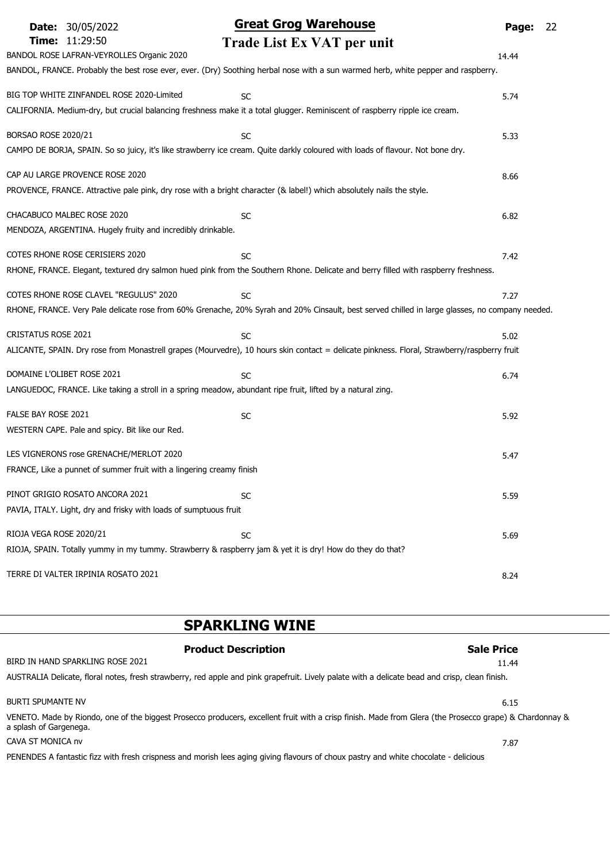| <b>Date: 30/05/2022</b>                                                                                                                                  | <b>Great Grog Warehouse</b>                                                                                                                                     | Page: | 22 |
|----------------------------------------------------------------------------------------------------------------------------------------------------------|-----------------------------------------------------------------------------------------------------------------------------------------------------------------|-------|----|
| Time: 11:29:50<br>BANDOL ROSE LAFRAN-VEYROLLES Organic 2020                                                                                              | Trade List Ex VAT per unit<br>BANDOL, FRANCE. Probably the best rose ever, ever. (Dry) Soothing herbal nose with a sun warmed herb, white pepper and raspberry. | 14.44 |    |
| BIG TOP WHITE ZINFANDEL ROSE 2020-Limited                                                                                                                | <b>SC</b><br>CALIFORNIA. Medium-dry, but crucial balancing freshness make it a total glugger. Reminiscent of raspberry ripple ice cream.                        | 5.74  |    |
| BORSAO ROSE 2020/21                                                                                                                                      | <b>SC</b><br>CAMPO DE BORJA, SPAIN. So so juicy, it's like strawberry ice cream. Quite darkly coloured with loads of flavour. Not bone dry.                     | 5.33  |    |
| CAP AU LARGE PROVENCE ROSE 2020<br>PROVENCE, FRANCE. Attractive pale pink, dry rose with a bright character (& label!) which absolutely nails the style. |                                                                                                                                                                 | 8.66  |    |
| CHACABUCO MALBEC ROSE 2020<br>MENDOZA, ARGENTINA. Hugely fruity and incredibly drinkable.                                                                | <b>SC</b>                                                                                                                                                       | 6.82  |    |
| COTES RHONE ROSE CERISIERS 2020                                                                                                                          | <b>SC</b><br>RHONE, FRANCE. Elegant, textured dry salmon hued pink from the Southern Rhone. Delicate and berry filled with raspberry freshness.                 | 7.42  |    |
| COTES RHONE ROSE CLAVEL "REGULUS" 2020                                                                                                                   | <b>SC</b><br>RHONE, FRANCE. Very Pale delicate rose from 60% Grenache, 20% Syrah and 20% Cinsault, best served chilled in large glasses, no company needed.     | 7.27  |    |
| <b>CRISTATUS ROSE 2021</b>                                                                                                                               | <b>SC</b><br>ALICANTE, SPAIN. Dry rose from Monastrell grapes (Mourvedre), 10 hours skin contact = delicate pinkness. Floral, Strawberry/raspberry fruit        | 5.02  |    |
| DOMAINE L'OLIBET ROSE 2021<br>LANGUEDOC, FRANCE. Like taking a stroll in a spring meadow, abundant ripe fruit, lifted by a natural zing.                 | <b>SC</b>                                                                                                                                                       | 6.74  |    |
| FALSE BAY ROSE 2021<br>WESTERN CAPE. Pale and spicy. Bit like our Red.                                                                                   | <b>SC</b>                                                                                                                                                       | 5.92  |    |
| LES VIGNERONS rose GRENACHE/MERLOT 2020<br>FRANCE, Like a punnet of summer fruit with a lingering creamy finish                                          |                                                                                                                                                                 | 5.47  |    |
| PINOT GRIGIO ROSATO ANCORA 2021<br>PAVIA, ITALY. Light, dry and frisky with loads of sumptuous fruit                                                     | SC                                                                                                                                                              | 5.59  |    |
| RIOJA VEGA ROSE 2020/21<br>RIOJA, SPAIN. Totally yummy in my tummy. Strawberry & raspberry jam & yet it is dry! How do they do that?                     | SC                                                                                                                                                              | 5.69  |    |
| TERRE DI VALTER IRPINIA ROSATO 2021                                                                                                                      |                                                                                                                                                                 | 8.24  |    |

# SPARKLING WINE

| <b>Product Description</b>                                                                                                                                                        | <b>Sale Price</b> |
|-----------------------------------------------------------------------------------------------------------------------------------------------------------------------------------|-------------------|
| BIRD IN HAND SPARKLING ROSE 2021                                                                                                                                                  | 11.44             |
| AUSTRALIA Delicate, floral notes, fresh strawberry, red apple and pink grapefruit. Lively palate with a delicate bead and crisp, clean finish.                                    |                   |
| <b>BURTI SPUMANTE NV</b>                                                                                                                                                          | 6.15              |
| VENETO. Made by Riondo, one of the biggest Prosecco producers, excellent fruit with a crisp finish. Made from Glera (the Prosecco grape) & Chardonnay &<br>a splash of Gargenega. |                   |
| CAVA ST MONICA nv                                                                                                                                                                 | 7.87              |
| PENENDES A fantastic fizz with fresh crispness and morish lees aging giving flavours of choux pastry and white chocolate - delicious                                              |                   |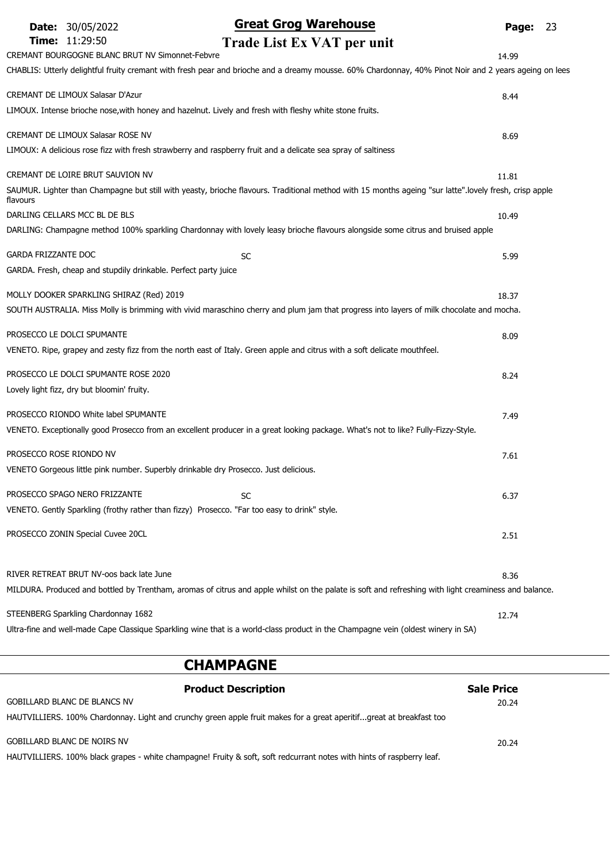| <b>Great Grog Warehouse</b><br><b>Date: 30/05/2022</b><br>Time: 11:29:50<br>Trade List Ex VAT per unit                                                 | 23<br>Page: |
|--------------------------------------------------------------------------------------------------------------------------------------------------------|-------------|
| CREMANT BOURGOGNE BLANC BRUT NV Simonnet-Febvre                                                                                                        | 14.99       |
| CHABLIS: Utterly delightful fruity cremant with fresh pear and brioche and a dreamy mousse. 60% Chardonnay, 40% Pinot Noir and 2 years ageing on lees  |             |
|                                                                                                                                                        |             |
| CREMANT DE LIMOUX Salasar D'Azur                                                                                                                       | 8.44        |
| LIMOUX. Intense brioche nose, with honey and hazelnut. Lively and fresh with fleshy white stone fruits.                                                |             |
| CREMANT DE LIMOUX Salasar ROSE NV                                                                                                                      | 8.69        |
| LIMOUX: A delicious rose fizz with fresh strawberry and raspberry fruit and a delicate sea spray of saltiness                                          |             |
| CREMANT DE LOIRE BRUT SAUVION NV                                                                                                                       | 11.81       |
| SAUMUR. Lighter than Champagne but still with yeasty, brioche flavours. Traditional method with 15 months ageing "sur latte".lovely fresh, crisp apple |             |
| flavours                                                                                                                                               |             |
| DARLING CELLARS MCC BL DE BLS                                                                                                                          | 10.49       |
| DARLING: Champagne method 100% sparkling Chardonnay with lovely leasy brioche flavours alongside some citrus and bruised apple                         |             |
| <b>GARDA FRIZZANTE DOC</b><br><b>SC</b>                                                                                                                | 5.99        |
| GARDA. Fresh, cheap and stupdily drinkable. Perfect party juice                                                                                        |             |
|                                                                                                                                                        |             |
| MOLLY DOOKER SPARKLING SHIRAZ (Red) 2019                                                                                                               | 18.37       |
| SOUTH AUSTRALIA. Miss Molly is brimming with vivid maraschino cherry and plum jam that progress into layers of milk chocolate and mocha.               |             |
| PROSECCO LE DOLCI SPUMANTE                                                                                                                             | 8.09        |
| VENETO. Ripe, grapey and zesty fizz from the north east of Italy. Green apple and citrus with a soft delicate mouthfeel.                               |             |
| PROSECCO LE DOLCI SPUMANTE ROSE 2020                                                                                                                   |             |
| Lovely light fizz, dry but bloomin' fruity.                                                                                                            | 8.24        |
|                                                                                                                                                        |             |
| PROSECCO RIONDO White label SPUMANTE                                                                                                                   | 7.49        |
| VENETO. Exceptionally good Prosecco from an excellent producer in a great looking package. What's not to like? Fully-Fizzy-Style.                      |             |
| PROSECCO ROSE RIONDO NV                                                                                                                                | 7.61        |
| VENETO Gorgeous little pink number. Superbly drinkable dry Prosecco. Just delicious.                                                                   |             |
|                                                                                                                                                        |             |
| PROSECCO SPAGO NERO FRIZZANTE<br><b>SC</b>                                                                                                             | 6.37        |
| VENETO. Gently Sparkling (frothy rather than fizzy) Prosecco. "Far too easy to drink" style.                                                           |             |
| PROSECCO ZONIN Special Cuvee 20CL                                                                                                                      | 2.51        |
|                                                                                                                                                        |             |
|                                                                                                                                                        |             |
| RIVER RETREAT BRUT NV-oos back late June                                                                                                               | 8.36        |
| MILDURA. Produced and bottled by Trentham, aromas of citrus and apple whilst on the palate is soft and refreshing with light creaminess and balance.   |             |
| STEENBERG Sparkling Chardonnay 1682                                                                                                                    | 12.74       |
| Ultra-fine and well-made Cape Classique Sparkling wine that is a world-class product in the Champagne vein (oldest winery in SA)                       |             |
|                                                                                                                                                        |             |

### CHAMPAGNE

| <b>Product Description</b>                                                                                            | <b>Sale Price</b> |  |
|-----------------------------------------------------------------------------------------------------------------------|-------------------|--|
| <b>GOBILLARD BLANC DE BLANCS NV</b>                                                                                   | 20.24             |  |
| HAUTVILLIERS. 100% Chardonnay. Light and crunchy green apple fruit makes for a great aperitifgreat at breakfast too   |                   |  |
| GOBILLARD BLANC DE NOIRS NV                                                                                           | 20.24             |  |
| HAUTVILLIERS. 100% black grapes - white champagne! Fruity & soft, soft redcurrant notes with hints of raspberry leaf. |                   |  |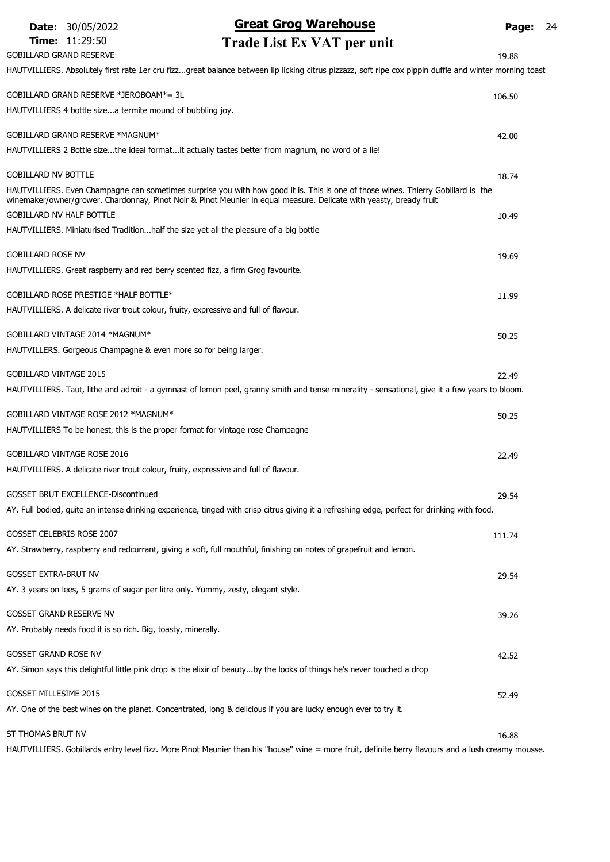|                                 | <b>Date: 30/05/2022</b>                                        | <b>Great Grog Warehouse</b>                                                                                                                            | <b>Page: 24</b> |  |
|---------------------------------|----------------------------------------------------------------|--------------------------------------------------------------------------------------------------------------------------------------------------------|-----------------|--|
|                                 | Time: 11:29:50                                                 | Trade List Ex VAT per unit                                                                                                                             |                 |  |
| <b>GOBILLARD GRAND RESERVE</b>  |                                                                |                                                                                                                                                        | 19.88           |  |
|                                 |                                                                | HAUTVILLIERS. Absolutely first rate 1er cru fizzgreat balance between lip licking citrus pizzazz, soft ripe cox pippin duffle and winter morning toast |                 |  |
|                                 | GOBILLARD GRAND RESERVE *JEROBOAM*= 3L                         |                                                                                                                                                        | 106.50          |  |
|                                 | HAUTVILLIERS 4 bottle sizea termite mound of bubbling joy.     |                                                                                                                                                        |                 |  |
|                                 | GOBILLARD GRAND RESERVE *MAGNUM*                               |                                                                                                                                                        | 42.00           |  |
|                                 |                                                                | HAUTVILLIERS 2 Bottle sizethe ideal formatit actually tastes better from magnum, no word of a lie!                                                     |                 |  |
| <b>GOBILLARD NV BOTTLE</b>      |                                                                |                                                                                                                                                        |                 |  |
|                                 |                                                                | HAUTVILLIERS. Even Champagne can sometimes surprise you with how good it is. This is one of those wines. Thierry Gobillard is the                      | 18.74           |  |
|                                 |                                                                | winemaker/owner/grower. Chardonnay, Pinot Noir & Pinot Meunier in equal measure. Delicate with yeasty, bready fruit                                    |                 |  |
| <b>GOBILLARD NV HALF BOTTLE</b> |                                                                |                                                                                                                                                        | 10.49           |  |
|                                 |                                                                | HAUTVILLIERS. Miniaturised Traditionhalf the size yet all the pleasure of a big bottle                                                                 |                 |  |
| <b>GOBILLARD ROSE NV</b>        |                                                                |                                                                                                                                                        | 19.69           |  |
|                                 |                                                                | HAUTVILLIERS. Great raspberry and red berry scented fizz, a firm Grog favourite.                                                                       |                 |  |
|                                 | GOBILLARD ROSE PRESTIGE *HALF BOTTLE*                          |                                                                                                                                                        | 11.99           |  |
|                                 |                                                                | HAUTVILLIERS. A delicate river trout colour, fruity, expressive and full of flavour.                                                                   |                 |  |
|                                 | GOBILLARD VINTAGE 2014 *MAGNUM*                                |                                                                                                                                                        | 50.25           |  |
|                                 |                                                                | HAUTVILLERS. Gorgeous Champagne & even more so for being larger.                                                                                       |                 |  |
| <b>GOBILLARD VINTAGE 2015</b>   |                                                                |                                                                                                                                                        |                 |  |
|                                 |                                                                | HAUTVILLIERS. Taut, lithe and adroit - a gymnast of lemon peel, granny smith and tense minerality - sensational, give it a few years to bloom.         | 22.49           |  |
|                                 |                                                                |                                                                                                                                                        |                 |  |
|                                 | GOBILLARD VINTAGE ROSE 2012 *MAGNUM*                           |                                                                                                                                                        | 50.25           |  |
|                                 |                                                                | HAUTVILLIERS To be honest, this is the proper format for vintage rose Champagne                                                                        |                 |  |
|                                 | GOBILLARD VINTAGE ROSE 2016                                    |                                                                                                                                                        | 22.49           |  |
|                                 |                                                                | HAUTVILLIERS. A delicate river trout colour, fruity, expressive and full of flavour.                                                                   |                 |  |
|                                 | GOSSET BRUT EXCELLENCE-Discontinued                            |                                                                                                                                                        | 29.54           |  |
|                                 |                                                                | AY. Full bodied, quite an intense drinking experience, tinged with crisp citrus giving it a refreshing edge, perfect for drinking with food.           |                 |  |
|                                 | <b>GOSSET CELEBRIS ROSE 2007</b>                               |                                                                                                                                                        | 111.74          |  |
|                                 |                                                                | AY. Strawberry, raspberry and redcurrant, giving a soft, full mouthful, finishing on notes of grapefruit and lemon.                                    |                 |  |
| GOSSET EXTRA-BRUT NV            |                                                                |                                                                                                                                                        | 29.54           |  |
|                                 |                                                                | AY. 3 years on lees, 5 grams of sugar per litre only. Yummy, zesty, elegant style.                                                                     |                 |  |
|                                 |                                                                |                                                                                                                                                        |                 |  |
| <b>GOSSET GRAND RESERVE NV</b>  | AY. Probably needs food it is so rich. Big, toasty, minerally. |                                                                                                                                                        | 39.26           |  |
|                                 |                                                                |                                                                                                                                                        |                 |  |
| GOSSET GRAND ROSE NV            |                                                                |                                                                                                                                                        | 42.52           |  |
|                                 |                                                                | AY. Simon says this delightful little pink drop is the elixir of beautyby the looks of things he's never touched a drop                                |                 |  |
| GOSSET MILLESIME 2015           |                                                                |                                                                                                                                                        | 52.49           |  |
|                                 |                                                                | AY. One of the best wines on the planet. Concentrated, long & delicious if you are lucky enough ever to try it.                                        |                 |  |
| ST THOMAS BRUT NV               |                                                                |                                                                                                                                                        | 16.88           |  |
|                                 |                                                                | HAUTVILLIERS. Gobillards entry level fizz. More Pinot Meunier than his "house" wine = more fruit, definite berry flavours and a lush creamy mousse.    |                 |  |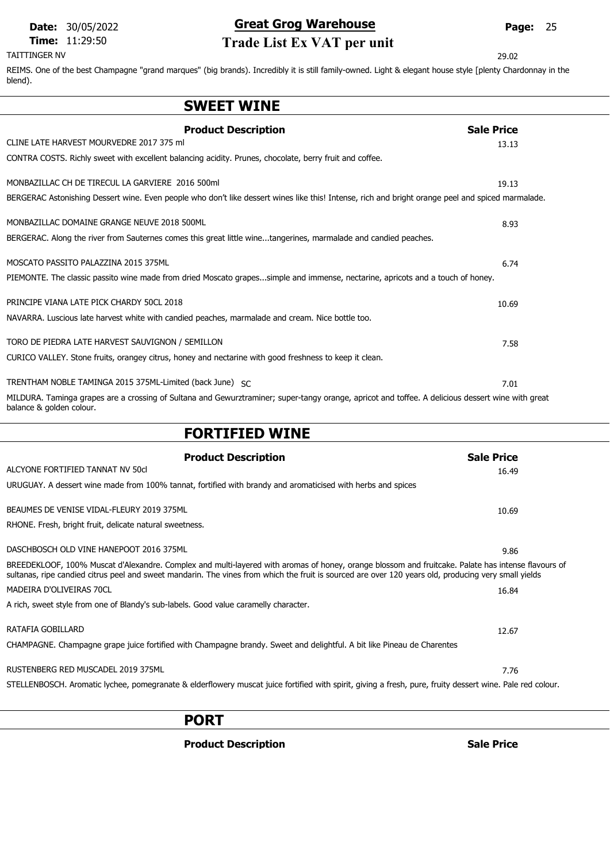#### TAITTINGER NV 29.02

# Date: 30/05/2022 **Great Grog Warehouse** Page: 25 **Time:** 11:29:50 **Trade List Ex VAT per unit**<br>TAITTINGER NV

REIMS. One of the best Champagne "grand marques" (big brands). Incredibly it is still family-owned. Light & elegant house style [plenty Chardonnay in the blend).

### SWEET WINE

| <b>Product Description</b><br>CLINE LATE HARVEST MOURVEDRE 2017 375 ml                                                                                                        | <b>Sale Price</b> |
|-------------------------------------------------------------------------------------------------------------------------------------------------------------------------------|-------------------|
| CONTRA COSTS. Richly sweet with excellent balancing acidity. Prunes, chocolate, berry fruit and coffee.                                                                       | 13.13             |
| MONBAZILLAC CH DE TIRECUL LA GARVIERE 2016 500ml                                                                                                                              | 19.13             |
| BERGERAC Astonishing Dessert wine. Even people who don't like dessert wines like this! Intense, rich and bright orange peel and spiced marmalade.                             |                   |
| MONBAZILLAC DOMAINE GRANGE NEUVE 2018 500ML                                                                                                                                   | 8.93              |
| BERGERAC. Along the river from Sauternes comes this great little winetangerines, marmalade and candied peaches.                                                               |                   |
| MOSCATO PASSITO PALAZZINA 2015 375ML                                                                                                                                          | 6.74              |
| PIEMONTE. The classic passito wine made from dried Moscato grapessimple and immense, nectarine, apricots and a touch of honey.                                                |                   |
| PRINCIPE VIANA LATE PICK CHARDY 50CL 2018                                                                                                                                     | 10.69             |
| NAVARRA. Luscious late harvest white with candied peaches, marmalade and cream. Nice bottle too.                                                                              |                   |
| TORO DE PIEDRA LATE HARVEST SAUVIGNON / SEMILLON                                                                                                                              | 7.58              |
| CURICO VALLEY. Stone fruits, orangey citrus, honey and nectarine with good freshness to keep it clean.                                                                        |                   |
| TRENTHAM NOBLE TAMINGA 2015 375ML-Limited (back June) SC                                                                                                                      | 7.01              |
| MILDURA. Taminga grapes are a crossing of Sultana and Gewurztraminer; super-tangy orange, apricot and toffee. A delicious dessert wine with great<br>balance & golden colour. |                   |
| FARTTFTFR WITNF                                                                                                                                                               |                   |

#### FORTIFIED WINE

| <b>Product Description</b>                                                                                                                                                                                                                                                                                 | <b>Sale Price</b> |
|------------------------------------------------------------------------------------------------------------------------------------------------------------------------------------------------------------------------------------------------------------------------------------------------------------|-------------------|
| ALCYONE FORTIFIED TANNAT NV 50cl                                                                                                                                                                                                                                                                           | 16.49             |
| URUGUAY. A dessert wine made from 100% tannat, fortified with brandy and aromaticised with herbs and spices                                                                                                                                                                                                |                   |
| BEAUMES DE VENISE VIDAL-FLEURY 2019 375ML                                                                                                                                                                                                                                                                  | 10.69             |
| RHONE. Fresh, bright fruit, delicate natural sweetness.                                                                                                                                                                                                                                                    |                   |
| DASCHBOSCH OLD VINE HANEPOOT 2016 375ML                                                                                                                                                                                                                                                                    | 9.86              |
| BREEDEKLOOF, 100% Muscat d'Alexandre. Complex and multi-layered with aromas of honey, orange blossom and fruitcake. Palate has intense flavours of<br>sultanas, ripe candied citrus peel and sweet mandarin. The vines from which the fruit is sourced are over 120 years old, producing very small yields |                   |
| MADEIRA D'OLIVEIRAS 70CL                                                                                                                                                                                                                                                                                   | 16.84             |
| A rich, sweet style from one of Blandy's sub-labels. Good value caramelly character.                                                                                                                                                                                                                       |                   |
| RATAFIA GOBILLARD                                                                                                                                                                                                                                                                                          | 12.67             |
| CHAMPAGNE. Champagne grape juice fortified with Champagne brandy. Sweet and delightful. A bit like Pineau de Charentes                                                                                                                                                                                     |                   |
| RUSTENBERG RED MUSCADEL 2019 375ML                                                                                                                                                                                                                                                                         | 7.76              |
| STELLENBOSCH. Aromatic lychee, pomegranate & elderflowery muscat juice fortified with spirit, giving a fresh, pure, fruity dessert wine. Pale red colour.                                                                                                                                                  |                   |

### PORT

Product Description and Sale Price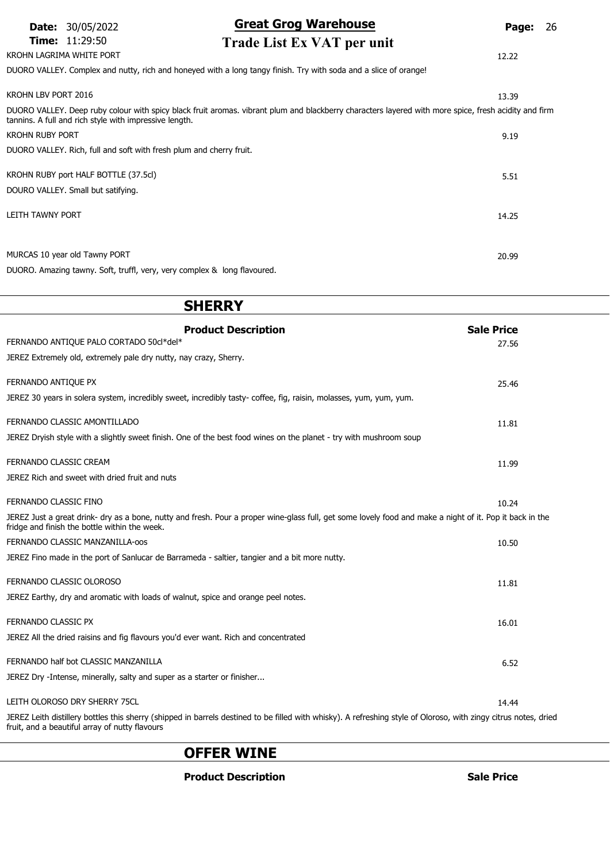#### KROHN LAGRIMA WHITE PORT 12.22

### Date: 30/05/2022 **Great Grog Warehouse** Page: 26

### Time: 11:29:50 Trade List Ex VAT per unit

DUORO VALLEY. Complex and nutty, rich and honeyed with a long tangy finish. Try with soda and a slice of orange!

| KROHN LBV PORT 2016                                                                                                                                                                                            | 13.39 |
|----------------------------------------------------------------------------------------------------------------------------------------------------------------------------------------------------------------|-------|
| DUORO VALLEY. Deep ruby colour with spicy black fruit aromas. vibrant plum and blackberry characters layered with more spice, fresh acidity and firm<br>tannins. A full and rich style with impressive length. |       |
| <b>KROHN RUBY PORT</b>                                                                                                                                                                                         | 9.19  |
| DUORO VALLEY. Rich, full and soft with fresh plum and cherry fruit.                                                                                                                                            |       |
| KROHN RUBY port HALF BOTTLE (37.5cl)                                                                                                                                                                           |       |
|                                                                                                                                                                                                                | 5.51  |
| DOURO VALLEY. Small but satifying.                                                                                                                                                                             |       |
| LEITH TAWNY PORT                                                                                                                                                                                               | 14.25 |
|                                                                                                                                                                                                                |       |
| MURCAS 10 year old Tawny PORT                                                                                                                                                                                  |       |
|                                                                                                                                                                                                                | 20.99 |
| DUORO. Amazing tawny. Soft, truffl, very, very complex & long flavoured.                                                                                                                                       |       |

# **SHERRY** Product Description National Sale Price FERNANDO ANTIQUE PALO CORTADO 50cl\*del\* 27.56 JEREZ Extremely old, extremely pale dry nutty, nay crazy, Sherry. FERNANDO ANTIQUE PX 25.46 JEREZ 30 years in solera system, incredibly sweet, incredibly tasty- coffee, fig, raisin, molasses, yum, yum, yum. **FERNANDO CLASSIC AMONTILLADO** 11.81 JEREZ Dryish style with a slightly sweet finish. One of the best food wines on the planet - try with mushroom soup **FERNANDO CLASSIC CREAM** 11.99 JEREZ Rich and sweet with dried fruit and nuts FERNANDO CLASSIC FINO 10.24 JEREZ Just a great drink- dry as a bone, nutty and fresh. Pour a proper wine-glass full, get some lovely food and make a night of it. Pop it back in the fridge and finish the bottle within the week. FERNANDO CLASSIC MANZANILLA-oos 10.50 JEREZ Fino made in the port of Sanlucar de Barrameda - saltier, tangier and a bit more nutty. **FERNANDO CLASSIC OLOROSO** 11.81 JEREZ Earthy, dry and aromatic with loads of walnut, spice and orange peel notes. FERNANDO CLASSIC PX 16.01 JEREZ All the dried raisins and fig flavours you'd ever want. Rich and concentrated FERNANDO half bot CLASSIC MANZANILLA 6.52 JEREZ Dry -Intense, minerally, salty and super as a starter or finisher... LEITH OLOROSO DRY SHERRY 75CL **14.44** and 2000 to 2000 to 2000 to 2000 to 2000 to 2000 to 2000 to 2000 to 2000 to 2000 to 2000 to 2000 to 2000 to 2000 to 2000 to 2000 to 2000 to 2000 to 2000 to 2000 to 2000 to 2000 to 2000 JEREZ Leith distillery bottles this sherry (shipped in barrels destined to be filled with whisky). A refreshing style of Oloroso, with zingy citrus notes, dried fruit, and a beautiful array of nutty flavours

### OFFER WINE

#### **Product Description Community Community Community Community Community Community Community Community Community**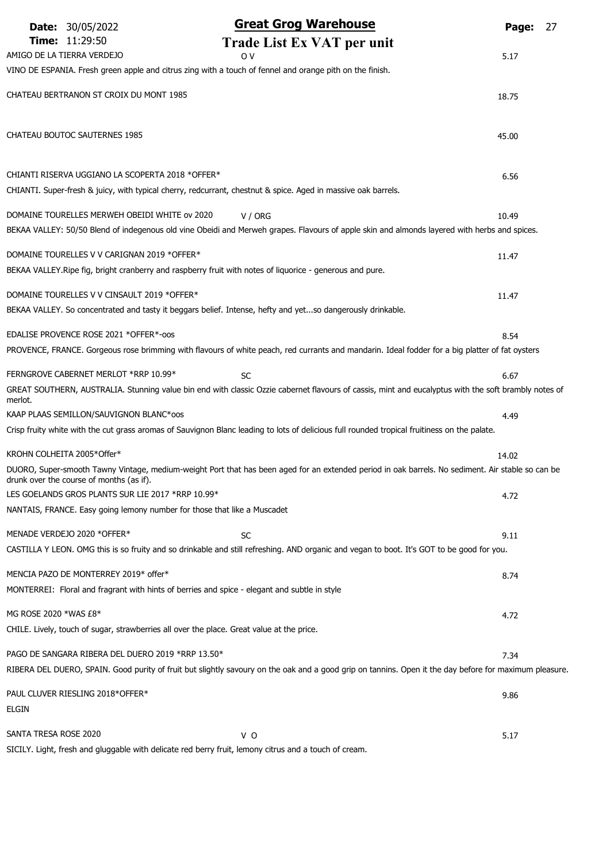|                       | <b>Date: 30/05/2022</b>                           | <b>Great Grog Warehouse</b>                                                                                                                            | Page:<br>27 |
|-----------------------|---------------------------------------------------|--------------------------------------------------------------------------------------------------------------------------------------------------------|-------------|
|                       | <b>Time: 11:29:50</b>                             | Trade List Ex VAT per unit                                                                                                                             |             |
|                       | AMIGO DE LA TIERRA VERDEJO                        | 0 V                                                                                                                                                    | 5.17        |
|                       |                                                   | VINO DE ESPANIA. Fresh green apple and citrus zing with a touch of fennel and orange pith on the finish.                                               |             |
|                       | CHATEAU BERTRANON ST CROIX DU MONT 1985           |                                                                                                                                                        | 18.75       |
|                       |                                                   |                                                                                                                                                        |             |
|                       | CHATEAU BOUTOC SAUTERNES 1985                     |                                                                                                                                                        | 45.00       |
|                       |                                                   |                                                                                                                                                        |             |
|                       | CHIANTI RISERVA UGGIANO LA SCOPERTA 2018 *OFFER*  |                                                                                                                                                        | 6.56        |
|                       |                                                   | CHIANTI. Super-fresh & juicy, with typical cherry, redcurrant, chestnut & spice. Aged in massive oak barrels.                                          |             |
|                       | DOMAINE TOURELLES MERWEH OBEIDI WHITE ov 2020     | V / ORG                                                                                                                                                | 10.49       |
|                       |                                                   | BEKAA VALLEY: 50/50 Blend of indegenous old vine Obeidi and Merweh grapes. Flavours of apple skin and almonds layered with herbs and spices.           |             |
|                       | DOMAINE TOURELLES V V CARIGNAN 2019 *OFFER*       |                                                                                                                                                        |             |
|                       |                                                   | BEKAA VALLEY. Ripe fig, bright cranberry and raspberry fruit with notes of liquorice - generous and pure.                                              | 11.47       |
|                       |                                                   |                                                                                                                                                        |             |
|                       | DOMAINE TOURELLES V V CINSAULT 2019 *OFFER*       |                                                                                                                                                        | 11.47       |
|                       |                                                   | BEKAA VALLEY. So concentrated and tasty it beggars belief. Intense, hefty and yetso dangerously drinkable.                                             |             |
|                       | EDALISE PROVENCE ROSE 2021 *OFFER*-00S            |                                                                                                                                                        | 8.54        |
|                       |                                                   | PROVENCE, FRANCE. Gorgeous rose brimming with flavours of white peach, red currants and mandarin. Ideal fodder for a big platter of fat oysters        |             |
|                       | FERNGROVE CABERNET MERLOT *RRP 10.99*             | <b>SC</b>                                                                                                                                              | 6.67        |
|                       |                                                   | GREAT SOUTHERN, AUSTRALIA. Stunning value bin end with classic Ozzie cabernet flavours of cassis, mint and eucalyptus with the soft brambly notes of   |             |
| merlot.               | KAAP PLAAS SEMILLON/SAUVIGNON BLANC*00S           |                                                                                                                                                        | 4.49        |
|                       |                                                   | Crisp fruity white with the cut grass aromas of Sauvignon Blanc leading to lots of delicious full rounded tropical fruitiness on the palate.           |             |
|                       |                                                   |                                                                                                                                                        |             |
|                       | KROHN COLHEITA 2005*Offer*                        |                                                                                                                                                        | 14.02       |
|                       | drunk over the course of months (as if).          | DUORO, Super-smooth Tawny Vintage, medium-weight Port that has been aged for an extended period in oak barrels. No sediment. Air stable so can be      |             |
|                       | LES GOELANDS GROS PLANTS SUR LIE 2017 *RRP 10.99* |                                                                                                                                                        | 4.72        |
|                       |                                                   | NANTAIS, FRANCE. Easy going lemony number for those that like a Muscadet                                                                               |             |
|                       | MENADE VERDEJO 2020 *OFFER*                       | <b>SC</b>                                                                                                                                              | 9.11        |
|                       |                                                   | CASTILLA Y LEON. OMG this is so fruity and so drinkable and still refreshing. AND organic and vegan to boot. It's GOT to be good for you.              |             |
|                       | MENCIA PAZO DE MONTERREY 2019* offer*             |                                                                                                                                                        | 8.74        |
|                       |                                                   | MONTERREI: Floral and fragrant with hints of berries and spice - elegant and subtle in style                                                           |             |
|                       |                                                   |                                                                                                                                                        |             |
| MG ROSE 2020 *WAS £8* |                                                   | CHILE. Lively, touch of sugar, strawberries all over the place. Great value at the price.                                                              | 4.72        |
|                       |                                                   |                                                                                                                                                        |             |
|                       | PAGO DE SANGARA RIBERA DEL DUERO 2019 *RRP 13.50* |                                                                                                                                                        | 7.34        |
|                       |                                                   | RIBERA DEL DUERO, SPAIN. Good purity of fruit but slightly savoury on the oak and a good grip on tannins. Open it the day before for maximum pleasure. |             |
|                       | PAUL CLUVER RIESLING 2018*OFFER*                  |                                                                                                                                                        | 9.86        |
| ELGIN                 |                                                   |                                                                                                                                                        |             |
| SANTA TRESA ROSE 2020 |                                                   | V O                                                                                                                                                    | 5.17        |

SICILY. Light, fresh and gluggable with delicate red berry fruit, lemony citrus and a touch of cream.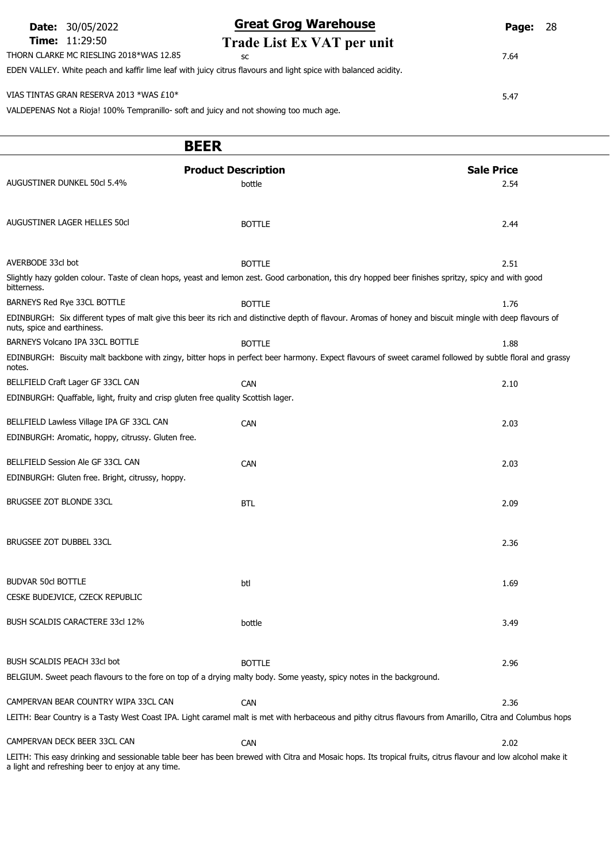|                         | <b>Date:</b> 30/05/2022                                                                | <b>Great Grog Warehouse</b>                                                                                     | Page: | -28 |
|-------------------------|----------------------------------------------------------------------------------------|-----------------------------------------------------------------------------------------------------------------|-------|-----|
| <b>Time:</b> $11:29:50$ |                                                                                        | Trade List Ex VAT per unit                                                                                      |       |     |
|                         | THORN CLARKE MC RIESLING 2018*WAS 12.85                                                | SC                                                                                                              | 7.64  |     |
|                         |                                                                                        | EDEN VALLEY. White peach and kaffir lime leaf with juicy citrus flavours and light spice with balanced acidity. |       |     |
|                         | VIAS TINTAS GRAN RESERVA 2013 *WAS £10*                                                |                                                                                                                 |       |     |
|                         |                                                                                        |                                                                                                                 | 5.47  |     |
|                         | VALDEPENAS Not a Rioja! 100% Tempranillo- soft and juicy and not showing too much age. |                                                                                                                 |       |     |
|                         |                                                                                        |                                                                                                                 |       |     |

# BEER

| AUGUSTINER DUNKEL 50cl 5.4%                                                       | <b>Product Description</b><br>bottle                                                                                                                 | <b>Sale Price</b><br>2.54                                                                                                                                    |
|-----------------------------------------------------------------------------------|------------------------------------------------------------------------------------------------------------------------------------------------------|--------------------------------------------------------------------------------------------------------------------------------------------------------------|
| AUGUSTINER LAGER HELLES 50cl                                                      | <b>BOTTLE</b>                                                                                                                                        | 2.44                                                                                                                                                         |
| AVERBODE 33cl bot                                                                 | <b>BOTTLE</b>                                                                                                                                        | 2.51                                                                                                                                                         |
| bitterness.                                                                       | Slightly hazy golden colour. Taste of clean hops, yeast and lemon zest. Good carbonation, this dry hopped beer finishes spritzy, spicy and with good |                                                                                                                                                              |
| BARNEYS Red Rye 33CL BOTTLE                                                       | <b>BOTTLE</b>                                                                                                                                        | 1.76                                                                                                                                                         |
| nuts, spice and earthiness.                                                       |                                                                                                                                                      | EDINBURGH: Six different types of malt give this beer its rich and distinctive depth of flavour. Aromas of honey and biscuit mingle with deep flavours of    |
| BARNEYS Volcano IPA 33CL BOTTLE                                                   | <b>BOTTLE</b>                                                                                                                                        | 1.88                                                                                                                                                         |
| notes.                                                                            |                                                                                                                                                      | EDINBURGH: Biscuity malt backbone with zingy, bitter hops in perfect beer harmony. Expect flavours of sweet caramel followed by subtle floral and grassy     |
| BELLFIELD Craft Lager GF 33CL CAN                                                 | CAN                                                                                                                                                  | 2.10                                                                                                                                                         |
| EDINBURGH: Quaffable, light, fruity and crisp gluten free quality Scottish lager. |                                                                                                                                                      |                                                                                                                                                              |
|                                                                                   |                                                                                                                                                      |                                                                                                                                                              |
| BELLFIELD Lawless Village IPA GF 33CL CAN                                         | <b>CAN</b>                                                                                                                                           | 2.03                                                                                                                                                         |
| EDINBURGH: Aromatic, hoppy, citrussy. Gluten free.                                |                                                                                                                                                      |                                                                                                                                                              |
| BELLFIELD Session Ale GF 33CL CAN                                                 | <b>CAN</b>                                                                                                                                           | 2.03                                                                                                                                                         |
| EDINBURGH: Gluten free. Bright, citrussy, hoppy.                                  |                                                                                                                                                      |                                                                                                                                                              |
| BRUGSEE ZOT BLONDE 33CL                                                           | <b>BTL</b>                                                                                                                                           | 2.09                                                                                                                                                         |
| BRUGSEE ZOT DUBBEL 33CL                                                           |                                                                                                                                                      | 2.36                                                                                                                                                         |
| <b>BUDVAR 50cl BOTTLE</b>                                                         | btl                                                                                                                                                  | 1.69                                                                                                                                                         |
| CESKE BUDEJVICE, CZECK REPUBLIC                                                   |                                                                                                                                                      |                                                                                                                                                              |
| BUSH SCALDIS CARACTERE 33cl 12%                                                   | bottle                                                                                                                                               | 3.49                                                                                                                                                         |
| BUSH SCALDIS PEACH 33cl bot                                                       | <b>BOTTLE</b>                                                                                                                                        | 2.96                                                                                                                                                         |
|                                                                                   | BELGIUM. Sweet peach flavours to the fore on top of a drying malty body. Some yeasty, spicy notes in the background.                                 |                                                                                                                                                              |
|                                                                                   |                                                                                                                                                      |                                                                                                                                                              |
| CAMPERVAN BEAR COUNTRY WIPA 33CL CAN                                              | <b>CAN</b>                                                                                                                                           | 2.36                                                                                                                                                         |
|                                                                                   |                                                                                                                                                      | LEITH: Bear Country is a Tasty West Coast IPA. Light caramel malt is met with herbaceous and pithy citrus flavours from Amarillo, Citra and Columbus hops    |
| CAMPERVAN DECK BEER 33CL CAN                                                      | CAN                                                                                                                                                  | 2.02                                                                                                                                                         |
|                                                                                   |                                                                                                                                                      | LEITH: This easy drinking and sessionable table beer has been brewed with Citra and Mosaic hops. Its tropical fruits, citrus flavour and low alcohol make it |

a light and refreshing beer to enjoy at any time.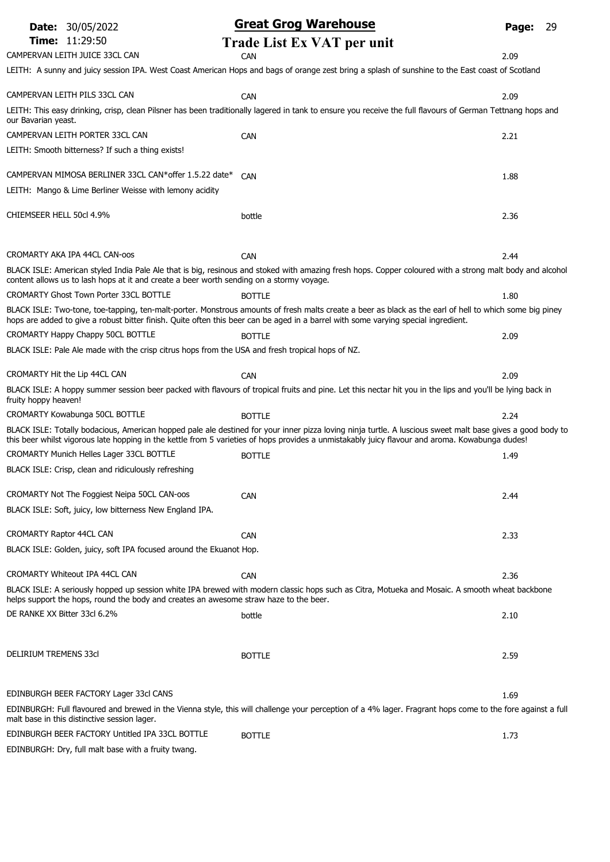|                                 | <b>Date: 30/05/2022</b>                                                                          | <b>Great Grog Warehouse</b>                                                                                                                                                                                                                                                                                   | Page: | 29 |
|---------------------------------|--------------------------------------------------------------------------------------------------|---------------------------------------------------------------------------------------------------------------------------------------------------------------------------------------------------------------------------------------------------------------------------------------------------------------|-------|----|
|                                 | <b>Time: 11:29:50</b>                                                                            | Trade List Ex VAT per unit                                                                                                                                                                                                                                                                                    |       |    |
|                                 | CAMPERVAN LEITH JUICE 33CL CAN                                                                   | <b>CAN</b>                                                                                                                                                                                                                                                                                                    | 2.09  |    |
|                                 |                                                                                                  | LEITH: A sunny and juicy session IPA. West Coast American Hops and bags of orange zest bring a splash of sunshine to the East coast of Scotland                                                                                                                                                               |       |    |
|                                 | CAMPERVAN LEITH PILS 33CL CAN                                                                    | CAN                                                                                                                                                                                                                                                                                                           | 2.09  |    |
| our Bavarian yeast.             |                                                                                                  | LEITH: This easy drinking, crisp, clean Pilsner has been traditionally lagered in tank to ensure you receive the full flavours of German Tettnang hops and                                                                                                                                                    |       |    |
|                                 | CAMPERVAN LEITH PORTER 33CL CAN                                                                  | CAN                                                                                                                                                                                                                                                                                                           | 2.21  |    |
|                                 | LEITH: Smooth bitterness? If such a thing exists!                                                |                                                                                                                                                                                                                                                                                                               |       |    |
|                                 | CAMPERVAN MIMOSA BERLINER 33CL CAN*offer 1.5.22 date*                                            | CAN                                                                                                                                                                                                                                                                                                           | 1.88  |    |
|                                 | LEITH: Mango & Lime Berliner Weisse with lemony acidity                                          |                                                                                                                                                                                                                                                                                                               |       |    |
| CHIEMSEER HELL 50cl 4.9%        |                                                                                                  | bottle                                                                                                                                                                                                                                                                                                        | 2.36  |    |
|                                 | CROMARTY AKA IPA 44CL CAN-OOS                                                                    | CAN                                                                                                                                                                                                                                                                                                           | 2.44  |    |
|                                 | content allows us to lash hops at it and create a beer worth sending on a stormy voyage.         | BLACK ISLE: American styled India Pale Ale that is big, resinous and stoked with amazing fresh hops. Copper coloured with a strong malt body and alcohol                                                                                                                                                      |       |    |
|                                 | <b>CROMARTY Ghost Town Porter 33CL BOTTLE</b>                                                    | <b>BOTTLE</b>                                                                                                                                                                                                                                                                                                 | 1.80  |    |
|                                 |                                                                                                  | BLACK ISLE: Two-tone, toe-tapping, ten-malt-porter. Monstrous amounts of fresh malts create a beer as black as the earl of hell to which some big piney<br>hops are added to give a robust bitter finish. Quite often this beer can be aged in a barrel with some varying special ingredient.                 |       |    |
|                                 | CROMARTY Happy Chappy 50CL BOTTLE                                                                | <b>BOTTLE</b>                                                                                                                                                                                                                                                                                                 | 2.09  |    |
|                                 | BLACK ISLE: Pale Ale made with the crisp citrus hops from the USA and fresh tropical hops of NZ. |                                                                                                                                                                                                                                                                                                               |       |    |
|                                 | CROMARTY Hit the Lip 44CL CAN                                                                    | CAN                                                                                                                                                                                                                                                                                                           | 2.09  |    |
| fruity hoppy heaven!            |                                                                                                  | BLACK ISLE: A hoppy summer session beer packed with flavours of tropical fruits and pine. Let this nectar hit you in the lips and you'll be lying back in                                                                                                                                                     |       |    |
|                                 | CROMARTY Kowabunga 50CL BOTTLE                                                                   | <b>BOTTLE</b>                                                                                                                                                                                                                                                                                                 | 2.24  |    |
|                                 |                                                                                                  | BLACK ISLE: Totally bodacious, American hopped pale ale destined for your inner pizza loving ninja turtle. A luscious sweet malt base gives a good body to<br>this beer whilst vigorous late hopping in the kettle from 5 varieties of hops provides a unmistakably juicy flavour and aroma. Kowabunga dudes! |       |    |
|                                 | CROMARTY Munich Helles Lager 33CL BOTTLE                                                         | <b>BOTTLE</b>                                                                                                                                                                                                                                                                                                 | 1.49  |    |
|                                 | BLACK ISLE: Crisp, clean and ridiculously refreshing                                             |                                                                                                                                                                                                                                                                                                               |       |    |
|                                 | CROMARTY Not The Foggiest Neipa 50CL CAN-oos                                                     | CAN                                                                                                                                                                                                                                                                                                           | 2.44  |    |
|                                 | BLACK ISLE: Soft, juicy, low bitterness New England IPA.                                         |                                                                                                                                                                                                                                                                                                               |       |    |
| <b>CROMARTY Raptor 44CL CAN</b> |                                                                                                  | <b>CAN</b>                                                                                                                                                                                                                                                                                                    | 2.33  |    |
|                                 | BLACK ISLE: Golden, juicy, soft IPA focused around the Ekuanot Hop.                              |                                                                                                                                                                                                                                                                                                               |       |    |
|                                 | CROMARTY Whiteout IPA 44CL CAN                                                                   | CAN                                                                                                                                                                                                                                                                                                           | 2.36  |    |
|                                 | helps support the hops, round the body and creates an awesome straw haze to the beer.            | BLACK ISLE: A seriously hopped up session white IPA brewed with modern classic hops such as Citra, Motueka and Mosaic. A smooth wheat backbone                                                                                                                                                                |       |    |
| DE RANKE XX Bitter 33cl 6.2%    |                                                                                                  | bottle                                                                                                                                                                                                                                                                                                        | 2.10  |    |
|                                 |                                                                                                  |                                                                                                                                                                                                                                                                                                               |       |    |
| DELIRIUM TREMENS 33cl           |                                                                                                  | <b>BOTTLE</b>                                                                                                                                                                                                                                                                                                 | 2.59  |    |
|                                 | EDINBURGH BEER FACTORY Lager 33cl CANS                                                           |                                                                                                                                                                                                                                                                                                               | 1.69  |    |
|                                 | malt base in this distinctive session lager.                                                     | EDINBURGH: Full flavoured and brewed in the Vienna style, this will challenge your perception of a 4% lager. Fragrant hops come to the fore against a full                                                                                                                                                    |       |    |
|                                 | EDINBURGH BEER FACTORY Untitled IPA 33CL BOTTLE                                                  | <b>BOTTLE</b>                                                                                                                                                                                                                                                                                                 | 1.73  |    |
|                                 | EDINBURGH: Dry, full malt base with a fruity twang.                                              |                                                                                                                                                                                                                                                                                                               |       |    |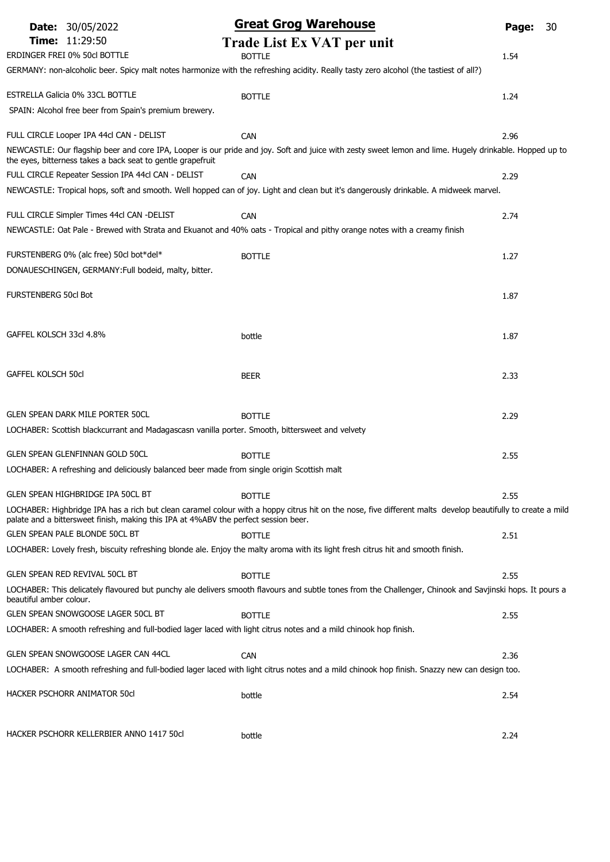| <b>Date: 30/05/2022</b>                                                                                               | <b>Great Grog Warehouse</b>                                                                                                                                          | Page: | 30 |
|-----------------------------------------------------------------------------------------------------------------------|----------------------------------------------------------------------------------------------------------------------------------------------------------------------|-------|----|
| Time: 11:29:50                                                                                                        | Trade List Ex VAT per unit                                                                                                                                           |       |    |
| ERDINGER FREI 0% 50cl BOTTLE                                                                                          | <b>BOTTLE</b>                                                                                                                                                        | 1.54  |    |
|                                                                                                                       | GERMANY: non-alcoholic beer. Spicy malt notes harmonize with the refreshing acidity. Really tasty zero alcohol (the tastiest of all?)                                |       |    |
| ESTRELLA Galicia 0% 33CL BOTTLE                                                                                       | <b>BOTTLE</b>                                                                                                                                                        | 1.24  |    |
| SPAIN: Alcohol free beer from Spain's premium brewery.                                                                |                                                                                                                                                                      |       |    |
| FULL CIRCLE Looper IPA 44cl CAN - DELIST                                                                              |                                                                                                                                                                      |       |    |
|                                                                                                                       | <b>CAN</b><br>NEWCASTLE: Our flagship beer and core IPA, Looper is our pride and joy. Soft and juice with zesty sweet lemon and lime. Hugely drinkable. Hopped up to | 2.96  |    |
| the eyes, bitterness takes a back seat to gentle grapefruit                                                           |                                                                                                                                                                      |       |    |
| FULL CIRCLE Repeater Session IPA 44cl CAN - DELIST                                                                    | CAN                                                                                                                                                                  | 2.29  |    |
|                                                                                                                       | NEWCASTLE: Tropical hops, soft and smooth. Well hopped can of joy. Light and clean but it's dangerously drinkable. A midweek marvel.                                 |       |    |
| FULL CIRCLE Simpler Times 44cl CAN -DELIST                                                                            | <b>CAN</b>                                                                                                                                                           | 2.74  |    |
|                                                                                                                       | NEWCASTLE: Oat Pale - Brewed with Strata and Ekuanot and 40% oats - Tropical and pithy orange notes with a creamy finish                                             |       |    |
| FURSTENBERG 0% (alc free) 50cl bot*del*                                                                               | <b>BOTTLE</b>                                                                                                                                                        | 1.27  |    |
| DONAUESCHINGEN, GERMANY: Full bodeid, malty, bitter.                                                                  |                                                                                                                                                                      |       |    |
|                                                                                                                       |                                                                                                                                                                      |       |    |
| <b>FURSTENBERG 50cl Bot</b>                                                                                           |                                                                                                                                                                      | 1.87  |    |
|                                                                                                                       |                                                                                                                                                                      |       |    |
| GAFFEL KOLSCH 33cl 4.8%                                                                                               | bottle                                                                                                                                                               | 1.87  |    |
|                                                                                                                       |                                                                                                                                                                      |       |    |
| <b>GAFFEL KOLSCH 50cl</b>                                                                                             | <b>BEER</b>                                                                                                                                                          | 2.33  |    |
|                                                                                                                       |                                                                                                                                                                      |       |    |
| <b>GLEN SPEAN DARK MILE PORTER 50CL</b>                                                                               | <b>BOTTLE</b>                                                                                                                                                        | 2.29  |    |
| LOCHABER: Scottish blackcurrant and Madagascasn vanilla porter. Smooth, bittersweet and velvety                       |                                                                                                                                                                      |       |    |
|                                                                                                                       |                                                                                                                                                                      |       |    |
| <b>GLEN SPEAN GLENFINNAN GOLD 50CL</b>                                                                                | <b>BOTTLE</b>                                                                                                                                                        | 2.55  |    |
| LOCHABER: A refreshing and deliciously balanced beer made from single origin Scottish malt                            |                                                                                                                                                                      |       |    |
| GLEN SPEAN HIGHBRIDGE IPA 50CL BT                                                                                     | <b>BOTTLE</b>                                                                                                                                                        | 2.55  |    |
|                                                                                                                       | LOCHABER: Highbridge IPA has a rich but clean caramel colour with a hoppy citrus hit on the nose, five different malts develop beautifully to create a mild          |       |    |
| palate and a bittersweet finish, making this IPA at 4%ABV the perfect session beer.<br>GLEN SPEAN PALE BLONDE 50CL BT | <b>BOTTLE</b>                                                                                                                                                        | 2.51  |    |
|                                                                                                                       | LOCHABER: Lovely fresh, biscuity refreshing blonde ale. Enjoy the malty aroma with its light fresh citrus hit and smooth finish.                                     |       |    |
|                                                                                                                       |                                                                                                                                                                      |       |    |
| GLEN SPEAN RED REVIVAL 50CL BT                                                                                        | <b>BOTTLE</b>                                                                                                                                                        | 2.55  |    |
| beautiful amber colour.                                                                                               | LOCHABER: This delicately flavoured but punchy ale delivers smooth flavours and subtle tones from the Challenger, Chinook and Savjinski hops. It pours a             |       |    |
| GLEN SPEAN SNOWGOOSE LAGER 50CL BT                                                                                    | <b>BOTTLE</b>                                                                                                                                                        | 2.55  |    |
| LOCHABER: A smooth refreshing and full-bodied lager laced with light citrus notes and a mild chinook hop finish.      |                                                                                                                                                                      |       |    |
| GLEN SPEAN SNOWGOOSE LAGER CAN 44CL                                                                                   | <b>CAN</b>                                                                                                                                                           | 2.36  |    |
|                                                                                                                       | LOCHABER: A smooth refreshing and full-bodied lager laced with light citrus notes and a mild chinook hop finish. Snazzy new can design too.                          |       |    |
|                                                                                                                       |                                                                                                                                                                      |       |    |
| HACKER PSCHORR ANIMATOR 50cl                                                                                          | bottle                                                                                                                                                               | 2.54  |    |
|                                                                                                                       |                                                                                                                                                                      |       |    |
| HACKER PSCHORR KELLERBIER ANNO 1417 50cl                                                                              | bottle                                                                                                                                                               | 2.24  |    |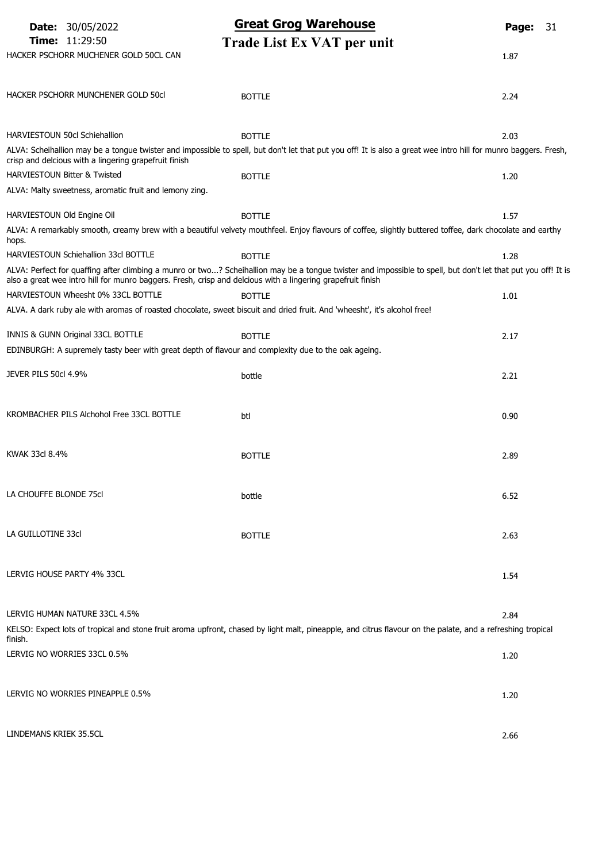|                            | <b>Date: 30/05/2022</b>                                                                                     | <b>Great Grog Warehouse</b>                                                                                                                                     | Page: | 31 |
|----------------------------|-------------------------------------------------------------------------------------------------------------|-----------------------------------------------------------------------------------------------------------------------------------------------------------------|-------|----|
|                            | <b>Time: 11:29:50</b>                                                                                       | Trade List Ex VAT per unit                                                                                                                                      |       |    |
|                            | HACKER PSCHORR MUCHENER GOLD 50CL CAN                                                                       |                                                                                                                                                                 | 1.87  |    |
|                            |                                                                                                             |                                                                                                                                                                 |       |    |
|                            | HACKER PSCHORR MUNCHENER GOLD 50cl                                                                          | <b>BOTTLE</b>                                                                                                                                                   | 2.24  |    |
|                            |                                                                                                             |                                                                                                                                                                 |       |    |
|                            | <b>HARVIESTOUN 50cl Schiehallion</b>                                                                        | <b>BOTTLE</b>                                                                                                                                                   | 2.03  |    |
|                            |                                                                                                             | ALVA: Scheihallion may be a tongue twister and impossible to spell, but don't let that put you off! It is also a great wee intro hill for munro baggers. Fresh, |       |    |
|                            | crisp and delcious with a lingering grapefruit finish                                                       |                                                                                                                                                                 |       |    |
|                            | <b>HARVIESTOUN Bitter &amp; Twisted</b>                                                                     | <b>BOTTLE</b>                                                                                                                                                   | 1.20  |    |
|                            | ALVA: Malty sweetness, aromatic fruit and lemony zing.                                                      |                                                                                                                                                                 |       |    |
| HARVIESTOUN Old Engine Oil |                                                                                                             | <b>BOTTLE</b>                                                                                                                                                   | 1.57  |    |
| hops.                      |                                                                                                             | ALVA: A remarkably smooth, creamy brew with a beautiful velvety mouthfeel. Enjoy flavours of coffee, slightly buttered toffee, dark chocolate and earthy        |       |    |
|                            | HARVIESTOUN Schiehallion 33cl BOTTLE                                                                        | <b>BOTTLE</b>                                                                                                                                                   | 1.28  |    |
|                            | also a great wee intro hill for munro baggers. Fresh, crisp and delcious with a lingering grapefruit finish | ALVA: Perfect for quaffing after climbing a munro or two? Scheihallion may be a tongue twister and impossible to spell, but don't let that put you off! It is   |       |    |
|                            | HARVIESTOUN Wheesht 0% 33CL BOTTLE                                                                          | <b>BOTTLE</b>                                                                                                                                                   | 1.01  |    |
|                            |                                                                                                             | ALVA. A dark ruby ale with aromas of roasted chocolate, sweet biscuit and dried fruit. And 'wheesht', it's alcohol free!                                        |       |    |
|                            |                                                                                                             |                                                                                                                                                                 |       |    |
|                            | INNIS & GUNN Original 33CL BOTTLE                                                                           | <b>BOTTLE</b>                                                                                                                                                   | 2.17  |    |
|                            | EDINBURGH: A supremely tasty beer with great depth of flavour and complexity due to the oak ageing.         |                                                                                                                                                                 |       |    |
| JEVER PILS 50cl 4.9%       |                                                                                                             | bottle                                                                                                                                                          | 2.21  |    |
|                            |                                                                                                             |                                                                                                                                                                 |       |    |
|                            | KROMBACHER PILS Alchohol Free 33CL BOTTLE                                                                   | btl                                                                                                                                                             | 0.90  |    |
|                            |                                                                                                             |                                                                                                                                                                 |       |    |
|                            |                                                                                                             |                                                                                                                                                                 |       |    |
| KWAK 33cl 8.4%             |                                                                                                             | <b>BOTTLE</b>                                                                                                                                                   | 2.89  |    |
|                            |                                                                                                             |                                                                                                                                                                 |       |    |
| LA CHOUFFE BLONDE 75cl     |                                                                                                             | bottle                                                                                                                                                          | 6.52  |    |
|                            |                                                                                                             |                                                                                                                                                                 |       |    |
| LA GUILLOTINE 33cl         |                                                                                                             | <b>BOTTLE</b>                                                                                                                                                   | 2.63  |    |
|                            |                                                                                                             |                                                                                                                                                                 |       |    |
|                            |                                                                                                             |                                                                                                                                                                 |       |    |
|                            | LERVIG HOUSE PARTY 4% 33CL                                                                                  |                                                                                                                                                                 | 1.54  |    |
|                            |                                                                                                             |                                                                                                                                                                 |       |    |
|                            | LERVIG HUMAN NATURE 33CL 4.5%                                                                               |                                                                                                                                                                 | 2.84  |    |
| finish.                    |                                                                                                             | KELSO: Expect lots of tropical and stone fruit aroma upfront, chased by light malt, pineapple, and citrus flavour on the palate, and a refreshing tropical      |       |    |
|                            | LERVIG NO WORRIES 33CL 0.5%                                                                                 |                                                                                                                                                                 | 1.20  |    |
|                            |                                                                                                             |                                                                                                                                                                 |       |    |
|                            |                                                                                                             |                                                                                                                                                                 |       |    |
|                            | LERVIG NO WORRIES PINEAPPLE 0.5%                                                                            |                                                                                                                                                                 | 1.20  |    |
|                            |                                                                                                             |                                                                                                                                                                 |       |    |
| LINDEMANS KRIEK 35.5CL     |                                                                                                             |                                                                                                                                                                 | 2.66  |    |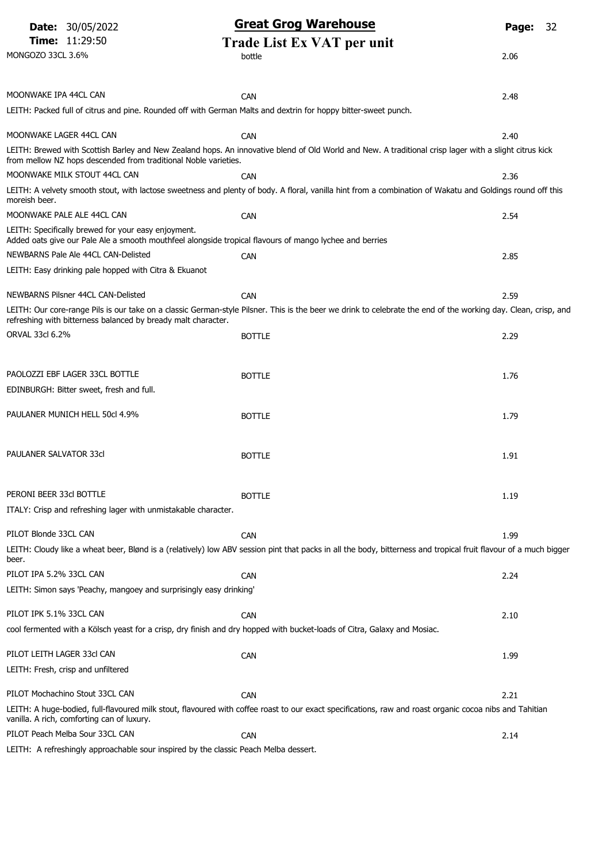|                               | <b>Date: 30/05/2022</b>                                                       | <b>Great Grog Warehouse</b>                                                                                                                                      | Page: | 32 |
|-------------------------------|-------------------------------------------------------------------------------|------------------------------------------------------------------------------------------------------------------------------------------------------------------|-------|----|
|                               | <b>Time: 11:29:50</b>                                                         | Trade List Ex VAT per unit                                                                                                                                       |       |    |
| MONGOZO 33CL 3.6%             |                                                                               | bottle                                                                                                                                                           | 2.06  |    |
|                               |                                                                               |                                                                                                                                                                  |       |    |
| MOONWAKE IPA 44CL CAN         |                                                                               | <b>CAN</b>                                                                                                                                                       | 2.48  |    |
|                               |                                                                               | LEITH: Packed full of citrus and pine. Rounded off with German Malts and dextrin for hoppy bitter-sweet punch.                                                   |       |    |
| MOONWAKE LAGER 44CL CAN       |                                                                               | <b>CAN</b>                                                                                                                                                       | 2.40  |    |
|                               | from mellow NZ hops descended from traditional Noble varieties.               | LEITH: Brewed with Scottish Barley and New Zealand hops. An innovative blend of Old World and New. A traditional crisp lager with a slight citrus kick           |       |    |
|                               | MOONWAKE MILK STOUT 44CL CAN                                                  | <b>CAN</b>                                                                                                                                                       | 2.36  |    |
| moreish beer.                 |                                                                               | LEITH: A velvety smooth stout, with lactose sweetness and plenty of body. A floral, vanilla hint from a combination of Wakatu and Goldings round off this        |       |    |
|                               | MOONWAKE PALE ALE 44CL CAN                                                    | CAN                                                                                                                                                              | 2.54  |    |
|                               | LEITH: Specifically brewed for your easy enjoyment.                           | Added oats give our Pale Ale a smooth mouthfeel alongside tropical flavours of mango lychee and berries                                                          |       |    |
|                               | NEWBARNS Pale Ale 44CL CAN-Delisted                                           | <b>CAN</b>                                                                                                                                                       | 2.85  |    |
|                               | LEITH: Easy drinking pale hopped with Citra & Ekuanot                         |                                                                                                                                                                  |       |    |
|                               | NEWBARNS Pilsner 44CL CAN-Delisted                                            | <b>CAN</b>                                                                                                                                                       | 2.59  |    |
|                               | refreshing with bitterness balanced by bready malt character.                 | LEITH: Our core-range Pils is our take on a classic German-style Pilsner. This is the beer we drink to celebrate the end of the working day. Clean, crisp, and   |       |    |
| ORVAL 33cl 6.2%               |                                                                               | <b>BOTTLE</b>                                                                                                                                                    | 2.29  |    |
|                               |                                                                               |                                                                                                                                                                  |       |    |
|                               | PAOLOZZI EBF LAGER 33CL BOTTLE                                                | <b>BOTTLE</b>                                                                                                                                                    | 1.76  |    |
|                               | EDINBURGH: Bitter sweet, fresh and full.                                      |                                                                                                                                                                  |       |    |
|                               | PAULANER MUNICH HELL 50cl 4.9%                                                | <b>BOTTLE</b>                                                                                                                                                    | 1.79  |    |
|                               |                                                                               |                                                                                                                                                                  |       |    |
| <b>PAULANER SALVATOR 33cl</b> |                                                                               | <b>BOTTLE</b>                                                                                                                                                    | 1.91  |    |
|                               |                                                                               |                                                                                                                                                                  |       |    |
| PERONI BEER 33cl BOTTLE       |                                                                               | <b>BOTTLE</b>                                                                                                                                                    | 1.19  |    |
|                               | ITALY: Crisp and refreshing lager with unmistakable character.                |                                                                                                                                                                  |       |    |
| PILOT Blonde 33CL CAN         |                                                                               | <b>CAN</b>                                                                                                                                                       | 1.99  |    |
|                               |                                                                               | LEITH: Cloudy like a wheat beer, Blønd is a (relatively) low ABV session pint that packs in all the body, bitterness and tropical fruit flavour of a much bigger |       |    |
| beer.                         |                                                                               |                                                                                                                                                                  |       |    |
| PILOT IPA 5.2% 33CL CAN       |                                                                               | CAN                                                                                                                                                              | 2.24  |    |
|                               | LEITH: Simon says 'Peachy, mangoey and surprisingly easy drinking'            |                                                                                                                                                                  |       |    |
| PILOT IPK 5.1% 33CL CAN       |                                                                               | <b>CAN</b>                                                                                                                                                       | 2.10  |    |
|                               |                                                                               | cool fermented with a Kölsch yeast for a crisp, dry finish and dry hopped with bucket-loads of Citra, Galaxy and Mosiac.                                         |       |    |
| PILOT LEITH LAGER 33cl CAN    |                                                                               | <b>CAN</b>                                                                                                                                                       | 1.99  |    |
|                               | LEITH: Fresh, crisp and unfiltered                                            |                                                                                                                                                                  |       |    |
|                               | PILOT Mochachino Stout 33CL CAN                                               | CAN                                                                                                                                                              | 2.21  |    |
|                               |                                                                               | LEITH: A huge-bodied, full-flavoured milk stout, flavoured with coffee roast to our exact specifications, raw and roast organic cocoa nibs and Tahitian          |       |    |
|                               | vanilla. A rich, comforting can of luxury.<br>PILOT Peach Melba Sour 33CL CAN | <b>CAN</b>                                                                                                                                                       |       |    |
|                               |                                                                               |                                                                                                                                                                  | 2.14  |    |

LEITH: A refreshingly approachable sour inspired by the classic Peach Melba dessert.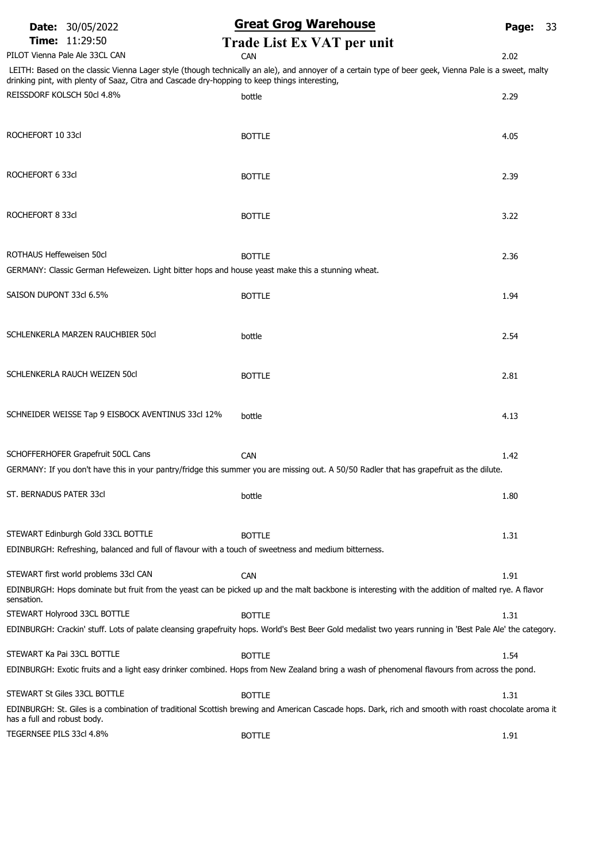### Date: 30/05/2022 **Great Grog Warehouse** Page: 33

**Time:** 11:29:50 **Trade List Ex VAT per unit**<br>  $\begin{array}{ccc}\n\text{C} & \text{C} \\
\text{C} & \text{C} \\
\text{C} & \text{C} \\
\text{C} & \text{C} \\
\text{C} & \text{C} \\
\text{C} & \text{C}\n\end{array}$ PILOT Vienna Pale Ale 33CL CAN CAN CAN CAN CAN CAN CAN 2.02

LEITH: Based on the classic Vienna Lager style (though technically an ale), and annoyer of a certain type of beer geek, Vienna Pale is a sweet, malty drinking pint, with plenty of Saaz, Citra and Cascade dry-hopping to keep things interesting,

| REISSDORF KOLSCH 50cl 4.8%                                                                                                                 | bottle                                                                                                                                                   | 2.29 |
|--------------------------------------------------------------------------------------------------------------------------------------------|----------------------------------------------------------------------------------------------------------------------------------------------------------|------|
| ROCHEFORT 10 33cl                                                                                                                          | <b>BOTTLE</b>                                                                                                                                            | 4.05 |
| ROCHEFORT 6 33cl                                                                                                                           | <b>BOTTLE</b>                                                                                                                                            | 2.39 |
| ROCHEFORT 8 33cl                                                                                                                           | <b>BOTTLE</b>                                                                                                                                            | 3.22 |
| ROTHAUS Heffeweisen 50cl<br>GERMANY: Classic German Hefeweizen. Light bitter hops and house yeast make this a stunning wheat.              | <b>BOTTLE</b>                                                                                                                                            | 2.36 |
| SAISON DUPONT 33cl 6.5%                                                                                                                    | <b>BOTTLE</b>                                                                                                                                            | 1.94 |
| SCHLENKERLA MARZEN RAUCHBIER 50cl                                                                                                          | bottle                                                                                                                                                   | 2.54 |
| SCHLENKERLA RAUCH WEIZEN 50cl                                                                                                              | <b>BOTTLE</b>                                                                                                                                            | 2.81 |
| SCHNEIDER WEISSE Tap 9 EISBOCK AVENTINUS 33cl 12%                                                                                          | bottle                                                                                                                                                   | 4.13 |
| SCHOFFERHOFER Grapefruit 50CL Cans                                                                                                         | CAN<br>GERMANY: If you don't have this in your pantry/fridge this summer you are missing out. A 50/50 Radler that has grapefruit as the dilute.          | 1.42 |
| ST. BERNADUS PATER 33cl                                                                                                                    | bottle                                                                                                                                                   | 1.80 |
| STEWART Edinburgh Gold 33CL BOTTLE<br>EDINBURGH: Refreshing, balanced and full of flavour with a touch of sweetness and medium bitterness. | <b>BOTTLE</b>                                                                                                                                            | 1.31 |
| STEWART first world problems 33cl CAN                                                                                                      | <b>CAN</b>                                                                                                                                               | 1.91 |
| sensation.                                                                                                                                 | EDINBURGH: Hops dominate but fruit from the yeast can be picked up and the malt backbone is interesting with the addition of malted rye. A flavor        |      |
| STEWART Holyrood 33CL BOTTLE                                                                                                               | <b>BOTTLE</b>                                                                                                                                            | 1.31 |
|                                                                                                                                            | EDINBURGH: Crackin' stuff. Lots of palate cleansing grapefruity hops. World's Best Beer Gold medalist two years running in 'Best Pale Ale' the category. |      |
| STEWART Ka Pai 33CL BOTTLE                                                                                                                 | <b>BOTTLE</b>                                                                                                                                            | 1.54 |
|                                                                                                                                            | EDINBURGH: Exotic fruits and a light easy drinker combined. Hops from New Zealand bring a wash of phenomenal flavours from across the pond.              |      |
| STEWART St Giles 33CL BOTTLE                                                                                                               | <b>BOTTLE</b>                                                                                                                                            |      |
| has a full and robust body.                                                                                                                | EDINBURGH: St. Giles is a combination of traditional Scottish brewing and American Cascade hops. Dark, rich and smooth with roast chocolate aroma it     | 1.31 |
| TEGERNSEE PILS 33cl 4.8%                                                                                                                   | <b>BOTTLE</b>                                                                                                                                            | 1.91 |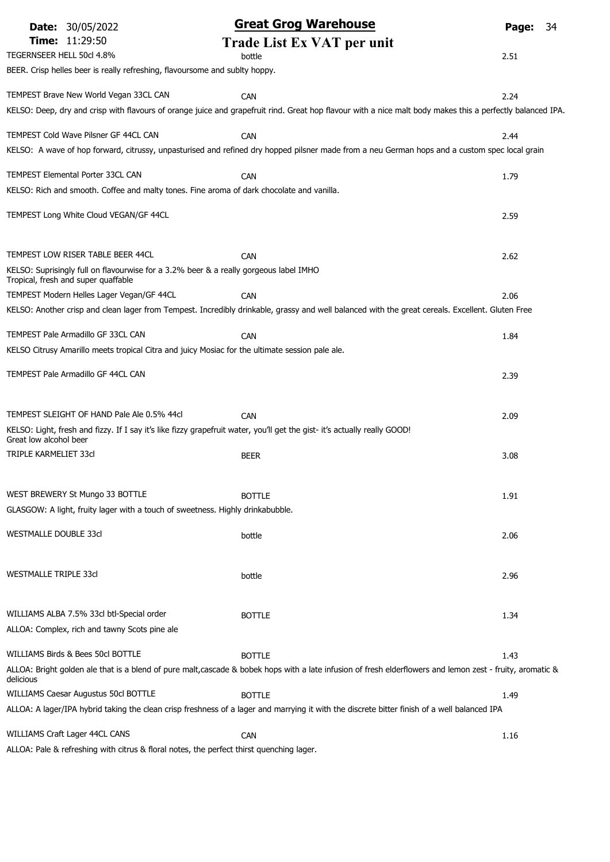| <b>Date: 30/05/2022</b>                                                                                                    | <b>Great Grog Warehouse</b>                                                                                                                                | Page:<br>34 |
|----------------------------------------------------------------------------------------------------------------------------|------------------------------------------------------------------------------------------------------------------------------------------------------------|-------------|
| Time: 11:29:50                                                                                                             | <b>Trade List Ex VAT per unit</b>                                                                                                                          |             |
| TEGERNSEER HELL 50cl 4.8%                                                                                                  | bottle                                                                                                                                                     | 2.51        |
| BEER. Crisp helles beer is really refreshing, flavoursome and sublty hoppy.                                                |                                                                                                                                                            |             |
| TEMPEST Brave New World Vegan 33CL CAN                                                                                     | <b>CAN</b>                                                                                                                                                 | 2.24        |
|                                                                                                                            | KELSO: Deep, dry and crisp with flavours of orange juice and grapefruit rind. Great hop flavour with a nice malt body makes this a perfectly balanced IPA. |             |
| TEMPEST Cold Wave Pilsner GF 44CL CAN                                                                                      | <b>CAN</b>                                                                                                                                                 | 2.44        |
|                                                                                                                            | KELSO: A wave of hop forward, citrussy, unpasturised and refined dry hopped pilsner made from a neu German hops and a custom spec local grain              |             |
|                                                                                                                            |                                                                                                                                                            |             |
| TEMPEST Elemental Porter 33CL CAN                                                                                          | <b>CAN</b>                                                                                                                                                 | 1.79        |
| KELSO: Rich and smooth. Coffee and malty tones. Fine aroma of dark chocolate and vanilla.                                  |                                                                                                                                                            |             |
| TEMPEST Long White Cloud VEGAN/GF 44CL                                                                                     |                                                                                                                                                            | 2.59        |
|                                                                                                                            |                                                                                                                                                            |             |
| TEMPEST LOW RISER TABLE BEER 44CL                                                                                          | <b>CAN</b>                                                                                                                                                 | 2.62        |
| KELSO: Suprisingly full on flavourwise for a 3.2% beer & a really gorgeous label IMHO                                      |                                                                                                                                                            |             |
| Tropical, fresh and super quaffable<br>TEMPEST Modern Helles Lager Vegan/GF 44CL                                           | <b>CAN</b>                                                                                                                                                 | 2.06        |
|                                                                                                                            | KELSO: Another crisp and clean lager from Tempest. Incredibly drinkable, grassy and well balanced with the great cereals. Excellent. Gluten Free           |             |
|                                                                                                                            |                                                                                                                                                            |             |
| TEMPEST Pale Armadillo GF 33CL CAN                                                                                         | <b>CAN</b>                                                                                                                                                 | 1.84        |
| KELSO Citrusy Amarillo meets tropical Citra and juicy Mosiac for the ultimate session pale ale.                            |                                                                                                                                                            |             |
| TEMPEST Pale Armadillo GF 44CL CAN                                                                                         |                                                                                                                                                            | 2.39        |
|                                                                                                                            |                                                                                                                                                            |             |
| TEMPEST SLEIGHT OF HAND Pale Ale 0.5% 44cl                                                                                 | CAN                                                                                                                                                        | 2.09        |
| KELSO: Light, fresh and fizzy. If I say it's like fizzy grapefruit water, you'll get the gist- it's actually really GOOD!  |                                                                                                                                                            |             |
| Great low alcohol beer                                                                                                     |                                                                                                                                                            |             |
| <b>TRIPLE KARMELIET 33cl</b>                                                                                               | <b>BEER</b>                                                                                                                                                | 3.08        |
|                                                                                                                            |                                                                                                                                                            |             |
| WEST BREWERY St Mungo 33 BOTTLE                                                                                            | <b>BOTTLE</b>                                                                                                                                              | 1.91        |
| GLASGOW: A light, fruity lager with a touch of sweetness. Highly drinkabubble.                                             |                                                                                                                                                            |             |
| <b>WESTMALLE DOUBLE 33cl</b>                                                                                               | bottle                                                                                                                                                     | 2.06        |
|                                                                                                                            |                                                                                                                                                            |             |
| WESTMALLE TRIPLE 33cl                                                                                                      | bottle                                                                                                                                                     | 2.96        |
|                                                                                                                            |                                                                                                                                                            |             |
|                                                                                                                            |                                                                                                                                                            |             |
| WILLIAMS ALBA 7.5% 33cl btl-Special order                                                                                  | <b>BOTTLE</b>                                                                                                                                              | 1.34        |
| ALLOA: Complex, rich and tawny Scots pine ale                                                                              |                                                                                                                                                            |             |
| WILLIAMS Birds & Bees 50cl BOTTLE                                                                                          | <b>BOTTLE</b>                                                                                                                                              | 1.43        |
| delicious                                                                                                                  | ALLOA: Bright golden ale that is a blend of pure malt, cascade & bobek hops with a late infusion of fresh elderflowers and lemon zest - fruity, aromatic & |             |
| <b>WILLIAMS Caesar Augustus 50cl BOTTLE</b>                                                                                | <b>BOTTLE</b>                                                                                                                                              | 1.49        |
|                                                                                                                            | ALLOA: A lager/IPA hybrid taking the clean crisp freshness of a lager and marrying it with the discrete bitter finish of a well balanced IPA               |             |
|                                                                                                                            |                                                                                                                                                            |             |
| WILLIAMS Craft Lager 44CL CANS<br>ALLOA: Pale & refreshing with citrus & floral notes, the perfect thirst quenching lager. | <b>CAN</b>                                                                                                                                                 | 1.16        |
|                                                                                                                            |                                                                                                                                                            |             |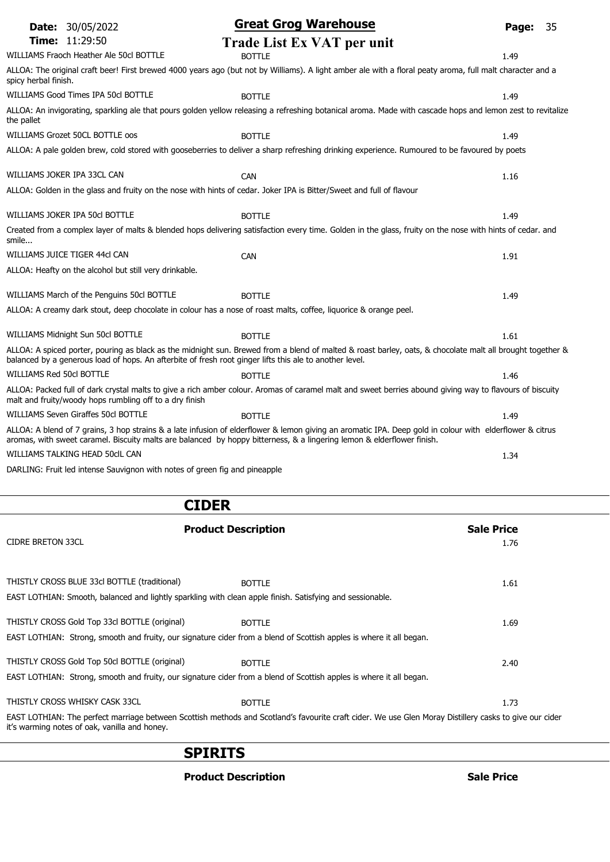|                          | <b>Date: 30/05/2022</b>                                 | <b>Great Grog Warehouse</b>                                                                                                                                                                                                                                                        | Page: | 35 |
|--------------------------|---------------------------------------------------------|------------------------------------------------------------------------------------------------------------------------------------------------------------------------------------------------------------------------------------------------------------------------------------|-------|----|
|                          | <b>Time: 11:29:50</b>                                   | Trade List Ex VAT per unit                                                                                                                                                                                                                                                         |       |    |
|                          | WILLIAMS Fraoch Heather Ale 50cl BOTTLE                 | <b>BOTTLE</b>                                                                                                                                                                                                                                                                      | 1.49  |    |
| spicy herbal finish.     |                                                         | ALLOA: The original craft beer! First brewed 4000 years ago (but not by Williams). A light amber ale with a floral peaty aroma, full malt character and a                                                                                                                          |       |    |
|                          | WILLIAMS Good Times IPA 50cl BOTTLE                     | <b>BOTTLE</b>                                                                                                                                                                                                                                                                      | 1.49  |    |
| the pallet               |                                                         | ALLOA: An invigorating, sparkling ale that pours golden yellow releasing a refreshing botanical aroma. Made with cascade hops and lemon zest to revitalize                                                                                                                         |       |    |
|                          | WILLIAMS Grozet 50CL BOTTLE oos                         | <b>BOTTLE</b>                                                                                                                                                                                                                                                                      | 1.49  |    |
|                          |                                                         | ALLOA: A pale golden brew, cold stored with gooseberries to deliver a sharp refreshing drinking experience. Rumoured to be favoured by poets                                                                                                                                       |       |    |
|                          | WILLIAMS JOKER IPA 33CL CAN                             | CAN                                                                                                                                                                                                                                                                                | 1.16  |    |
|                          |                                                         | ALLOA: Golden in the glass and fruity on the nose with hints of cedar. Joker IPA is Bitter/Sweet and full of flavour                                                                                                                                                               |       |    |
|                          | WILLIAMS JOKER IPA 50cl BOTTLE                          | <b>BOTTLE</b>                                                                                                                                                                                                                                                                      | 1.49  |    |
| smile                    |                                                         | Created from a complex layer of malts & blended hops delivering satisfaction every time. Golden in the glass, fruity on the nose with hints of cedar. and                                                                                                                          |       |    |
|                          | WILLIAMS JUICE TIGER 44cl CAN                           | <b>CAN</b>                                                                                                                                                                                                                                                                         | 1.91  |    |
|                          | ALLOA: Heafty on the alcohol but still very drinkable.  |                                                                                                                                                                                                                                                                                    |       |    |
|                          | WILLIAMS March of the Penguins 50cl BOTTLE              | <b>BOTTLE</b>                                                                                                                                                                                                                                                                      | 1.49  |    |
|                          |                                                         | ALLOA: A creamy dark stout, deep chocolate in colour has a nose of roast malts, coffee, liquorice & orange peel.                                                                                                                                                                   |       |    |
|                          | WILLIAMS Midnight Sun 50cl BOTTLE                       | <b>BOTTLE</b>                                                                                                                                                                                                                                                                      | 1.61  |    |
|                          |                                                         | ALLOA: A spiced porter, pouring as black as the midnight sun. Brewed from a blend of malted & roast barley, oats, & chocolate malt all brought together &<br>balanced by a generous load of hops. An afterbite of fresh root ginger lifts this ale to another level.               |       |    |
| WILLIAMS Red 50cl BOTTLE |                                                         | <b>BOTTLE</b>                                                                                                                                                                                                                                                                      | 1.46  |    |
|                          | malt and fruity/woody hops rumbling off to a dry finish | ALLOA: Packed full of dark crystal malts to give a rich amber colour. Aromas of caramel malt and sweet berries abound giving way to flavours of biscuity                                                                                                                           |       |    |
|                          | WILLIAMS Seven Giraffes 50cl BOTTLE                     | <b>BOTTLE</b>                                                                                                                                                                                                                                                                      | 1.49  |    |
|                          |                                                         | ALLOA: A blend of 7 grains, 3 hop strains & a late infusion of elderflower & lemon giving an aromatic IPA. Deep gold in colour with elderflower & citrus<br>aromas, with sweet caramel. Biscuity malts are balanced by hoppy bitterness, & a lingering lemon & elderflower finish. |       |    |
|                          | WILLIAMS TALKING HEAD 50clL CAN                         |                                                                                                                                                                                                                                                                                    | 1.34  |    |
|                          |                                                         | DARLING: Fruit led intense Sauvignon with notes of green fig and pineapple                                                                                                                                                                                                         |       |    |
|                          |                                                         | <b>CIDER</b>                                                                                                                                                                                                                                                                       |       |    |
|                          |                                                         | <b>Product Description</b><br><b>Sale Price</b>                                                                                                                                                                                                                                    |       |    |
| <b>CIDRE BRETON 33CL</b> |                                                         |                                                                                                                                                                                                                                                                                    | 1.76  |    |
|                          |                                                         |                                                                                                                                                                                                                                                                                    |       |    |
|                          | THISTLY CROSS BLUE 33cl BOTTLE (traditional)            | <b>BOTTLE</b>                                                                                                                                                                                                                                                                      | 1.61  |    |
|                          |                                                         | EAST LOTHIAN: Smooth, balanced and lightly sparkling with clean apple finish. Satisfying and sessionable.                                                                                                                                                                          |       |    |
|                          | THISTLY CROSS Gold Top 33cl BOTTLE (original)           | <b>BOTTLE</b>                                                                                                                                                                                                                                                                      | 1.69  |    |
|                          |                                                         | EAST LOTHIAN: Strong, smooth and fruity, our signature cider from a blend of Scottish apples is where it all began.                                                                                                                                                                |       |    |

# THISTLY CROSS Gold Top 50cl BOTTLE (original) BOTTLE BOTTLE EAST LOTHIAN: Strong, smooth and fruity, our signature cider from a blend of Scottish apples is where it all began. THISTLY CROSS WHISKY CASK 33CL BOTTLE BOTTLE

EAST LOTHIAN: The perfect marriage between Scottish methods and Scotland's favourite craft cider. We use Glen Moray Distillery casks to give our cider it's warming notes of oak, vanilla and honey.

### SPIRITS

#### Product Description and Sale Price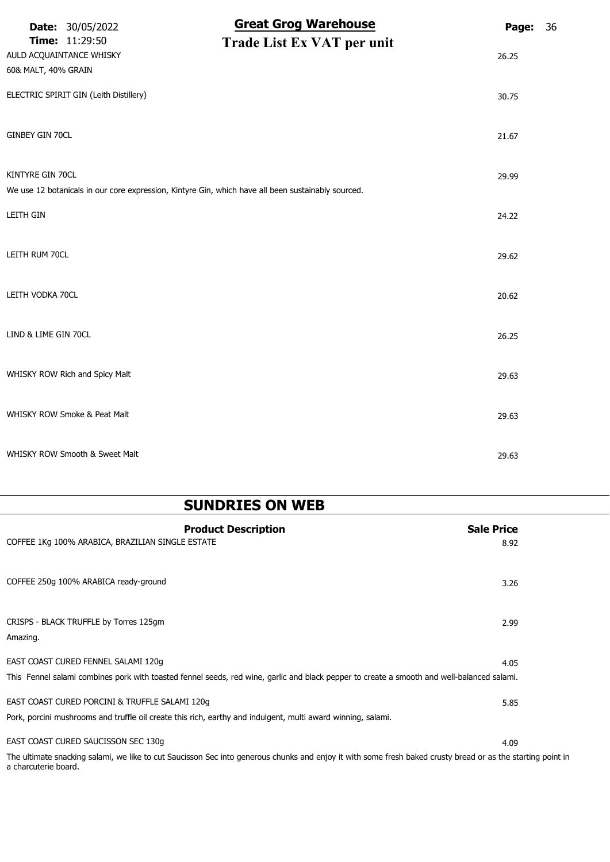|                                                 | <b>Date: 30/05/2022</b>                | <b>Great Grog Warehouse</b>                                                                        | Page: | 36 |
|-------------------------------------------------|----------------------------------------|----------------------------------------------------------------------------------------------------|-------|----|
| AULD ACQUAINTANCE WHISKY<br>60& MALT, 40% GRAIN | <b>Time: 11:29:50</b>                  | Trade List Ex VAT per unit                                                                         | 26.25 |    |
|                                                 | ELECTRIC SPIRIT GIN (Leith Distillery) |                                                                                                    | 30.75 |    |
| GINBEY GIN 70CL                                 |                                        |                                                                                                    | 21.67 |    |
| KINTYRE GIN 70CL                                |                                        | We use 12 botanicals in our core expression, Kintyre Gin, which have all been sustainably sourced. | 29.99 |    |
| LEITH GIN                                       |                                        |                                                                                                    | 24.22 |    |
| LEITH RUM 70CL                                  |                                        |                                                                                                    | 29.62 |    |
| LEITH VODKA 70CL                                |                                        |                                                                                                    | 20.62 |    |
| LIND & LIME GIN 70CL                            |                                        |                                                                                                    | 26.25 |    |
|                                                 | WHISKY ROW Rich and Spicy Malt         |                                                                                                    | 29.63 |    |
|                                                 | WHISKY ROW Smoke & Peat Malt           |                                                                                                    | 29.63 |    |
|                                                 | WHISKY ROW Smooth & Sweet Malt         |                                                                                                    | 29.63 |    |

# SUNDRIES ON WEB

| <b>Product Description</b>                                                                                                                                                          | <b>Sale Price</b> |
|-------------------------------------------------------------------------------------------------------------------------------------------------------------------------------------|-------------------|
| COFFEE 1Kg 100% ARABICA, BRAZILIAN SINGLE ESTATE                                                                                                                                    | 8.92              |
| COFFEE 250g 100% ARABICA ready-ground                                                                                                                                               | 3.26              |
| CRISPS - BLACK TRUFFLE by Torres 125gm<br>Amazing.                                                                                                                                  | 2.99              |
| EAST COAST CURED FENNEL SALAMI 120g                                                                                                                                                 | 4.05              |
| This Fennel salami combines pork with toasted fennel seeds, red wine, garlic and black pepper to create a smooth and well-balanced salami.                                          |                   |
| EAST COAST CURED PORCINI & TRUFFLE SALAMI 120g                                                                                                                                      | 5.85              |
| Pork, porcini mushrooms and truffle oil create this rich, earthy and indulgent, multi award winning, salami.                                                                        |                   |
| EAST COAST CURED SAUCISSON SEC 130q                                                                                                                                                 | 4.09              |
| The ultimate snacking salami, we like to cut Saucisson Sec into generous chunks and enjoy it with some fresh baked crusty bread or as the starting point in<br>a charcuterie board. |                   |